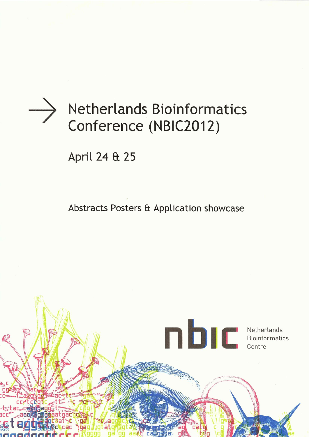

# **Netherlands Bioinformatics** Conference (NBIC2012)

April 24 & 25

Abstracts Posters & Application showcase

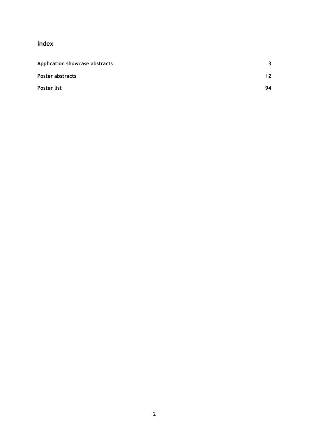**Index**

| Application showcase abstracts | 3  |
|--------------------------------|----|
| Poster abstracts               | 12 |
| Poster list                    | 94 |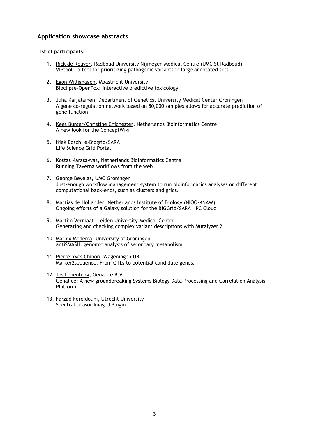# <span id="page-2-0"></span>**Application showcase abstracts**

# **List of participants:**

- 1. Rick de Reuver, Radboud University Nijmegen Medical Centre (UMC St Radboud) VIPtool : a tool for prioritizing pathogenic variants in large annotated sets
- 2. Egon Willighagen, Maastricht University Bioclipse-OpenTox: interactive predictive toxicology
- 3. Juha Karjalainen, Department of Genetics, University Medical Center Groningen A gene co-regulation network based on 80,000 samples allows for accurate prediction of gene function
- 4. Kees Burger/Christine Chichester, Netherlands Bioinformatics Centre A new look for the ConceptWiki
- 5. Niek Bosch, e-Biogrid/SARA Life Science Grid Portal
- 6. Kostas Karasavvas, Netherlands Bioinformatics Centre Running Taverna workflows from the web
- 7. George Beyelas, UMC Groningen Just-enough workflow management system to run bioinformatics analyses on different computational back-ends, such as clusters and grids.
- 8. Mattias de Hollander, Netherlands Institute of Ecology (NIOO-KNAW) Ongoing efforts of a Galaxy solution for the BiGGrid/SARA HPC Cloud
- 9. Martijn Vermaat, Leiden University Medical Center Generating and checking complex variant descriptions with Mutalyzer 2
- 10. Marnix Medema, University of Groningen antiSMASH: genomic analysis of secondary metabolism
- 11. Pierre-Yves Chibon, Wageningen UR Marker2sequence: From QTLs to potential candidate genes.
- 12. Jos Lunenberg, Genalice B.V. Genalice: A new groundbreaking Systems Biology Data Processing and Correlation Analysis Platform
- 13. Farzad Fereidouni, Utrecht University Spectral phasor ImageJ Plugin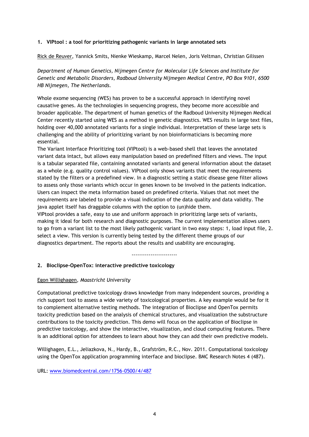# **1. VIPtool : a tool for prioritizing pathogenic variants in large annotated sets**

Rick de Reuver, Yannick Smits, Nienke Wieskamp, Marcel Nelen, Joris Veltman, Christian Gilissen

*Department of Human Genetics, Nijmegen Centre for Molecular Life Sciences and Institute for Genetic and Metabolic Disorders, Radboud University Nijmegen Medical Centre, PO Box 9101, 6500 HB Nijmegen, The Netherlands.*

Whole exome sequencing (WES) has proven to be a successful approach in identifying novel causative genes. As the technologies in sequencing progress, they become more accessible and broader applicable. The department of human genetics of the Radboud University Nijmegen Medical Center recently started using WES as a method in genetic diagnostics. WES results in large text files, holding over 40,000 annotated variants for a single individual. Interpretation of these large sets is challenging and the ability of prioritizing variant by non bioinformaticians is becoming more essential.

The Variant Interface Prioritizing tool (VIPtool) is a web-based shell that leaves the annotated variant data intact, but allows easy manipulation based on predefined filters and views. The input is a tabular separated file, containing annotated variants and general information about the dataset as a whole (e.g. quality control values). VIPtool only shows variants that meet the requirements stated by the filters or a predefined view. In a diagnostic setting a static disease gene filter allows to assess only those variants which occur in genes known to be involved in the patients indication. Users can inspect the meta information based on predefined criteria. Values that not meet the requirements are labeled to provide a visual indication of the data quality and data validity. The java applet itself has draggable columns with the option to (un)hide them.

VIPtool provides a safe, easy to use and uniform approach in prioritizing large sets of variants, making it ideal for both research and diagnostic purposes. The current implementation allows users to go from a variant list to the most likely pathogenic variant in two easy steps: 1, load input file, 2. select a view. This version is currently being tested by the different theme groups of our diagnostics department. The reports about the results and usability are encouraging.

------------------------

# **2. Bioclipse-OpenTox: interactive predictive toxicology**

# Egon Willighagen, *Maastricht University*

Computational predictive toxicology draws knowledge from many independent sources, providing a rich support tool to assess a wide variety of toxicological properties. A key example would be for it to complement alternative testing methods. The integration of Bioclipse and OpenTox permits toxicity prediction based on the analysis of chemical structures, and visualization the substructure contributions to the toxicity prediction. This demo will focus on the application of Bioclipse in predictive toxicology, and show the interactive, visualization, and cloud computing features. There is an additional option for attendees to learn about how they can add their own predictive models.

Willighagen, E.L., Jeliazkova, N., Hardy, B., Grafström, R.C., Nov. 2011. Computational toxicology using the OpenTox application programming interface and bioclipse. BMC Research Notes 4 (487).

URL: [www.biomedcentral.com/1756-0500/4/487](http://www.biomedcentral.com/1756-0500/4/487)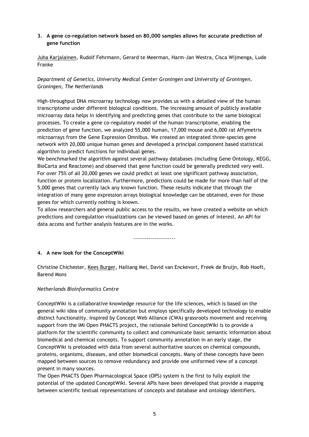# **3. A gene co-regulation network based on 80,000 samples allows for accurate prediction of gene function**

Juha Karjalainen, Rudolf Fehrmann, Gerard te Meerman, Harm-Jan Westra, Cisca Wijmenga, Lude Franke

*Department of Genetics, University Medical Center Groningen and University of Groningen, Groningen, The Netherlands*

High-throughput DNA microarray technology now provides us with a detailed view of the human transcriptome under different biological conditions. The increasing amount of publicly available microarray data helps in identifying and predicting genes that contribute to the same biological processes. To create a gene co-regulatory model of the human transcriptome, enabling the prediction of gene function, we analyzed 55,000 human, 17,000 mouse and 6,000 rat Affymetrix microarrays from the Gene Expression Omnibus. We created an integrated three-species gene network with 20,000 unique human genes and developed a principal component based statistical algorithm to predict functions for individual genes.

We benchmarked the algorithm against several pathway databases (including Gene Ontology, KEGG, BioCarta and Reactome) and observed that gene function could be generally predicted very well. For over 75% of all 20,000 genes we could predict at least one significant pathway association, function or protein localization. Furthermore, predictions could be made for more than half of the 5,000 genes that currently lack any known function. These results indicate that through the integration of many gene expression arrays biological knowledge can be obtained, even for those genes for which currently nothing is known.

To allow researchers and general public access to the results, we have created a website on which predictions and coregulation visualizations can be viewed based on genes of interest. An API for data access and further analysis features are in the works.

----------------------

# **4. A new look for the ConceptWiki**

Christine Chichester, Kees Burger, Hailiang Mei, David van Enckevort, Freek de Bruijn, Rob Hooft, Barend Mons

# *Netherlands Bioinformatics Centre*

ConceptWiki is a collaborative knowledge resource for the life sciences, which is based on the general wiki idea of community annotation but employs specifically developed technology to enable distinct functionality. Inspired by Concept Web Alliance (CWA) grassroots movement and receiving support from the IMI Open PHACTS project, the rationale behind ConceptWiki is to provide a platform for the scientific community to collect and communicate basic semantic information about biomedical and chemical concepts. To support community annotation in an early stage, the ConceptWiki is preloaded with data from several authoritative sources on chemical compounds, proteins, organisms, diseases, and other biomedical concepts. Many of these concepts have been mapped between sources to remove redundancy and provide one uniformed view of a concept present in many sources.

The Open PHACTS Open Pharmacological Space (OPS) system is the first to fully exploit the potential of the updated ConceptWiki. Several APIs have been developed that provide a mapping between scientific textual representations of concepts and database and ontology identifiers.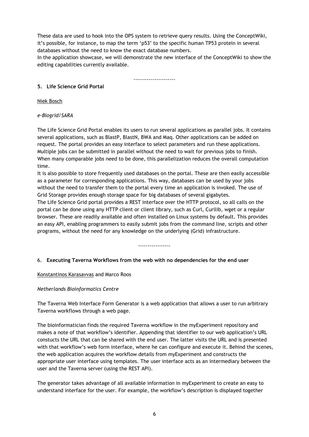These data are used to hook into the OPS system to retrieve query results. Using the ConceptWiki, it's possible, for instance, to map the term 'p53' to the specific human TP53 protein in several databases without the need to know the exact database numbers.

In the application showcase, we will demonstrate the new interface of the ConceptWiki to show the editing capabilities currently available.

----------------------

# **5. Life Science Grid Portal**

Niek Bosch

*e-Biogrid/SARA*

The Life Science Grid Portal enables its users to run several applications as parallel jobs. It contains several applications, such as BlastP, BlastN, BWA and Maq. Other applications can be added on request. The portal provides an easy interface to select parameters and run these applications. Multiple jobs can be submitted in parallel without the need to wait for previous jobs to finish. When many comparable jobs need to be done, this parallelization reduces the overall computation time.

It is also possible to store frequently used databases on the portal. These are then easily accessible as a parameter for corresponding applications. This way, databases can be used by your jobs without the need to transfer them to the portal every time an application is invoked. The use of Grid Storage provides enough storage space for big databases of several gigabytes.

The Life Science Grid portal provides a REST interface over the HTTP protocol, so all calls on the portal can be done using any HTTP client or client library, such as Curl, Curllib, wget or a regular browser. These are readily available and often installed on Linux systems by default. This provides an easy API, enabling programmers to easily submit jobs from the command line, scripts and other programs, without the need for any knowledge on the underlying (Grid) infrastructure.

-----------------

# 6. **Executing Taverna Workflows from the web with no dependencies for the end user**

Konstantinos Karasavvas and Marco Roos

# *Netherlands Bioinformatics Centre*

The Taverna Web Interface Form Generator is a web application that allows a user to run arbitrary Taverna workflows through a web page.

The bioinformatician finds the required Taverna workflow in the myExperiment repository and makes a note of that workflow's identifier. Appending that identifier to our web application's URL constucts the URL that can be shared with the end user. The latter visits the URL and is presented with that workflow's web form interface, where he can configure and execute it. Behind the scenes, the web application acquires the workflow details from myExperiment and constructs the appropriate user interface using templates. The user interface acts as an intermediary between the user and the Taverna server (using the REST API).

The generator takes advantage of all available information in myExperiment to create an easy to understand interface for the user. For example, the workflow's description is displayed together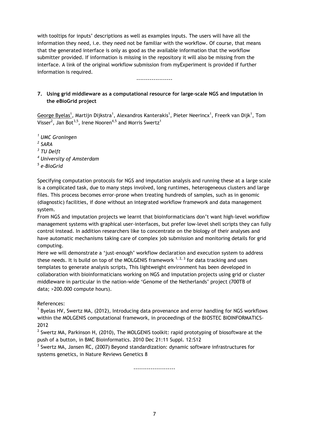with tooltips for inputs' descriptions as well as examples inputs. The users will have all the information they need, i.e. they need not be familiar with the workflow. Of course, that means that the generated interface is only as good as the available information that the workflow submitter provided. If information is missing in the repository it will also be missing from the interface. A link of the original workflow submission from myExperiment is provided if further information is required.

-------------------

# **7. Using grid middleware as a computational resource for large-scale NGS and imputation in the eBioGrid project**

George Byelas<sup>1</sup>, Martijn Dijkstra<sup>1</sup>, Alexandros Kanterakis<sup>1</sup>, Pieter Neerincx<sup>1</sup>, Freerk van Dijk<sup>1</sup>, Tom Visser<sup>2</sup>, Jan Bot<sup>3,5</sup>, Irene Nooren<sup>4,5</sup> and Morris Swertz<sup>1</sup>

*<sup>1</sup> UMC Groningen 2 SARA 3 TU Delft <sup>4</sup> University of Amsterdam 5 e-BioGrid*

Specifying computation protocols for NGS and imputation analysis and running these at a large scale is a complicated task, due to many steps involved, long runtimes, heterogeneous clusters and large files. This process becomes error-prone when treating hundreds of samples, such as in genomic (diagnostic) facilities, if done without an integrated workflow framework and data management system.

From NGS and imputation projects we learnt that bioinformaticians don't want high-level workflow management systems with graphical user-interfaces, but prefer low-level shell scripts they can fully control instead. In addition researchers like to concentrate on the biology of their analyses and have automatic mechanisms taking care of complex job submission and monitoring details for grid computing.

Here we will demonstrate a 'just-enough' workflow declaration and execution system to address these needs. It is build on top of the MOLGENIS framework  $1, 2, 3$  for data tracking and uses templates to generate analysis scripts, This lightweight environment has been developed in collaboration with bioinformaticians working on NGS and imputation projects using grid or cluster middleware in particular in the nation-wide 'Genome of the Netherlands' project (700TB of data; >200.000 compute hours).

References:

<sup>1</sup> Byelas HV, Swertz MA, (2012), Introducing data provenance and error handling for NGS workflows within the MOLGENIS computational framework, in proceedings of the BIOSTEC BIOINFORMATICS-2012

 $2$  Swertz MA, Parkinson H, (2010), The MOLGENIS toolkit: rapid prototyping of biosoftware at the push of a button, in BMC Bioinformatics. 2010 Dec 21:11 Suppl. 12:S12

 $3$  Swertz MA, Jansen RC, (2007) Beyond standardization: dynamic software infrastructures for systems genetics, in Nature Reviews Genetics 8

----------------------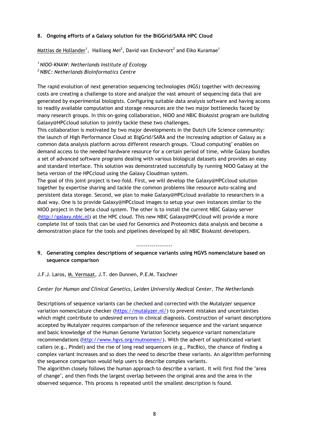# **8. Ongoing efforts of a Galaxy solution for the BiGGrid/SARA HPC Cloud**

 $\textsf{Mattias}$  de Hollander $^1$ , Hailiang Mei $^2$ , David van Enckevort $^2$  and Eiko Kuramae $^1$ 

*<sup>1</sup>NIOO-KNAW: Netherlands Institute of Ecology <sup>2</sup>NBIC: Netherlands Bioinformatics Centre*

The rapid evolution of next generation sequencing technologies (NGS) together with decreasing costs are creating a challenge to store and analyze the vast amount of sequencing data that are generated by experimental biologists. Configuring suitable data analysis software and having access to readily available computation and storage resources are the two major bottlenecks faced by many research groups. In this on-going collaboration, NIOO and NBIC BioAssist program are building Galaxy@HPCcloud solution to jointly tackle these two challenges.

This collaboration is motivated by two major developments in the Dutch Life Science community: the launch of High Performance Cloud at BigGrid/SARA and the increasing adoption of Galaxy as a common data analysis platform across different research groups. "Cloud computing" enables on demand access to the needed hardware resource for a certain period of time, while Galaxy bundles a set of advanced software programs dealing with various biological datasets and provides an easy and standard interface. This solution was demonstrated successfully by running NIOO Galaxy at the beta version of the HPCcloud using the Galaxy Cloudman system.

The goal of this joint project is two-fold. First, we will develop the Galaxy@HPCcloud solution together by expertise sharing and tackle the common problems like resource auto-scaling and persistent data storage. Second, we plan to make Galaxy@HPCcloud available to researchers in a dual way. One is to provide Galaxy@HPCcloud images to setup your own instances similar to the NIOO project in the beta cloud system. The other is to install the current NBIC Galaxy server [\(http://galaxy.nbic.nl\)](http://galaxy.nbic.nl/) at the HPC cloud. This new NBIC Galaxy@HPCcloud will provide a more complete list of tools that can be used for Genomics and Proteomics data analysis and become a demonstration place for the tools and pipelines developed by all NBIC BioAssist developers.

-------------------

# **9. Generating complex descriptions of sequence variants using HGVS nomenclature based on sequence comparison**

J.F.J. Laros, M. Vermaat, J.T. den Dunnen, P.E.M. Taschner

# *Center for Human and Clinical Genetics, Leiden University Medical Center, The Netherlands*

Descriptions of sequence variants can be checked and corrected with the Mutalyzer sequence variation nomenclature checker [\(https://mutalyzer.nl/\)](https://mutalyzer.nl/) to prevent mistakes and uncertainties which might contribute to undesired errors in clinical diagnosis. Construction of variant descriptions accepted by Mutalyzer requires comparison of the reference sequence and the variant sequence and basic knowledge of the Human Genome Variation Society sequence variant nomenclature recommendations [\(http://www.hgvs.org/mutnomen/\)](http://www.hgvs.org/mutnomen/). With the advert of sophisticated variant callers (e.g., Pindel) and the rise of long read sequencers (e.g., PacBio), the chance of finding a complex variant increases and so does the need to describe these variants. An algorithm performing the sequence comparison would help users to describe complex variants.

The algorithm closely follows the human approach to describe a variant. It will first find the "area of change", and then finds the largest overlap between the original area and the area in the observed sequence. This process is repeated until the smallest description is found.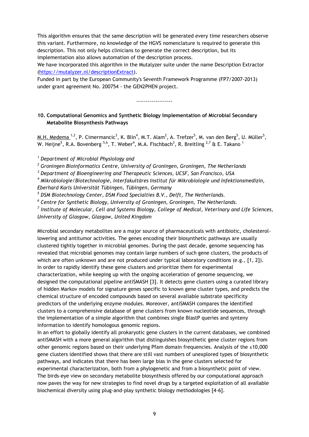This algorithm ensures that the same description will be generated every time researchers observe this variant. Furthermore, no knowledge of the HGVS nomenclature is required to generate this description. This not only helps clinicians to generate the correct description, but its implementation also allows automation of the description process.

We have incorporated this algorithm in the Mutalyzer suite under the name Description Extractor [\(https://mutalyzer.nl/descriptionExtract\)](https://mutalyzer.nl/descriptionExtract).

Funded in part by the European Community's Seventh Framework Programme (FP7/2007-2013) under grant agreement No. 200754 - the GEN2PHEN project.

-------------------

# **10. Computational Genomics and Synthetic Biology Implementation of Microbial Secondary Metabolite Biosynthesis Pathways**

 $M.H.$  Medema\_<sup>1,2</sup>, P. Cimermancic<sup>3</sup>, K. Blin<sup>4</sup>, M.T. Alam<sup>2</sup>, A. Trefzer<sup>5</sup>, M. van den Berg<sup>5</sup>, U. Müller<sup>5</sup>, W. Heijne $^5$ , R.A. Bovenberg  $^{5,6}$ , T. Weber $^4$ , M.A. Fischbach $^3$ , R. Breitling  $^{2,7}$  & E. Takano  $^1$ 

*<sup>1</sup> Department of Microbial Physiology and* 

*<sup>2</sup> Groningen Bioinformatics Centre, University of Groningen, Groningen, The Netherlands*

*<sup>3</sup> Department of Bioengineering and Therapeutic Sciences, UCSF, San Francisco, USA*

*<sup>4</sup> Mikrobiologie/Biotechnologie, Interfakultäres Institut für Mikrobiologie und Infektionsmedizin, Eberhard Karls Universität Tübingen, Tübingen, Germany*

*<sup>5</sup> DSM Biotechnology Center, DSM Food Specialties B.V., Delft, The Netherlands.*

*6 Centre for Synthetic Biology, University of Groningen, Groningen, The Netherlands.*

*7 Institute of Molecular, Cell and Systems Biology, College of Medical, Veterinary and Life Sciences, University of Glasgow, Glasgow, United Kingdom*

Microbial secondary metabolites are a major source of pharmaceuticals with antibiotic, cholesterollowering and antitumor activities. The genes encoding their biosynthetic pathways are usually clustered tightly together in microbial genomes. During the past decade, genome sequencing has revealed that microbial genomes may contain large numbers of such gene clusters, the products of which are often unknown and are not produced under typical laboratory conditions (e.g., [1, 2]). In order to rapidly identify these gene clusters and prioritize them for experimental characterization, while keeping up with the ongoing acceleration of genome sequencing, we designed the computational pipeline antiSMASH [3]. It detects gene clusters using a curated library of hidden Markov models for signature genes specific to known gene cluster types, and predicts the chemical structure of encoded compounds based on several available substrate specificity predictors of the underlying enzyme modules. Moreover, antiSMASH compares the identified clusters to a comprehensive database of gene clusters from known nucleotide sequences, through the implementation of a simple algorithm that combines single BlastP queries and synteny information to identify homologous genomic regions.

In an effort to globally identify all prokaryotic gene clusters in the current databases, we combined antiSMASH with a more general algorithm that distinguishes biosynthetic gene cluster regions from other genomic regions based on their underlying Pfam domain frequencies. Analysis of the  $\pm 10,000$ gene clusters identified shows that there are still vast numbers of unexplored types of biosynthetic pathways, and indicates that there has been large bias in the gene clusters selected for experimental characterization, both from a phylogenetic and from a biosynthetic point of view. The birds-eye view on secondary metabolite biosynthesis offered by our computational approach now paves the way for new strategies to find novel drugs by a targeted exploitation of all available biochemical diversity using plug-and-play synthetic biology methodologies [4-6].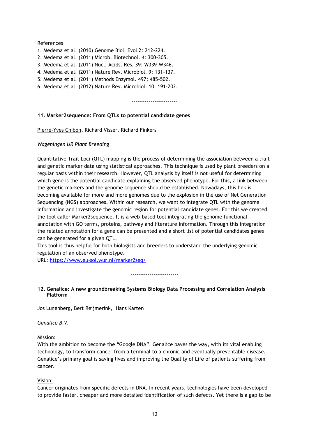#### References

- 1. Medema et al. (2010) Genome Biol. Evol 2: 212-224.
- 2. Medema et al. (2011) Microb. Biotechnol. 4: 300-305.
- 3. Medema et al. (2011) Nucl. Acids. Res. 39: W339-W346.
- 4. Medema et al. (2011) Nature Rev. Microbiol. 9: 131-137.
- 5. Medema et al. (2011) Methods Enzymol. 497: 485-502.
- 6. Medema et al. (2012) Nature Rev. Microbiol. 10: 191-202.

------------------------

# **11. Marker2sequence: From QTLs to potential candidate genes**

Pierre-Yves Chibon, Richard Visser, Richard Finkers

#### *Wageningen UR Plant Breeding*

Quantitative Trait Loci (QTL) mapping is the process of determining the association between a trait and genetic marker data using statistical approaches. This technique is used by plant breeders on a regular basis within their research. However, QTL analysis by itself is not useful for determining which gene is the potential candidate explaining the observed phenotype. For this, a link between the genetic markers and the genome sequence should be established. Nowadays, this link is becoming available for more and more genomes due to the explosion in the use of Net Generation Sequencing (NGS) approaches. Within our research, we want to integrate QTL with the genome information and investigate the genomic region for potential candidate genes. For this we created the tool caller Marker2sequence. It is a web-based tool integrating the genome functional annotation with GO terms, proteins, pathway and literature information. Through this integration the related annotation for a gene can be presented and a short list of potential candidates genes can be generated for a given QTL.

This tool is thus helpful for both biologists and breeders to understand the underlying genomic regulation of an observed phenotype.

URL:<https://www.eu-sol.wur.nl/marker2seq/>

-------------------------

#### **12. Genalice: A new groundbreaking Systems Biology Data Processing and Correlation Analysis Platform**

Jos Lunenberg, Bert Reijmerink, Hans Karten

*Genalice B.V.*

#### Mission:

With the ambition to become the "Google DNA", Genalice paves the way, with its vital enabling technology, to transform cancer from a terminal to a chronic and eventually preventable disease. Genalice's primary goal is saving lives and improving the Quality of Life of patients suffering from cancer.

# Vision:

Cancer originates from specific defects in DNA. In recent years, technologies have been developed to provide faster, cheaper and more detailed identification of such defects. Yet there is a gap to be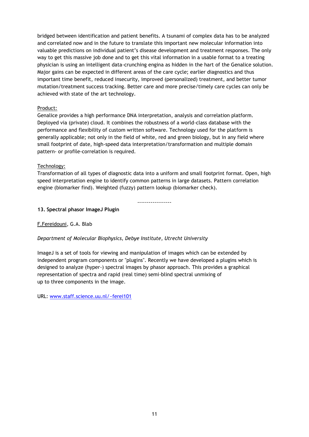bridged between identification and patient benefits. A tsunami of complex data has to be analyzed and correlated now and in the future to translate this important new molecular information into valuable predictions on individual patient's disease development and treatment responses. The only way to get this massive job done and to get this vital information in a usable format to a treating physician is using an intelligent data-crunching engina as hidden in the hart of the Genalice solution. Major gains can be expected in different areas of the care cycle; earlier diagnostics and thus important time benefit, reduced insecurity, improved (personalized) treatment, and better tumor mutation/treatment success tracking. Better care and more precise/timely care cycles can only be achieved with state of the art technology.

# Product:

Genalice provides a high performance DNA interpretation, analysis and correlation platform. Deployed via (private) cloud. It combines the robustness of a world-class database with the performance and flexibility of custom written software. Technology used for the platform is generally applicable; not only in the field of white, red and green biology, but in any field where small footprint of date, high-speed data interpretation/transformation and multiple domain pattern- or profile-correlation is required.

# Technology:

Transformation of all types of diagnostic data into a uniform and small footprint format. Open, high speed interpretation engine to identify common patterns in large datasets. Pattern correlation engine (biomarker find). Weighted (fuzzy) pattern lookup (biomarker check).

------------------

# **13. Spectral phasor ImageJ Plugin**

# F.Fereidouni, G.A. Blab

# *Department of Molecular Biophysics, Debye Institute, Utrecht University*

ImageJ is a set of tools for viewing and manipulation of images which can be extended by independent program components or "plugins". Recently we have developed a plugins which is designed to analyze (hyper-) spectral images by phasor approach. This provides a graphical representation of spectra and rapid (real time) semi-blind spectral unmixing of up to three components in the image.

URL: [www.staff.science.uu.nl/~ferei101](http://www.staff.science.uu.nl/~ferei101)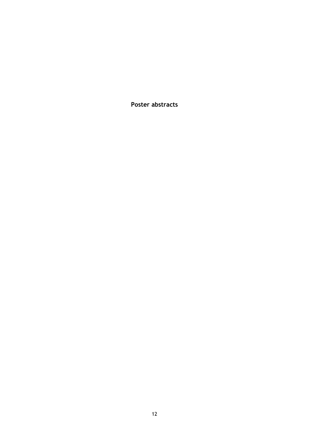<span id="page-11-0"></span>**Poster abstracts**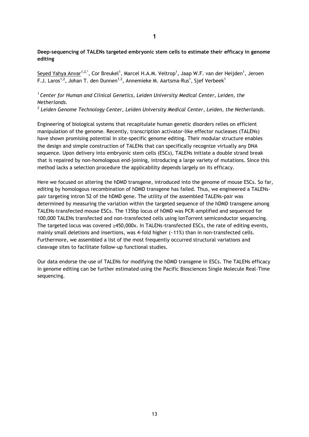# **Deep-sequencing of TALENs targeted embryonic stem cells to estimate their efficacy in genome editing**

Seyed Yahya Anvar<sup>1,2,\*</sup>, Cor Breukel<sup>1</sup>, Marcel H.A.M. Veltrop<sup>1</sup>, Jaap W.F. van der Heijden<sup>1</sup>, Jeroen F.J. Laros $^{1,2}$ , Johan T. den Dunnen $^{1,2}$ , Annemieke M. Aartsma-Rus $^{1}$ , Sjef Verbeek $^{1}$ 

# *<sup>1</sup>Center for Human and Clinical Genetics, Leiden University Medical Center, Leiden, the Netherlands.*

*2 Leiden Genome Technology Center, Leiden University Medical Center, Leiden, the Netherlands.*

Engineering of biological systems that recapitulate human genetic disorders relies on efficient manipulation of the genome. Recently, transcription activator-like effector nucleases (TALENs) have shown promising potential in site-specific genome editing. Their modular structure enables the design and simple construction of TALENs that can specifically recognize virtually any DNA sequence. Upon delivery into embryonic stem cells (ESCs), TALENs initiate a double strand break that is repaired by non-homologous end-joining, introducing a large variety of mutations. Since this method lacks a selection procedure the applicability depends largely on its efficacy.

Here we focused on altering the hDMD transgene, introduced into the genome of mouse ESCs. So far, editing by homologous recombination of hDMD transgene has failed. Thus, we engineered a TALENspair targeting intron 52 of the hDMD gene. The utility of the assembled TALENs-pair was determined by measuring the variation within the targeted sequence of the hDMD transgene among TALENs-transfected mouse ESCs. The 135bp locus of hDMD was PCR-amplified and sequenced for 100,000 TALENs transfected and non-transfected cells using IonTorrent semiconductor sequencing. The targeted locus was covered ≥450,000x. In TALENs-transfected ESCs, the rate of editing events, mainly small deletions and insertions, was 4-fold higher (~11%) than in non-transfected cells. Furthermore, we assembled a list of the most frequently occurred structural variations and cleavage sites to facilitate follow-up functional studies.

Our data endorse the use of TALENs for modifying the hDMD transgene in ESCs. The TALENs efficacy in genome editing can be further estimated using the Pacific Biosciences Single Molecule Real-Time sequencing.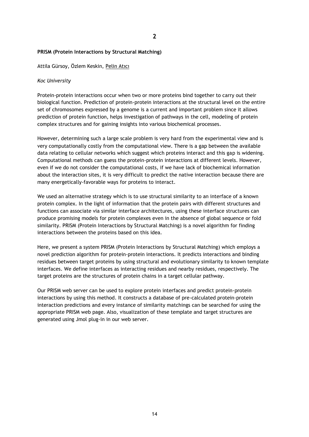# **PRISM (Protein Interactions by Structural Matching)**

Attila Gürsoy, Özlem Keskin, Pelin Atıcı

#### *Koc University*

Protein-protein interactions occur when two or more proteins bind together to carry out their biological function. Prediction of protein-protein interactions at the structural level on the entire set of chromosomes expressed by a genome is a current and important problem since it allows prediction of protein function, helps investigation of pathways in the cell, modeling of protein complex structures and for gaining insights into various biochemical processes.

However, determining such a large scale problem is very hard from the experimental view and is very computationally costly from the computational view. There is a gap between the available data relating to cellular networks which suggest which proteins interact and this gap is widening. Computational methods can guess the protein-protein interactions at different levels. However, even if we do not consider the computational costs, if we have lack of biochemical information about the interaction sites, it is very difficult to predict the native interaction because there are many energetically-favorable ways for proteins to interact.

We used an alternative strategy which is to use structural similarity to an interface of a known protein complex. In the light of information that the protein pairs with different structures and functions can associate via similar interface architectures, using these interface structures can produce promising models for protein complexes even in the absence of global sequence or fold similarity. PRISM (Protein Interactions by Structural Matching) is a novel algorithm for finding interactions between the proteins based on this idea.

Here, we present a system PRISM (Protein Interactions by Structural Matching) which employs a novel prediction algorithm for protein-protein interactions. It predicts interactions and binding residues between target proteins by using structural and evolutionary similarity to known template interfaces. We define interfaces as interacting residues and nearby residues, respectively. The target proteins are the structures of protein chains in a target cellular pathway.

Our PRISM web server can be used to explore protein interfaces and predict protein-protein interactions by using this method. It constructs a database of pre-calculated protein-protein interaction predictions and every instance of similarity matchings can be searched for using the appropriate PRISM web page. Also, visualization of these template and target structures are generated using Jmol plug-in in our web server.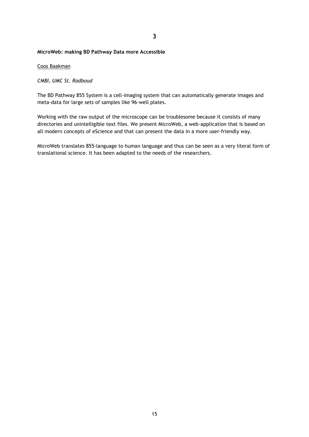**3**

#### **MicroWeb: making BD Pathway Data more Accessible**

#### Coos Baakman

### *CMBI, UMC St. Radboud*

The BD Pathway 855 System is a cell-imaging system that can automatically generate images and meta-data for large sets of samples like 96-well plates.

Working with the raw output of the microscope can be troublesome because it consists of many directories and unintelligible text files. We present MicroWeb, a web-application that is based on all modern concepts of eScience and that can present the data in a more user-friendly way.

MicroWeb translates 855-language to human language and thus can be seen as a very literal form of translational science. It has been adapted to the needs of the researchers.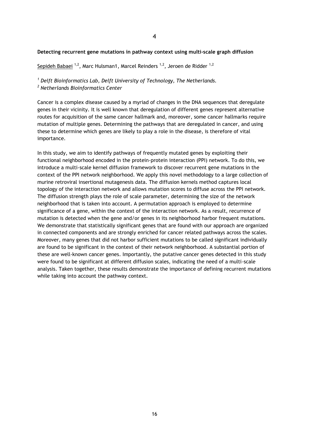#### **Detecting recurrent gene mutations in pathway context using multi-scale graph diffusion**

Sepideh Babaei  $^{1,2}$ , Marc Hulsman1, Marcel Reinders  $^{1,2}$ , Jeroen de Ridder  $^{1,2}$ 

*<sup>1</sup> Delft Bioinformatics Lab, Delft University of Technology, The Netherlands.* 

*<sup>2</sup> Netherlands Bioinformatics Center*

Cancer is a complex disease caused by a myriad of changes in the DNA sequences that deregulate genes in their vicinity. It is well known that deregulation of different genes represent alternative routes for acquisition of the same cancer hallmark and, moreover, some cancer hallmarks require mutation of multiple genes. Determining the pathways that are deregulated in cancer, and using these to determine which genes are likely to play a role in the disease, is therefore of vital importance.

In this study, we aim to identify pathways of frequently mutated genes by exploiting their functional neighborhood encoded in the protein-protein interaction (PPI) network. To do this, we introduce a multi-scale kernel diffusion framework to discover recurrent gene mutations in the context of the PPI network neighborhood. We apply this novel methodology to a large collection of murine retroviral insertional mutagenesis data. The diffusion kernels method captures local topology of the interaction network and allows mutation scores to diffuse across the PPI network. The diffusion strength plays the role of scale parameter, determining the size of the network neighborhood that is taken into account. A permutation approach is employed to determine significance of a gene, within the context of the interaction network. As a result, recurrence of mutation is detected when the gene and/or genes in its neighborhood harbor frequent mutations. We demonstrate that statistically significant genes that are found with our approach are organized in connected components and are strongly enriched for cancer related pathways across the scales. Moreover, many genes that did not harbor sufficient mutations to be called significant individually are found to be significant in the context of their network neighborhood. A substantial portion of these are well-known cancer genes. Importantly, the putative cancer genes detected in this study were found to be significant at different diffusion scales, indicating the need of a multi-scale analysis. Taken together, these results demonstrate the importance of defining recurrent mutations while taking into account the pathway context.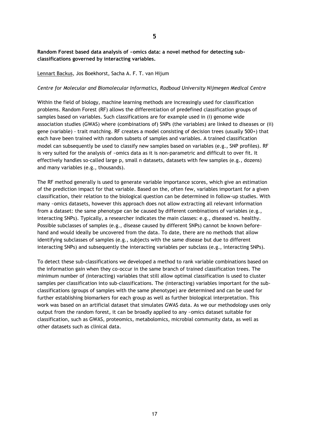# **Random Forest based data analysis of ~omics data: a novel method for detecting subclassifications governed by interacting variables.**

Lennart Backus, Jos Boekhorst, Sacha A. F. T. van Hijum

#### *Centre for Molecular and Biomolecular Informatics, Radboud University Nijmegen Medical Centre*

Within the field of biology, machine learning methods are increasingly used for classification problems. Random Forest (RF) allows the differentiation of predefined classification groups of samples based on variables. Such classifications are for example used in (i) genome wide association studies (GWAS) where (combinations of) SNPs (the variables) are linked to diseases or (ii) gene (variable) - trait matching. RF creates a model consisting of decision trees (usually 500+) that each have been trained with random subsets of samples and variables. A trained classification model can subsequently be used to classify new samples based on variables (e.g., SNP profiles). RF is very suited for the analysis of ~omics data as it is non-parametric and difficult to over fit. It effectively handles so-called large p, small n datasets, datasets with few samples (e.g., dozens) and many variables (e.g., thousands).

The RF method generally is used to generate variable importance scores, which give an estimation of the prediction impact for that variable. Based on the, often few, variables important for a given classification, their relation to the biological question can be determined in follow-up studies. With many ~omics datasets, however this approach does not allow extracting all relevant information from a dataset: the same phenotype can be caused by different combinations of variables (e.g., interacting SNPs). Typically, a researcher indicates the main classes: e.g., diseased vs. healthy. Possible subclasses of samples (e.g., disease caused by different SNPs) cannot be known beforehand and would ideally be uncovered from the data. To date, there are no methods that allow identifying subclasses of samples (e.g., subjects with the same disease but due to different interacting SNPs) and subsequently the interacting variables per subclass (e.g., interacting SNPs).

To detect these sub-classifications we developed a method to rank variable combinations based on the information gain when they co-occur in the same branch of trained classification trees. The minimum number of (interacting) variables that still allow optimal classification is used to cluster samples per classification into sub-classifications. The (interacting) variables important for the subclassifications (groups of samples with the same phenotype) are determined and can be used for further establishing biomarkers for each group as well as further biological interpretation. This work was based on an artificial dataset that simulates GWAS data. As we our methodology uses only output from the random forest, it can be broadly applied to any ~omics dataset suitable for classification, such as GWAS, proteomics, metabolomics, microbial community data, as well as other datasets such as clinical data.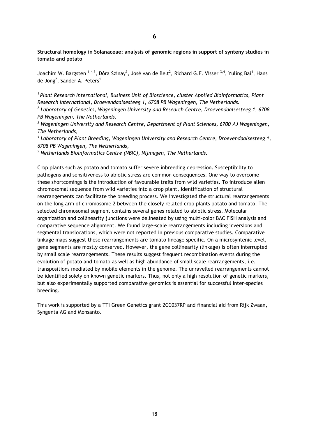**Structural homology in Solanaceae: analysis of genomic regions in support of synteny studies in tomato and potato**

Joachim W. Bargsten <sup>1,4,5</sup>, Dóra Szinay<sup>2</sup>, José van de Belt<sup>2</sup>, Richard G.F. Visser <sup>3,4</sup>, Yuling Bai<sup>4</sup>, Hans de Jong<sup>2</sup>, Sander A. Peters<sup>1</sup>

*<sup>1</sup>Plant Research International, Business Unit of Bioscience, cluster Applied Bioinformatics, Plant Research International, Droevendaalsesteeg 1, 6708 PB Wageningen, The Netherlands.* 

*2 Laboratory of Genetics, Wageningen University and Research Centre, Droevendaalsesteeg 1, 6708 PB Wageningen, The Netherlands.* 

*<sup>3</sup> Wageningen University and Research Centre, Department of Plant Sciences, 6700 AJ Wageningen, The Netherlands,* 

*4 Laboratory of Plant Breeding, Wageningen University and Research Centre, Droevendaalsesteeg 1, 6708 PB Wageningen, The Netherlands,* 

*<sup>5</sup> Netherlands Bioinformatics Centre (NBIC), Nijmegen, The Netherlands.*

Crop plants such as potato and tomato suffer severe inbreeding depression. Susceptibility to pathogens and sensitiveness to abiotic stress are common consequences. One way to overcome these shortcomings is the introduction of favourable traits from wild varieties. To introduce alien chromosomal sequence from wild varieties into a crop plant, identification of structural rearrangements can facilitate the breeding process. We investigated the structural rearrangements on the long arm of chromosome 2 between the closely related crop plants potato and tomato. The selected chromosomal segment contains several genes related to abiotic stress. Molecular organization and collinearity junctions were delineated by using multi-color BAC FISH analysis and comparative sequence alignment. We found large-scale rearrangements including inversions and segmental translocations, which were not reported in previous comparative studies. Comparative linkage maps suggest these rearrangements are tomato lineage specific. On a microsyntenic level, gene segments are mostly conserved. However, the gene collinearity (linkage) is often interrupted by small scale rearrangements. These results suggest frequent recombination events during the evolution of potato and tomato as well as high abundance of small scale rearrangements, i.e. transpositions mediated by mobile elements in the genome. The unravelled rearrangements cannot be identified solely on known genetic markers. Thus, not only a high resolution of genetic markers, but also experimentally supported comparative genomics is essential for successful inter-species breeding.

This work is supported by a TTI Green Genetics grant 2CC037RP and financial aid from Rijk Zwaan, Syngenta AG and Monsanto.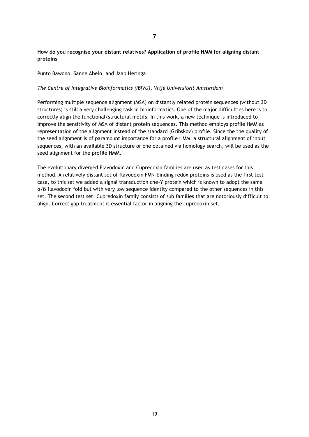# **How do you recognise your distant relatives? Application of profile HMM for aligning distant proteins**

# Punto Bawono, Sanne Abeln, and Jaap Heringa

# *The Centre of Integrative Bioinformatics (IBIVU), Vrije Universiteit Amsterdam*

Performing multiple sequence alignment (MSA) on distantly related protein sequences (without 3D structures) is still a very challenging task in bioinformatics. One of the major difficulties here is to correctly align the functional/structural motifs. In this work, a new technique is introduced to improve the sensitivity of MSA of distant protein sequences. This method employs profile HMM as representation of the alignment instead of the standard (Gribskov) profile. Since the the quality of the seed alignment is of paramount importance for a profile HMM, a structural alignment of input sequences, with an available 3D structure or one obtained via homology search, will be used as the seed alignment for the profile HMM.

The evolutionary diverged Flavodoxin and Cupredoxin families are used as test cases for this method. A relatively distant set of flavodoxin FMN-binding redox proteins is used as the first test case, to this set we added a signal transduction che-Y protein which is known to adopt the same α/β flavodoxin fold but with very low sequence identity compared to the other sequences in this set. The second test set: Cupredoxin family consists of sub families that are notoriously difficult to align. Correct gap treatment is essential factor in aligning the cupredoxin set.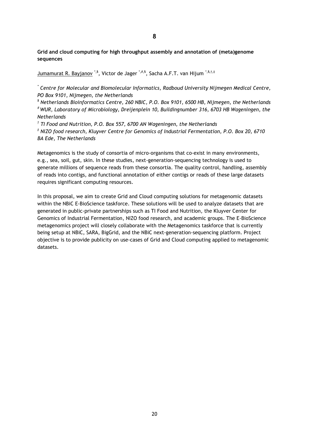**Grid and cloud computing for high throughput assembly and annotation of (meta)genome sequences**

<u>Jumamurat R. Bayjanov</u> \*,<sup>§</sup>, Victor de Jager \*,#,§, Sacha A.F.T. van Hijum <sup>\*,§,†,‡</sup>

*\* Centre for Molecular and Biomolecular Informatics, Radboud University Nijmegen Medical Centre, PO Box 9101, Nijmegen, the Netherlands*

*§ Netherlands Bioinformatics Centre, 260 NBIC, P.O. Box 9101, 6500 HB, Nijmegen, the Netherlands # WUR, Laboratory of Microbiology, Dreijenplein 10, Buildingnumber 316, 6703 HB Wageningen, the Netherlands*

*† TI Food and Nutrition, P.O. Box 557, 6700 AN Wageningen, the Netherlands ‡ NIZO food research, Kluyver Centre for Genomics of Industrial Fermentation, P.O. Box 20, 6710 BA Ede, The Netherlands*

Metagenomics is the study of consortia of micro-organisms that co-exist in many environments, e.g., sea, soil, gut, skin. In these studies, next-generation-sequencing technology is used to generate millions of sequence reads from these consortia. The quality control, handling, assembly of reads into contigs, and functional annotation of either contigs or reads of these large datasets requires significant computing resources.

In this proposal, we aim to create Grid and Cloud computing solutions for metagenomic datasets within the NBiC E-BioScience taskforce. These solutions will be used to analyze datasets that are generated in public-private partnerships such as TI Food and Nutrition, the Kluyver Center for Genomics of Industrial Fermentation, NIZO food research, and academic groups. The E-BioScience metagenomics project will closely collaborate with the Metagenomics taskforce that is currently being setup at NBiC, SARA, BigGrid, and the NBiC next-generation-sequencing platform. Project objective is to provide publicity on use-cases of Grid and Cloud computing applied to metagenomic datasets.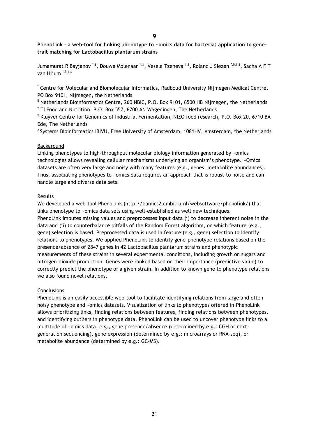**PhenoLink – a web-tool for linking phenotype to ~omics data for bacteria: application to genetrait matching for Lactobacillus plantarum strains**

Jumamurat R Bayjanov \*<sup>,§</sup>, Douwe Molenaar <sup>‡,#</sup>, Vesela Tzeneva <sup>†,‡</sup>, Roland J Siezen \*<sup>,§,†,‡</sup>, Sacha A F T van Hijum \*,§,†,‡

\* Centre for Molecular and Biomolecular Informatics, Radboud University Nijmegen Medical Centre, PO Box 9101, Nijmegen, the Netherlands

§ Netherlands Bioinformatics Centre, 260 NBIC, P.O. Box 9101, 6500 HB Nijmegen, the Netherlands <sup>†</sup> TI Food and Nutrition, P.O. Box 557, 6700 AN Wageningen, The Netherlands

‡ Kluyver Centre for Genomics of Industrial Fermentation, NIZO food research, P.O. Box 20, 6710 BA Ede, The Netherlands

# Systems Bioinformatics IBIVU, Free University of Amsterdam, 1081HV, Amsterdam, the Netherlands

#### Background

Linking phenotypes to high-throughput molecular biology information generated by ~omics technologies allows revealing cellular mechanisms underlying an organism's phenotype. ~Omics datasets are often very large and noisy with many features (e.g., genes, metabolite abundances). Thus, associating phenotypes to ~omics data requires an approach that is robust to noise and can handle large and diverse data sets.

#### Results

We developed a web-tool PhenoLink (http://bamics2.cmbi.ru.nl/websoftware/phenolink/) that links phenotype to ~omics data sets using well-established as well new techniques. PhenoLink imputes missing values and preprocesses input data (i) to decrease inherent noise in the data and (ii) to counterbalance pitfalls of the Random Forest algorithm, on which feature (e.g., gene) selection is based. Preprocessed data is used in feature (e.g., gene) selection to identify relations to phenotypes. We applied PhenoLink to identify gene-phenotype relations based on the presence/absence of 2847 genes in 42 Lactobacillus plantarum strains and phenotypic measurements of these strains in several experimental conditions, including growth on sugars and nitrogen-dioxide production. Genes were ranked based on their importance (predictive value) to correctly predict the phenotype of a given strain. In addition to known gene to phenotype relations we also found novel relations.

#### **Conclusions**

PhenoLink is an easily accessible web-tool to facilitate identifying relations from large and often noisy phenotype and ~omics datasets. Visualization of links to phenotypes offered in PhenoLink allows prioritizing links, finding relations between features, finding relations between phenotypes, and identifying outliers in phenotype data. PhenoLink can be used to uncover phenotype links to a multitude of ~omics data, e.g., gene presence/absence (determined by e.g.: CGH or nextgeneration sequencing), gene expression (determined by e.g.: microarrays or RNA-seq), or metabolite abundance (determined by e.g.: GC-MS).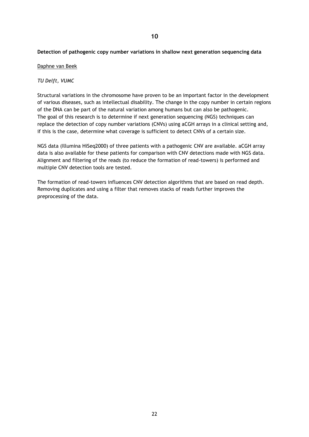# **Detection of pathogenic copy number variations in shallow next generation sequencing data**

#### Daphne van Beek

### *TU Delft, VUMC*

Structural variations in the chromosome have proven to be an important factor in the development of various diseases, such as intellectual disability. The change in the copy number in certain regions of the DNA can be part of the natural variation among humans but can also be pathogenic. The goal of this research is to determine if next generation sequencing (NGS) techniques can replace the detection of copy number variations (CNVs) using aCGH arrays in a clinical setting and, if this is the case, determine what coverage is sufficient to detect CNVs of a certain size.

NGS data (Illumina HiSeq2000) of three patients with a pathogenic CNV are available. aCGH array data is also available for these patients for comparison with CNV detections made with NGS data. Alignment and filtering of the reads (to reduce the formation of read-towers) is performed and multiple CNV detection tools are tested.

The formation of read-towers influences CNV detection algorithms that are based on read depth. Removing duplicates and using a filter that removes stacks of reads further improves the preprocessing of the data.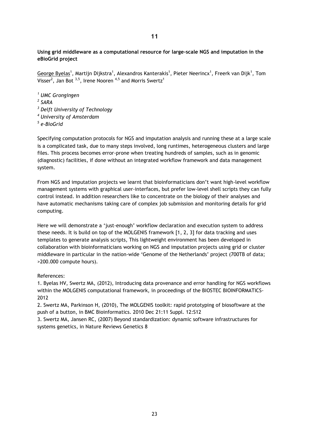**Using grid middleware as a computational resource for large-scale NGS and imputation in the eBioGrid project**

<u>George Byelas</u><sup>1</sup>, Martijn Dijkstra<sup>1</sup>, Alexandros Kanterakis<sup>1</sup>, Pieter Neerincx<sup>1</sup>, Freerk van Dijk<sup>1</sup>, Tom Visser<sup>2</sup>, Jan Bot  $^{3,5}$ , Irene Nooren  $^{4,5}$  and Morris Swertz<sup>1</sup>

 *UMC Grongingen 2 SARA Delft University of Technology University of Amsterdam e-BioGrid*

Specifying computation protocols for NGS and imputation analysis and running these at a large scale is a complicated task, due to many steps involved, long runtimes, heterogeneous clusters and large files. This process becomes error-prone when treating hundreds of samples, such as in genomic (diagnostic) facilities, if done without an integrated workflow framework and data management system.

From NGS and imputation projects we learnt that bioinformaticians don't want high-level workflow management systems with graphical user-interfaces, but prefer low-level shell scripts they can fully control instead. In addition researchers like to concentrate on the biology of their analyses and have automatic mechanisms taking care of complex job submission and monitoring details for grid computing.

Here we will demonstrate a 'just-enough' workflow declaration and execution system to address these needs. It is build on top of the MOLGENIS framework [1, 2, 3] for data tracking and uses templates to generate analysis scripts, This lightweight environment has been developed in collaboration with bioinformaticians working on NGS and imputation projects using grid or cluster middleware in particular in the nation-wide 'Genome of the Netherlands' project (700TB of data; >200.000 compute hours).

References:

1. Byelas HV, Swertz MA, (2012), Introducing data provenance and error handling for NGS workflows within the MOLGENIS computational framework, in proceedings of the BIOSTEC BIOINFORMATICS-2012

2. Swertz MA, Parkinson H, (2010), The MOLGENIS toolkit: rapid prototyping of biosoftware at the push of a button, in BMC Bioinformatics. 2010 Dec 21:11 Suppl. 12:S12

3. Swertz MA, Jansen RC, (2007) Beyond standardization: dynamic software infrastructures for systems genetics, in Nature Reviews Genetics 8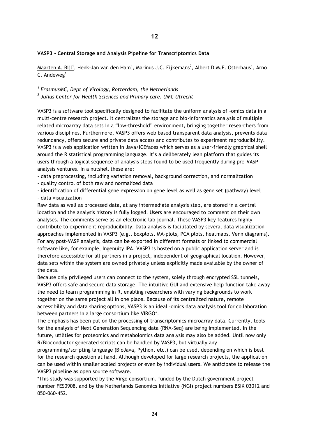### **VASP3 - Central Storage and Analysis Pipeline for Transcriptomics Data**

 $\textsf{Maarten A. Bij}^{1},$  Henk-Jan van den Ham $^{1},$  Marinus J.C. Eijkemans $^{2},$  Albert D.M.E. Osterhaus $^{1},$  Arno  $C.$  Andeweg<sup>1</sup>

*1 ErasmusMC, Dept of Virology, Rotterdam, the Netherlands 2 Julius Center for Health Sciences and Primary care, UMC Utrecht*

VASP3 is a software tool specifically designed to facilitate the uniform analysis of -omics data in a multi-centre research project. It centralizes the storage and bio-informatics analysis of multiple related microarray data sets in a "low-threshold" environment, bringing together researchers from various disciplines. Furthermore, VASP3 offers web based transparent data analysis, prevents data redundancy, offers secure and private data access and contributes to experiment reproducibility. VASP3 is a web application written in Java/ICEfaces which serves as a user-friendly graphical shell around the R statistical programming language. It's a deliberately lean platform that guides its users through a logical sequence of analysis steps found to be used frequently during pre-VASP analysis ventures. In a nutshell these are:

- data preprocessing, including variation removal, background correction, and normalization

- quality control of both raw and normalized data

- identification of differential gene expression on gene level as well as gene set (pathway) level - data visualization

Raw data as well as processed data, at any intermediate analysis step, are stored in a central location and the analysis history is fully logged. Users are encouraged to comment on their own analyses. The comments serve as an electronic lab journal. These VASP3 key features highly contribute to experiment reproducibility. Data analysis is facilitated by several data visualization approaches implemented in VASP3 (e.g., boxplots, MA-plots, PCA plots, heatmaps, Venn diagrams). For any post-VASP analysis, data can be exported in different formats or linked to commercial software like, for example, Ingenuity IPA. VASP3 is hosted on a public application server and is therefore accessible for all partners in a project, independent of geographical location. However, data sets within the system are owned privately unless explicitly made available by the owner of the data.

Because only privileged users can connect to the system, solely through encrypted SSL tunnels, VASP3 offers safe and secure data storage. The intuitive GUI and extensive help function take away the need to learn programming in R, enabling researchers with varying backgrounds to work together on the same project all in one place. Because of its centralized nature, remote accessibility and data sharing options, VASP3 is an ideal –omics data analysis tool for collaboration between partners in a large consortium like VIRGO\*.

The emphasis has been put on the processing of transcriptomics microarray data. Currently, tools for the analysis of Next Generation Sequencing data (RNA-Seq) are being implemented. In the future, utilities for proteomics and metabolomics data analysis may also be added. Until now only R/Bioconductor generated scripts can be handled by VASP3, but virtually any

programming/scripting language (BioJava, Python, etc.) can be used, depending on which is best for the research question at hand. Although developed for large research projects, the application can be used within smaller scaled projects or even by individual users. We anticipate to release the VASP3 pipeline as open source software.

\*This study was supported by the Virgo consortium, funded by the Dutch government project number FES0908, and by the Netherlands Genomics Initiative (NGI) project numbers BSIK 03012 and 050-060-452.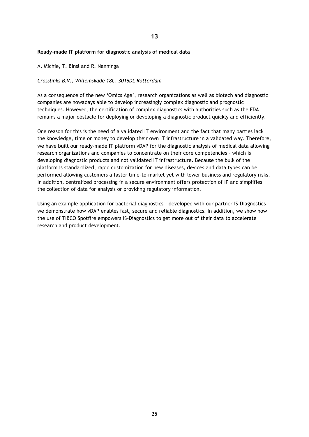# **Ready-made IT platform for diagnostic analysis of medical data**

A. Michie, T. Binsl and R. Nanninga

### *Crosslinks B.V., Willemskade 18C, 3016DL Rotterdam*

As a consequence of the new 'Omics Age', research organizations as well as biotech and diagnostic companies are nowadays able to develop increasingly complex diagnostic and prognostic techniques. However, the certification of complex diagnostics with authorities such as the FDA remains a major obstacle for deploying or developing a diagnostic product quickly and efficiently.

One reason for this is the need of a validated IT environment and the fact that many parties lack the knowledge, time or money to develop their own IT infrastructure in a validated way. Therefore, we have built our ready-made IT platform vDAP for the diagnostic analysis of medical data allowing research organizations and companies to concentrate on their core competencies – which is developing diagnostic products and not validated IT infrastructure. Because the bulk of the platform is standardized, rapid customization for new diseases, devices and data types can be performed allowing customers a faster time-to-market yet with lower business and regulatory risks. In addition, centralized processing in a secure environment offers protection of IP and simplifies the collection of data for analysis or providing regulatory information.

Using an example application for bacterial diagnostics - developed with our partner IS-Diagnostics we demonstrate how vDAP enables fast, secure and reliable diagnostics. In addition, we show how the use of TIBCO Spotfire empowers IS-Diagnostics to get more out of their data to accelerate research and product development.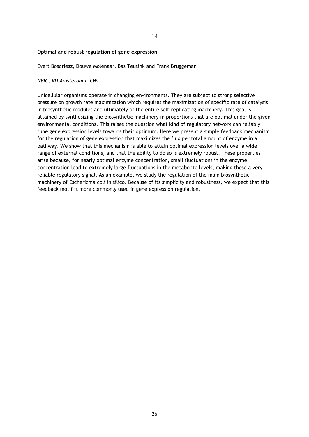#### **Optimal and robust regulation of gene expression**

Evert Bosdriesz, Douwe Molenaar, Bas Teusink and Frank Bruggeman

### *NBIC, VU Amsterdam, CWI*

Unicellular organisms operate in changing environments. They are subject to strong selective pressure on growth rate maximization which requires the maximization of specific rate of catalysis in biosynthetic modules and ultimately of the entire self-replicating machinery. This goal is attained by synthesizing the biosynthetic machinery in proportions that are optimal under the given environmental conditions. This raises the question what kind of regulatory network can reliably tune gene expression levels towards their optimum. Here we present a simple feedback mechanism for the regulation of gene expression that maximizes the flux per total amount of enzyme in a pathway. We show that this mechanism is able to attain optimal expression levels over a wide range of external conditions, and that the ability to do so is extremely robust. These properties arise because, for nearly optimal enzyme concentration, small fluctuations in the enzyme concentration lead to extremely large fluctuations in the metabolite levels, making these a very reliable regulatory signal. As an example, we study the regulation of the main biosynthetic machinery of Escherichia coli in silico. Because of its simplicity and robustness, we expect that this feedback motif is more commonly used in gene expression regulation.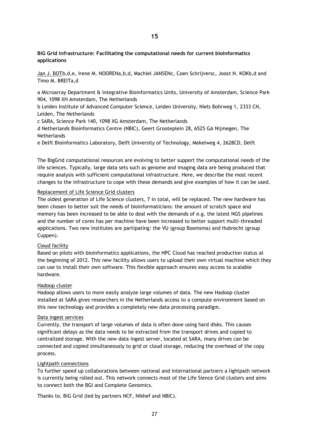# **BiG Grid infrastructure: Facilitating the computational needs for current bioinformatics applications**

Jan J. BOTb,d,e, Irene M. NOORENa,b,d, Machiel JANSENc, Coen Schrijversc, Joost N. KOKb,d and Timo M. BREITa,d

a Microarray Department & Integrative Bioinformatics Units, University of Amsterdam, Science Park 904, 1098 XH Amsterdam, The Netherlands

b Leiden Institute of Advanced Computer Science, Leiden University, Niels Bohrweg 1, 2333 CN, Leiden, The Netherlands

c SARA, Science Park 140, 1098 XG Amsterdam, The Netherlands

d Netherlands Bioinformatics Centre (NBIC), Geert Grooteplein 28, 6525 GA Nijmegen, The **Netherlands** 

e Delft Bioinformatics Laboratory, Delft University of Technology, Mekelweg 4, 2628CD, Delft

The BigGrid computational resources are evolving to better support the computational needs of the life sciences. Typically, large data sets such as genome and imaging data are being produced that require analysis with sufficient computational infrastructure. Here, we describe the most recent changes to the infrastructure to cope with these demands and give examples of how it can be used.

# Replacement of Life Science Grid clusters

The oldest generation of Life Science clusters, 7 in total, will be replaced. The new hardware has been chosen to better suit the needs of bioinformaticians: the amount of scratch space and memory has been increased to be able to deal with the demands of e.g. the latest NGS pipelines and the number of cores has per machine have been increased to better support multi-threaded applications. Two new institutes are partipating: the VU (group Boomsma) and Hubrecht (group Cuppen).

# Cloud facility

Based on pilots with bioinformatics applications, the HPC Cloud has reached production status at the beginning of 2012. This new facility allows users to upload their own virtual machine which they can use to install their own software. This flexible approach ensures easy access to scalable hardware.

# Hadoop cluster

Hadoop allows users to more easily analyze large volumes of data. The new Hadoop cluster installed at SARA gives researchers in the Netherlands access to a compute environment based on this new technology and provides a completely new data processing paradigm.

# Data ingest services

Currently, the transport of large volumes of data is often done using hard disks. This causes significant delays as the data needs to be extracted from the transport drives and copied to centralized storage. With the new data ingest server, located at SARA, many drives can be connected and copied simultaneously to grid or cloud storage, reducing the overhead of the copy process.

# Lightpath connections

To further speed up collaborations between national and international partners a lightpath network is currently being rolled out. This network connects most of the Life Sience Grid clusters and aims to connect both the BGI and Complete Genomics.

Thanks to. BiG Grid (led by partners NCF, Nikhef and NBIC).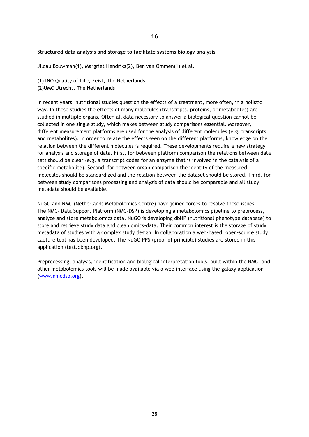### **Structured data analysis and storage to facilitate systems biology analysis**

Jildau Bouwman(1), Margriet Hendriks(2), Ben van Ommen(1) et al.

(1)TNO Quality of Life, Zeist, The Netherlands; (2)UMC Utrecht, The Netherlands

In recent years, nutritional studies question the effects of a treatment, more often, in a holistic way. In these studies the effects of many molecules (transcripts, proteins, or metabolites) are studied in multiple organs. Often all data necessary to answer a biological question cannot be collected in one single study, which makes between study comparisons essential. Moreover, different measurement platforms are used for the analysis of different molecules (e.g. transcripts and metabolites). In order to relate the effects seen on the different platforms, knowledge on the relation between the different molecules is required. These developments require a new strategy for analysis and storage of data. First, for between platform comparison the relations between data sets should be clear (e.g. a transcript codes for an enzyme that is involved in the catalysis of a specific metabolite). Second, for between organ comparison the identity of the measured molecules should be standardized and the relation between the dataset should be stored. Third, for between study comparisons processing and analysis of data should be comparable and all study metadata should be available.

NuGO and NMC (Netherlands Metabolomics Centre) have joined forces to resolve these issues. The NMC- Data Support Platform (NMC-DSP) is developing a metabolomics pipeline to preprocess, analyze and store metabolomics data. NuGO is developing dbNP (nutritional phenotype database) to store and retrieve study data and clean omics-data. Their common interest is the storage of study metadata of studies with a complex study design. In collaboration a web-based, open-source study capture tool has been developed. The NuGO PPS (proof of principle) studies are stored in this application (test.dbnp.org).

Preprocessing, analysis, identification and biological interpretation tools, built within the NMC, and other metabolomics tools will be made available via a web interface using the galaxy application [\(www.nmcdsp.org\)](http://www.nmcdsp.org/).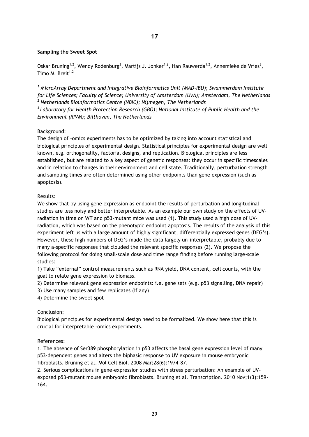# **Sampling the Sweet Spot**

Oskar Bruning<sup>1,2</sup>, Wendy Rodenburg<sup>3</sup>, Martijs J. Jonker<sup>1,2</sup>, Han Rauwerda<sup>1,2</sup>, Annemieke de Vries<sup>3</sup>, Timo M. Breit $1,2$ 

*<sup>1</sup> MicroArray Department and Integrative Bioinformatics Unit (MAD-IBU); Swammerdam Institute for Life Sciences; Faculty of Science; University of Amsterdam (UvA); Amsterdam, The Netherlands <sup>2</sup> Netherlands Bioinformatics Centre (NBIC); Nijmegen, The Netherlands*

*<sup>3</sup>Laboratory for Health Protection Research (GBO); National Institute of Public Health and the Environment (RIVM); Bilthoven, The Netherlands*

# Background:

The design of –omics experiments has to be optimized by taking into account statistical and biological principles of experimental design. Statistical principles for experimental design are well known, e.g. orthogonality, factorial designs, and replication. Biological principles are less established, but are related to a key aspect of genetic responses: they occur in specific timescales and in relation to changes in their environment and cell state. Traditionally, perturbation strength and sampling times are often determined using other endpoints than gene expression (such as apoptosis).

# Results:

We show that by using gene expression as endpoint the results of perturbation and longitudinal studies are less noisy and better interpretable. As an example our own study on the effects of UVradiation in time on WT and p53-mutant mice was used (1). This study used a high dose of UVradiation, which was based on the phenotypic endpoint apoptosis. The results of the analysis of this experiment left us with a large amount of highly significant, differentially expressed genes (DEG's). However, these high numbers of DEG's made the data largely un-interpretable, probably due to many a-specific responses that clouded the relevant specific responses (2). We propose the following protocol for doing small-scale dose and time range finding before running large-scale studies:

1) Take "external" control measurements such as RNA yield, DNA content, cell counts, with the goal to relate gene expression to biomass.

2) Determine relevant gene expression endpoints: i.e. gene sets (e.g. p53 signalling, DNA repair)

3) Use many samples and few replicates (if any)

4) Determine the sweet spot

# Conclusion:

Biological principles for experimental design need to be formalized. We show here that this is crucial for interpretable –omics experiments.

# References:

1. The absence of Ser389 phosphorylation in p53 affects the basal gene expression level of many p53-dependent genes and alters the biphasic response to UV exposure in mouse embryonic fibroblasts. Bruning et al. Mol Cell Biol. 2008 Mar;28(6):1974-87.

2. Serious complications in gene-expression studies with stress perturbation: An example of UVexposed p53-mutant mouse embryonic fibroblasts. Bruning et al. Transcription. 2010 Nov;1(3):159- 164.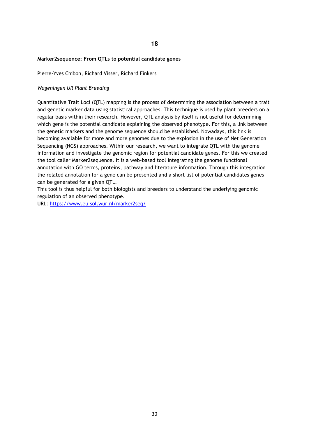#### **Marker2sequence: From QTLs to potential candidate genes**

Pierre-Yves Chibon, Richard Visser, Richard Finkers

#### *Wageningen UR Plant Breeding*

Quantitative Trait Loci (QTL) mapping is the process of determining the association between a trait and genetic marker data using statistical approaches. This technique is used by plant breeders on a regular basis within their research. However, QTL analysis by itself is not useful for determining which gene is the potential candidate explaining the observed phenotype. For this, a link between the genetic markers and the genome sequence should be established. Nowadays, this link is becoming available for more and more genomes due to the explosion in the use of Net Generation Sequencing (NGS) approaches. Within our research, we want to integrate QTL with the genome information and investigate the genomic region for potential candidate genes. For this we created the tool caller Marker2sequence. It is a web-based tool integrating the genome functional annotation with GO terms, proteins, pathway and literature information. Through this integration the related annotation for a gene can be presented and a short list of potential candidates genes can be generated for a given QTL.

This tool is thus helpful for both biologists and breeders to understand the underlying genomic regulation of an observed phenotype.

URL:<https://www.eu-sol.wur.nl/marker2seq/>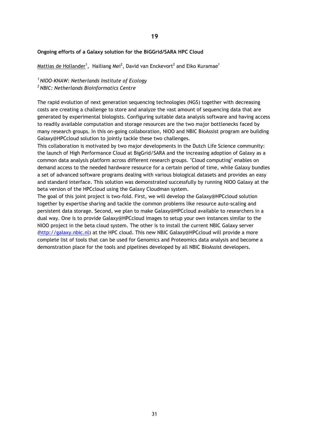# **Ongoing efforts of a Galaxy solution for the BiGGrid/SARA HPC Cloud**

 $\textsf{Mattias}$  de Hollander $^1\textsf{,}~$  Hailiang Mei $^2\textsf{,}$  David van Enckevort $^2$  and Eiko Kuramae $^1$ 

*<sup>1</sup>NIOO-KNAW: Netherlands Institute of Ecology <sup>2</sup>NBIC: Netherlands Bioinformatics Centre*

The rapid evolution of next generation sequencing technologies (NGS) together with decreasing costs are creating a challenge to store and analyze the vast amount of sequencing data that are generated by experimental biologists. Configuring suitable data analysis software and having access to readily available computation and storage resources are the two major bottlenecks faced by many research groups. In this on-going collaboration, NIOO and NBIC BioAssist program are building Galaxy@HPCcloud solution to jointly tackle these two challenges.

This collaboration is motivated by two major developments in the Dutch Life Science community: the launch of High Performance Cloud at BigGrid/SARA and the increasing adoption of Galaxy as a common data analysis platform across different research groups. "Cloud computing" enables on demand access to the needed hardware resource for a certain period of time, while Galaxy bundles a set of advanced software programs dealing with various biological datasets and provides an easy and standard interface. This solution was demonstrated successfully by running NIOO Galaxy at the beta version of the HPCcloud using the Galaxy Cloudman system.

The goal of this joint project is two-fold. First, we will develop the Galaxy@HPCcloud solution together by expertise sharing and tackle the common problems like resource auto-scaling and persistent data storage. Second, we plan to make Galaxy@HPCcloud available to researchers in a dual way. One is to provide Galaxy@HPCcloud images to setup your own instances similar to the NIOO project in the beta cloud system. The other is to install the current NBIC Galaxy server [\(http://galaxy.nbic.nl\)](http://galaxy.nbic.nl/) at the HPC cloud. This new NBIC Galaxy@HPCcloud will provide a more complete list of tools that can be used for Genomics and Proteomics data analysis and become a demonstration place for the tools and pipelines developed by all NBIC BioAssist developers.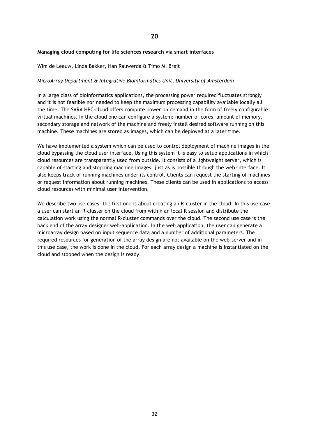#### **Managing cloud computing for life sciences research via smart interfaces**

#### Wim de Leeuw, Linda Bakker, Han Rauwerda & Timo M. Breit

#### *MicroArray Department & Integrative BioInformatics Unit, University of Amsterdam*

In a large class of bioinformatics applications, the processing power required fluctuates strongly and it is not feasible nor needed to keep the maximum processing capability available locally all the time. The SARA HPC-cloud offers compute power on demand in the form of freely configurable virtual machines. In the cloud one can configure a system: number of cores, amount of memory, secondary storage and network of the machine and freely install desired software running on this machine. These machines are stored as images, which can be deployed at a later time.

We have implemented a system which can be used to control deployment of machine images in the cloud bypassing the cloud user interface. Using this system it is easy to setup applications in which cloud resources are transparently used from outside. It consists of a lightweight server, which is capable of starting and stopping machine images, just as is possible through the web-interface. It also keeps track of running machines under its control. Clients can request the starting of machines or request information about running machines. These clients can be used in applications to access cloud resources with minimal user intervention.

We describe two use cases: the first one is about creating an R-cluster in the cloud. In this use case a user can start an R-cluster on the cloud from within an local R session and distribute the calculation work using the normal R-cluster commands over the cloud. The second use case is the back end of the array designer web-application. In the web application, the user can generate a microarray design based on input sequence data and a number of additional parameters. The required resources for generation of the array design are not available on the web-server and in this use case, the work is done in the cloud. For each array design a machine is instantiated on the cloud and stopped when the design is ready.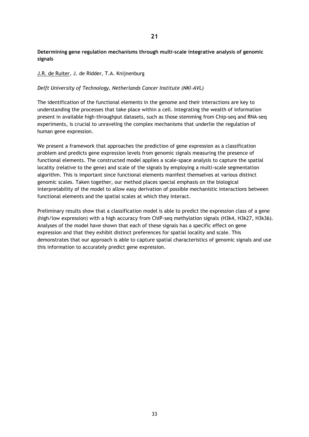# **Determining gene regulation mechanisms through multi-scale integrative analysis of genomic signals**

# J.R. de Ruiter, J. de Ridder, T.A. Knijnenburg

# *Delft University of Technology, Netherlands Cancer Institute (NKI-AVL)*

The identification of the functional elements in the genome and their interactions are key to understanding the processes that take place within a cell. Integrating the wealth of information present in available high-throughput datasets, such as those stemming from Chip-seq and RNA-seq experiments, is crucial to unraveling the complex mechanisms that underlie the regulation of human gene expression.

We present a framework that approaches the prediction of gene expression as a classification problem and predicts gene expression levels from genomic signals measuring the presence of functional elements. The constructed model applies a scale-space analysis to capture the spatial locality (relative to the gene) and scale of the signals by employing a multi-scale segmentation algorithm. This is important since functional elements manifest themselves at various distinct genomic scales. Taken together, our method places special emphasis on the biological interpretability of the model to allow easy derivation of possible mechanistic interactions between functional elements and the spatial scales at which they interact.

Preliminary results show that a classification model is able to predict the expression class of a gene (high/low expression) with a high accuracy from ChIP-seq methylation signals (H3k4, H3k27, H3k36). Analyses of the model have shown that each of these signals has a specific effect on gene expression and that they exhibit distinct preferences for spatial locality and scale. This demonstrates that our approach is able to capture spatial characteristics of genomic signals and use this information to accurately predict gene expression.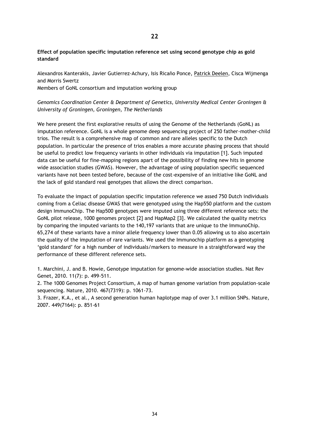# **Effect of population specific imputation reference set using second genotype chip as gold standard**

Alexandros Kanterakis, Javier Gutierrez-Achury, Isis Ricaño Ponce, Patrick Deelen, Cisca Wijmenga and Morris Swertz

Members of GoNL consortium and imputation working group

*Genomics Coordination Center & Department of Genetics, University Medical Center Groningen & University of Groningen, Groningen, The Netherlands*

We here present the first explorative results of using the Genome of the Netherlands (GoNL) as imputation reference. GoNL is a whole genome deep sequencing project of 250 father-mother-child trios. The result is a comprehensive map of common and rare alleles specific to the Dutch population. In particular the presence of trios enables a more accurate phasing process that should be useful to predict low frequency variants in other individuals via imputation [1]. Such imputed data can be useful for fine-mapping regions apart of the possibility of finding new hits in genome wide association studies (GWAS). However, the advantage of using population specific sequenced variants have not been tested before, because of the cost-expensive of an initiative like GoNL and the lack of gold standard real genotypes that allows the direct comparison.

To evaluate the impact of population specific imputation reference we assed 750 Dutch individuals coming from a Celiac disease GWAS that were genotyped using the Hap550 platform and the custom design ImmunoChip. The Hap500 genotypes were imputed using three different reference sets: the GoNL pilot release, 1000 genomes project [2] and HapMap2 [3]. We calculated the quality metrics by comparing the imputed variants to the 140,197 variants that are unique to the ImmunoChip. 65,274 of these variants have a minor allele frequency lower than 0.05 allowing us to also ascertain the quality of the imputation of rare variants. We used the Immunochip platform as a genotyping 'gold standard' for a high number of individuals/markers to measure in a straightforward way the performance of these different reference sets.

1. Marchini, J. and B. Howie, Genotype imputation for genome-wide association studies. Nat Rev Genet, 2010. 11(7): p. 499-511.

2. The 1000 Genomes Project Consortium, A map of human genome variation from population-scale sequencing. Nature, 2010. 467(7319): p. 1061-73.

3. Frazer, K.A., et al., A second generation human haplotype map of over 3.1 million SNPs. Nature, 2007. 449(7164): p. 851-61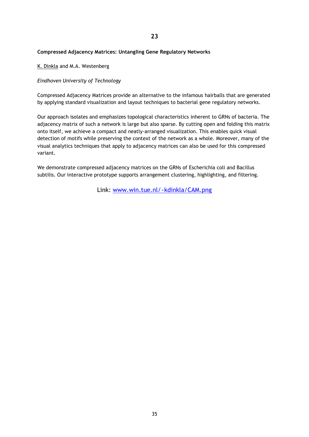# **Compressed Adjacency Matrices: Untangling Gene Regulatory Networks**

K. Dinkla and M.A. Westenberg

# *Eindhoven University of Technology*

Compressed Adjacency Matrices provide an alternative to the infamous hairballs that are generated by applying standard visualization and layout techniques to bacterial gene regulatory networks.

Our approach isolates and emphasizes topological characteristics inherent to GRNs of bacteria. The adjacency matrix of such a network is large but also sparse. By cutting open and folding this matrix onto itself, we achieve a compact and neatly-arranged visualization. This enables quick visual detection of motifs while preserving the context of the network as a whole. Moreover, many of the visual analytics techniques that apply to adjacency matrices can also be used for this compressed variant.

We demonstrate compressed adjacency matrices on the GRNs of Escherichia coli and Bacillus subtilis. Our interactive prototype supports arrangement clustering, highlighting, and filtering.

Link: [www.win.tue.nl/~kdinkla/CAM.png](http://www.win.tue.nl/~kdinkla/CAM.png)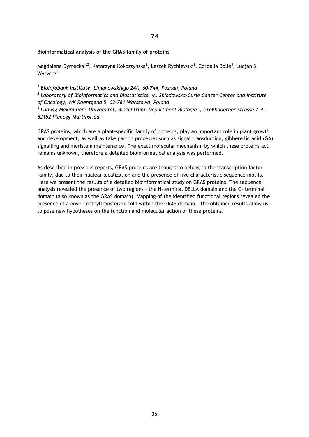# **24**

# **Bioinformatical analysis of the GRAS family of proteins**

<u>Magdalena Dymecka $^{1,2}$ ,</u> Katarzyna Kokoszyńska $^{2}$ , Leszek Rychlewski $^{1}$ , Cordelia Bolle $^{3}$ , Lucjan S. Wyrwicz<sup>2</sup>

*1 Bioinfobank Institute, Limanowskiego 24A, 60-744, Poznań, Poland 2 Laboratory of Bioinformatics and Biostatistics, M. Skłodowska-Curie Cancer Center and Institute of Oncology, WK Roentgena 5, 02-781 Warszawa, Poland*

*3 Ludwig-Maximilians-Universitat, Biozentrum, Department Biologie I, Großhaderner Strasse 2-4, 82152 Planegg-Martinsried*

GRAS proteins, which are a plant-specific family of proteins, play an important role in plant growth and development, as well as take part in processes such as signal transduction, gibberellic acid (GA) signalling and meristem maintenance. The exact molecular mechanism by which these proteins act remains unknown, therefore a detailed bioinformatical analysis was performed.

As described in previous reports, GRAS proteins are thought to belong to the transcription factor family, due to their nuclear localization and the presence of five characteristic sequence motifs. Here we present the results of a detailed bioinformatical study on GRAS proteins. The sequence analysis revealed the presence of two regions - the N-terminal DELLA domain and the C- terminal domain (also known as the GRAS domain). Mapping of the identified functional regions revealed the presence of a novel methyltransferase fold within the GRAS domain . The obtained results allow us to pose new hypotheses on the function and molecular action of these proteins.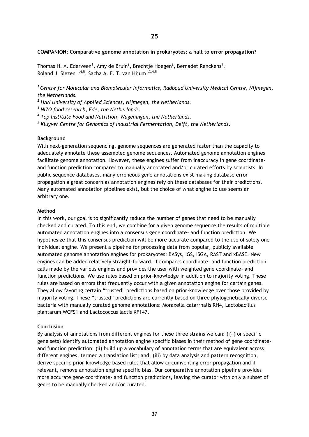#### **COMPANION: Comparative genome annotation in prokaryotes: a halt to error propagation?**

Thomas H. A. Ederveen<sup>1</sup>, Amy de Bruin<sup>2</sup>, Brechtje Hoegen<sup>2</sup>, Bernadet Renckens<sup>1</sup>, Roland J. Siezen  $1,4,5$ , Sacha A. F. T. van Hijum $1,3,4,5$ 

*<sup>1</sup>Centre for Molecular and Biomolecular Informatics, Radboud University Medical Centre, Nijmegen, the Netherlands.*

*<sup>2</sup> HAN University of Applied Sciences, Nijmegen, the Netherlands.*

*<sup>3</sup> NIZO food research, Ede, the Netherlands.*

*4 Top Institute Food and Nutrition, Wageningen, the Netherlands.*

*5 Kluyver Centre for Genomics of Industrial Fermentation, Delft, the Netherlands.*

#### **Background**

With next-generation sequencing, genome sequences are generated faster than the capacity to adequately annotate these assembled genome sequences. Automated genome annotation engines facilitate genome annotation. However, these engines suffer from inaccuracy in gene coordinateand function prediction compared to manually annotated and/or curated efforts by scientists. In public sequence databases, many erroneous gene annotations exist making database error propagation a great concern as annotation engines rely on these databases for their predictions. Many automated annotation pipelines exist, but the choice of what engine to use seems an arbitrary one.

#### **Method**

In this work, our goal is to significantly reduce the number of genes that need to be manually checked and curated. To this end, we combine for a given genome sequence the results of multiple automated annotation engines into a consensus gene coordinate- and function prediction. We hypothesize that this consensus prediction will be more accurate compared to the use of solely one individual engine. We present a pipeline for processing data from popular, publicly available automated genome annotation engines for prokaryotes: BASys, IGS, ISGA, RAST and xBASE. New engines can be added relatively straight-forward. It compares coordinate- and function prediction calls made by the various engines and provides the user with weighted gene coordinate- and function predictions. We use rules based on prior-knowledge in addition to majority voting. These rules are based on errors that frequently occur with a given annotation engine for certain genes. They allow favoring certain "trusted" predictions based on prior-knowledge over those provided by majority voting. These "trusted" predictions are currently based on three phylogenetically diverse bacteria with manually curated genome annotations: Moraxella catarrhalis RH4, Lactobacillus plantarum WCFS1 and Lactococcus lactis KF147.

# **Conclusion**

By analysis of annotations from different engines for these three strains we can: (i) (for specific gene sets) identify automated annotation engine specific biases in their method of gene coordinateand function prediction; (ii) build up a vocabulary of annotation terms that are equivalent across different engines, termed a translation list; and, (iii) by data analysis and pattern recognition, derive specific prior-knowledge based rules that allow circumventing error propagation and if relevant, remove annotation engine specific bias. Our comparative annotation pipeline provides more accurate gene coordinate- and function predictions, leaving the curator with only a subset of genes to be manually checked and/or curated.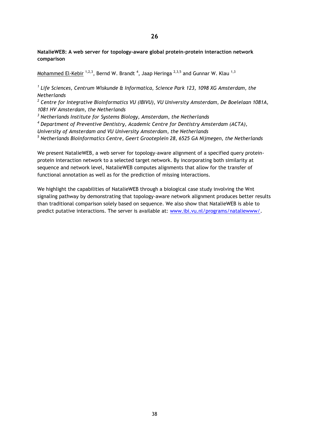# **26**

**NatalieWEB: A web server for topology-aware global protein-protein interaction network comparison**

Mohammed El-Kebir <sup>1,2,3</sup>, Bernd W. Brandt <sup>4</sup>, Jaap Heringa <sup>2,3,5</sup> and Gunnar W. Klau <sup>1,3</sup>

<sup>1</sup> Life Sciences, Centrum Wiskunde & Informatica, Science Park 123, 1098 XG Amsterdam, the *Netherlands*

*2 Centre for Integrative Bioinformatics VU (IBIVU), VU University Amsterdam, De Boelelaan 1081A, 1081 HV Amsterdam, the Netherlands*

*<sup>3</sup> Netherlands Institute for Systems Biology, Amsterdam, the Netherlands*

*<sup>4</sup> Department of Preventive Dentistry, Academic Centre for Dentistry Amsterdam (ACTA),* 

*University of Amsterdam and VU University Amsterdam, the Netherlands*

*<sup>5</sup> Netherlands Bioinformatics Centre, Geert Grooteplein 28, 6525 GA Nijmegen, the Netherlands*

We present NatalieWEB, a web server for topology-aware alignment of a specified query proteinprotein interaction network to a selected target network. By incorporating both similarity at sequence and network level, NatalieWEB computes alignments that allow for the transfer of functional annotation as well as for the prediction of missing interactions.

We highlight the capabilities of NatalieWEB through a biological case study involving the Wnt signaling pathway by demonstrating that topology-aware network alignment produces better results than traditional comparison solely based on sequence. We also show that NatalieWEB is able to predict putative interactions. The server is available at: [www.ibi.vu.nl/programs/nataliewww/.](http://www.ibi.vu.nl/programs/nataliewww/)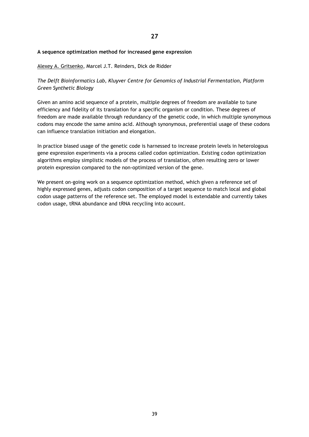# **A sequence optimization method for increased gene expression**

# Alexey A. Gritsenko, Marcel J.T. Reinders, Dick de Ridder

# *The Delft Bioinformatics Lab, Kluyver Centre for Genomics of Industrial Fermentation, Platform Green Synthetic Biology*

Given an amino acid sequence of a protein, multiple degrees of freedom are available to tune efficiency and fidelity of its translation for a specific organism or condition. These degrees of freedom are made available through redundancy of the genetic code, in which multiple synonymous codons may encode the same amino acid. Although synonymous, preferential usage of these codons can influence translation initiation and elongation.

In practice biased usage of the genetic code is harnessed to increase protein levels in heterologous gene expression experiments via a process called codon optimization. Existing codon optimization algorithms employ simplistic models of the process of translation, often resulting zero or lower protein expression compared to the non-optimized version of the gene.

We present on-going work on a sequence optimization method, which given a reference set of highly expressed genes, adjusts codon composition of a target sequence to match local and global codon usage patterns of the reference set. The employed model is extendable and currently takes codon usage, tRNA abundance and tRNA recycling into account.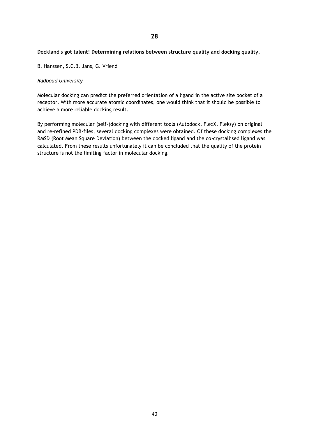# **Dockland's got talent! Determining relations between structure quality and docking quality.**

B. Hanssen, S.C.B. Jans, G. Vriend

# *Radboud University*

Molecular docking can predict the preferred orientation of a ligand in the active site pocket of a receptor. With more accurate atomic coordinates, one would think that it should be possible to achieve a more reliable docking result.

By performing molecular (self-)docking with different tools (Autodock, FlexX, Fleksy) on original and re-refined PDB-files, several docking complexes were obtained. Of these docking complexes the RMSD (Root Mean Square Deviation) between the docked ligand and the co-crystallised ligand was calculated. From these results unfortunately it can be concluded that the quality of the protein structure is not the limiting factor in molecular docking.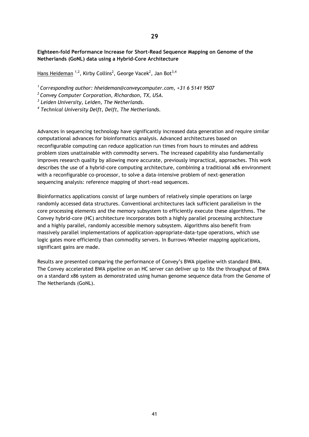**Eighteen-fold Performance Increase for Short-Read Sequence Mapping on Genome of the Netherlands (GoNL) data using a Hybrid-Core Architecture**

Hans Heideman <sup>1,2</sup>, Kirby Collins<sup>2</sup>, George Vacek<sup>2</sup>, Jan Bot<sup>3,4</sup>

*<sup>1</sup>Corresponding author: hheideman@conveycomputer.com, +31 6 5141 9507*

*<sup>2</sup>Convey Computer Corporation, Richardson, TX, USA.* 

*3 Leiden University, Leiden, The Netherlands.*

*4 Technical University Delft, Delft, The Netherlands.*

Advances in sequencing technology have significantly increased data generation and require similar computational advances for bioinformatics analysis. Advanced architectures based on reconfigurable computing can reduce application run times from hours to minutes and address problem sizes unattainable with commodity servers. The increased capability also fundamentally improves research quality by allowing more accurate, previously impractical, approaches. This work describes the use of a hybrid-core computing architecture, combining a traditional x86 environment with a reconfigurable co-processor, to solve a data-intensive problem of next-generation sequencing analysis: reference mapping of short-read sequences.

Bioinformatics applications consist of large numbers of relatively simple operations on large randomly accessed data structures. Conventional architectures lack sufficient parallelism in the core processing elements and the memory subsystem to efficiently execute these algorithms. The Convey hybrid-core (HC) architecture incorporates both a highly parallel processing architecture and a highly parallel, randomly accessible memory subsystem. Algorithms also benefit from massively parallel implementations of application-appropriate-data-type operations, which use logic gates more efficiently than commodity servers. In Burrows-Wheeler mapping applications, significant gains are made.

Results are presented comparing the performance of Convey's BWA pipeline with standard BWA. The Convey accelerated BWA pipeline on an HC server can deliver up to 18x the throughput of BWA on a standard x86 system as demonstrated using human genome sequence data from the Genome of The Netherlands (GoNL).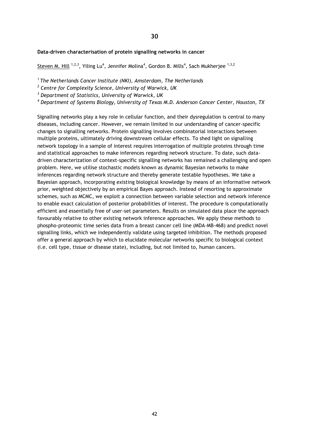**30**

#### **Data-driven characterisation of protein signalling networks in cancer**

Steven M. Hill <sup>1,2,3</sup>, Yiling Lu<sup>4</sup>, Jennifer Molina<sup>4</sup>, Gordon B. Mills<sup>4</sup>, Sach Mukherjee <sup>1,3,2</sup>

*<sup>1</sup>The Netherlands Cancer Institute (NKI), Amsterdam, The Netherlands*

*2 Centre for Complexity Science, University of Warwick, UK*

*<sup>3</sup> Department of Statistics, University of Warwick, UK*

*<sup>4</sup> Department of Systems Biology, University of Texas M.D. Anderson Cancer Center, Houston, TX*

Signalling networks play a key role in cellular function, and their dysregulation is central to many diseases, including cancer. However, we remain limited in our understanding of cancer-specific changes to signalling networks. Protein signalling involves combinatorial interactions between multiple proteins, ultimately driving downstream cellular effects. To shed light on signalling network topology in a sample of interest requires interrogation of multiple proteins through time and statistical approaches to make inferences regarding network structure. To date, such datadriven characterization of context-specific signalling networks has remained a challenging and open problem. Here, we utilise stochastic models known as dynamic Bayesian networks to make inferences regarding network structure and thereby generate testable hypotheses. We take a Bayesian approach, incorporating existing biological knowledge by means of an informative network prior, weighted objectively by an empirical Bayes approach. Instead of resorting to approximate schemes, such as MCMC, we exploit a connection between variable selection and network inference to enable exact calculation of posterior probabilities of interest. The procedure is computationally efficient and essentially free of user-set parameters. Results on simulated data place the approach favourably relative to other existing network inference approaches. We apply these methods to phospho-proteomic time series data from a breast cancer cell line (MDA-MB-468) and predict novel signalling links, which we independently validate using targeted inhibition. The methods proposed offer a general approach by which to elucidate molecular networks specific to biological context (i.e. cell type, tissue or disease state), including, but not limited to, human cancers.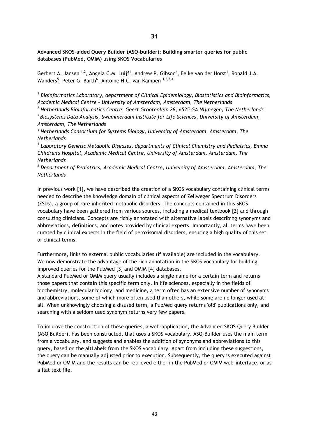**Advanced SKOS-aided Query Builder (ASQ-builder): Building smarter queries for public databases (PubMed, OMIM) using SKOS Vocabularies**

Gerbert A. Jansen <sup>1,2</sup>, Angela C.M. Luijf<sup>1</sup>, Andrew P. Gibson<sup>4</sup>, Eelke van der Horst<sup>1</sup>, Ronald J.A. Wanders<sup>5</sup>, Peter G. Barth<sup>6</sup>, Antoine H.C. van Kampen <sup>1,2,3,4</sup>

*1 Bioinformatics Laboratory, department of Clinical Epidemiology, Biostatistics and Bioinformatics, Academic Medical Centre - University of Amsterdam, Amsterdam, The Netherlands*

*<sup>2</sup> Netherlands Bioinformatics Centre, Geert Grooteplein 28, 6525 GA Nijmegen, The Netherlands <sup>3</sup>Biosystems Data Analysis, Swammerdam Institute for Life Sciences, University of Amsterdam, Amsterdam, The Netherlands*

*<sup>4</sup> Netherlands Consortium for Systems Biology, University of Amsterdam, Amsterdam, The Netherlands*

*5 Laboratory Genetic Metabolic Diseases, departments of Clinical Chemistry and Pediatrics, Emma Children's Hospital, Academic Medical Centre, University of Amsterdam, Amsterdam, The Netherlands*

*<sup>6</sup> Department of Pediatrics, Academic Medical Centre, University of Amsterdam, Amsterdam, The Netherlands*

In previous work [1], we have described the creation of a SKOS vocabulary containing clinical terms needed to describe the knowledge domain of clinical aspects of Zellweger Spectrum Disorders (ZSDs), a group of rare inherited metabolic disorders. The concepts contained in this SKOS vocabulary have been gathered from various sources, including a medical textbook [2] and through consulting clinicians. Concepts are richly annotated with alternative labels describing synonyms and abbreviations, definitions, and notes provided by clinical experts. Importantly, all terms have been curated by clinical experts in the field of peroxisomal disorders, ensuring a high quality of this set of clinical terms.

Furthermore, links to external public vocabularies (if available) are included in the vocabulary. We now demonstrate the advantage of the rich annotation in the SKOS vocabulary for building improved queries for the PubMed [3] and OMIM [4] databases.

A standard PubMed or OMIM query usually includes a single name for a certain term and returns those papers that contain this specific term only. In life sciences, especially in the fields of biochemistry, molecular biology, and medicine, a term often has an extensive number of synonyms and abbreviations, some of which more often used than others, while some are no longer used at all. When unknowingly choosing a disused term, a PubMed query returns 'old' publications only, and searching with a seldom used synonym returns very few papers.

To improve the construction of these queries, a web-application, the Advanced SKOS Query Builder (ASQ Builder), has been constructed, that uses a SKOS vocabulary. ASQ-Builder uses the main term from a vocabulary, and suggests and enables the addition of synonyms and abbreviations to this query, based on the altLabels from the SKOS vocabulary. Apart from including these suggestions, the query can be manually adjusted prior to execution. Subsequently, the query is executed against PubMed or OMIM and the results can be retrieved either in the PubMed or OMIM web-interface, or as a flat text file.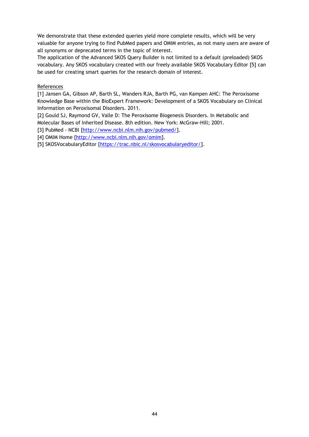We demonstrate that these extended queries yield more complete results, which will be very valuable for anyone trying to find PubMed papers and OMIM entries, as not many users are aware of all synonyms or deprecated terms in the topic of interest.

The application of the Advanced SKOS Query Builder is not limited to a default (preloaded) SKOS vocabulary. Any SKOS vocabulary created with our freely available SKOS Vocabulary Editor [5] can be used for creating smart queries for the research domain of interest.

# References

[1] Jansen GA, Gibson AP, Barth SL, Wanders RJA, Barth PG, van Kampen AHC: The Peroxisome Knowledge Base within the BioExpert Framework: Development of a SKOS Vocabulary on Clinical Information on Peroxisomal Disorders. 2011.

[2] Gould SJ, Raymond GV, Valle D: The Peroxisome Biogenesis Disorders. In Metabolic and Molecular Bases of Inherited Disease. 8th edition. New York: McGraw-Hill; 2001.

[3] PubMed - NCBI [\[http://www.ncbi.nlm.nih.gov/pubmed/\]](http://www.ncbi.nlm.nih.gov/pubmed/).

[4] OMIM Home [\[http://www.ncbi.nlm.nih.gov/omim\]](http://www.ncbi.nlm.nih.gov/omim).

[5] SKOSVocabularyEditor [\[https://trac.nbic.nl/skosvocabularyeditor/\]](https://trac.nbic.nl/skosvocabularyeditor/).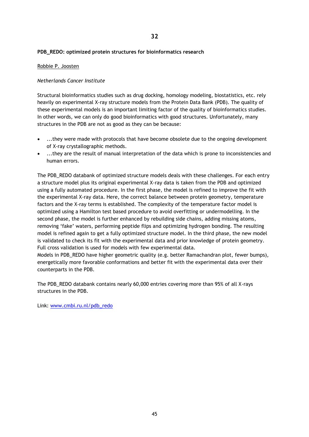# **PDB\_REDO: optimized protein structures for bioinformatics research**

# Robbie P. Joosten

# *Netherlands Cancer Institute*

Structural bioinformatics studies such as drug docking, homology modeling, biostatistics, etc. rely heavily on experimental X-ray structure models from the Protein Data Bank (PDB). The quality of these experimental models is an important limiting factor of the quality of bioinformatics studies. In other words, we can only do good bioinformatics with good structures. Unfortunately, many structures in the PDB are not as good as they can be because:

- ...they were made with protocols that have become obsolete due to the ongoing development of X-ray crystallographic methods.
- ...they are the result of manual interpretation of the data which is prone to inconsistencies and human errors.

The PDB\_REDO databank of optimized structure models deals with these challenges. For each entry a structure model plus its original experimental X-ray data is taken from the PDB and optimized using a fully automated procedure. In the first phase, the model is refined to improve the fit with the experimental X-ray data. Here, the correct balance between protein geometry, temperature factors and the X-ray terms is established. The complexity of the temperature factor model is optimized using a Hamilton test based procedure to avoid overfitting or undermodelling. In the second phase, the model is further enhanced by rebuilding side chains, adding missing atoms, removing 'fake' waters, performing peptide flips and optimizing hydrogen bonding. The resulting model is refined again to get a fully optimized structure model. In the third phase, the new model is validated to check its fit with the experimental data and prior knowledge of protein geometry. Full cross validation is used for models with few experimental data.

Models in PDB\_REDO have higher geometric quality (e.g. better Ramachandran plot, fewer bumps), energetically more favorable conformations and better fit with the experimental data over their counterparts in the PDB.

The PDB\_REDO databank contains nearly 60,000 entries covering more than 95% of all X-rays structures in the PDB.

Link: [www.cmbi.ru.nl/pdb\\_redo](http://www.cmbi.ru.nl/pdb_redo)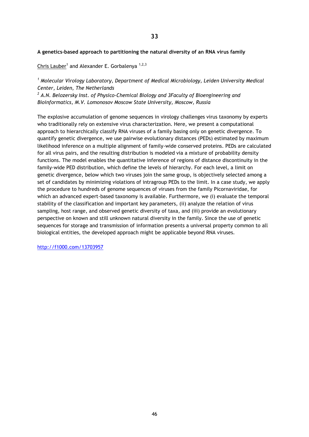# **A genetics-based approach to partitioning the natural diversity of an RNA virus family**

Chris Lauber<sup>1</sup> and Alexander E. Gorbalenya<sup>1,2,3</sup>

*<sup>1</sup> Molecular Virology Laboratory, Department of Medical Microbiology, Leiden University Medical Center, Leiden, The Netherlands*

*<sup>2</sup> A.N. Belozersky Inst. of Physico-Chemical Biology and 3Faculty of Bioengineering and Bioinformatics, M.V. Lomonosov Moscow State University, Moscow, Russia*

The explosive accumulation of genome sequences in virology challenges virus taxonomy by experts who traditionally rely on extensive virus characterization. Here, we present a computational approach to hierarchically classify RNA viruses of a family basing only on genetic divergence. To quantify genetic divergence, we use pairwise evolutionary distances (PEDs) estimated by maximum likelihood inference on a multiple alignment of family-wide conserved proteins. PEDs are calculated for all virus pairs, and the resulting distribution is modeled via a mixture of probability density functions. The model enables the quantitative inference of regions of distance discontinuity in the family-wide PED distribution, which define the levels of hierarchy. For each level, a limit on genetic divergence, below which two viruses join the same group, is objectively selected among a set of candidates by minimizing violations of intragroup PEDs to the limit. In a case study, we apply the procedure to hundreds of genome sequences of viruses from the family Picornaviridae, for which an advanced expert-based taxonomy is available. Furthermore, we (i) evaluate the temporal stability of the classification and important key parameters, (ii) analyze the relation of virus sampling, host range, and observed genetic diversity of taxa, and (iii) provide an evolutionary perspective on known and still unknown natural diversity in the family. Since the use of genetic sequences for storage and transmission of information presents a universal property common to all biological entities, the developed approach might be applicable beyond RNA viruses.

<http://f1000.com/13703957>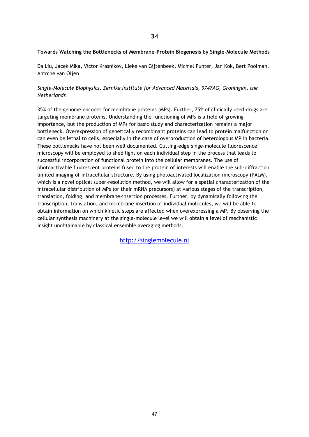# **Towards Watching the Bottlenecks of Membrane-Protein Biogenesis by Single-Molecule Methods**

Da Liu, Jacek Mika, Victor Krasnikov, Lieke van Gijtenbeek, Michiel Punter, Jan Kok, Bert Poolman, Antoine van Oijen

# *Single-Molecule Biophysics, Zernike Institute for Advanced Materials, 9747AG, Groningen, the Netherlands*

35% of the genome encodes for membrane proteins (MPs). Further, 75% of clinically used drugs are targeting membrane proteins. Understanding the functioning of MPs is a field of growing importance, but the production of MPs for basic study and characterization remains a major bottleneck. Overexpression of genetically recombinant proteins can lead to protein malfunction or can even be lethal to cells, especially in the case of overproduction of heterologous MP in bacteria. These bottlenecks have not been well documented. Cutting-edge singe-molecule fluorescence microscopy will be employed to shed light on each individual step in the process that leads to successful incorporation of functional protein into the cellular membranes. The use of photoactivable fluorescent proteins fused to the protein of interests will enable the sub-diffraction limited imaging of intracellular structure. By using photoactivated localization microscopy (PALM), which is a novel optical super-resolution method, we will allow for a spatial characterization of the intracellular distribution of MPs (or their mRNA precursors) at various stages of the transcription, translation, folding, and membrane-insertion processes. Further, by dynamically following the transcription, translation, and membrane insertion of individual molecules, we will be able to obtain information on which kinetic steps are affected when overexpressing a MP. By observing the cellular synthesis machinery at the single-molecule level we will obtain a level of mechanistic insight unobtainable by classical ensemble averaging methods.

[http://singlemolecule.nl](http://singlemolecule.nl/)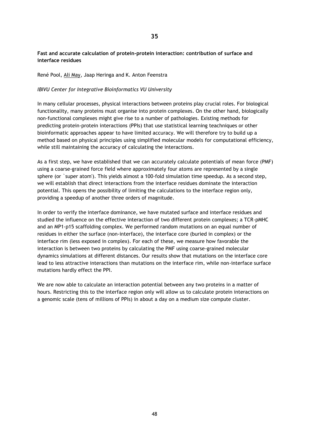# **Fast and accurate calculation of protein-protein interaction: contribution of surface and interface residues**

René Pool, Ali May, Jaap Heringa and K. Anton Feenstra

# *IBIVU Center for Integrative Bioinformatics VU University*

In many cellular processes, physical interactions between proteins play crucial roles. For biological functionality, many proteins must organise into protein complexes. On the other hand, biologically non-functional complexes might give rise to a number of pathologies. Existing methods for predicting protein-protein interactions (PPIs) that use statistical learning teachniques or other bioinformatic approaches appear to have limited accuracy. We will therefore try to build up a method based on physical principles using simplified molecular models for computational efficiency, while still maintaining the accuracy of calculating the interactions.

As a first step, we have established that we can accurately calculate potentials of mean force (PMF) using a coarse-grained force field where approximately four atoms are represented by a single sphere (or `super atom'). This yields almost a 100-fold simulation time speedup. As a second step, we will establish that direct interactions from the interface residues dominate the interaction potential. This opens the possibility of limiting the calculations to the interface region only, providing a speedup of another three orders of magnitude.

In order to verify the interface dominance, we have mutated surface and interface residues and studied the influence on the effective interaction of two different protein complexes; a TCR-pMHC and an MP1-p15 scaffolding complex. We performed random mutations on an equal number of residues in either the surface (non-interface), the interface core (buried in complex) or the interface rim (less exposed in complex). For each of these, we measure how favorable the interaction is between two proteins by calculating the PMF using coarse-grained molecular dynamics simulations at different distances. Our results show that mutations on the interface core lead to less attractive interactions than mutations on the interface rim, while non-interface surface mutations hardly effect the PPI.

We are now able to calculate an interaction potential between any two proteins in a matter of hours. Restricting this to the interface region only will allow us to calculate protein interactions on a genomic scale (tens of millions of PPIs) in about a day on a medium size compute cluster.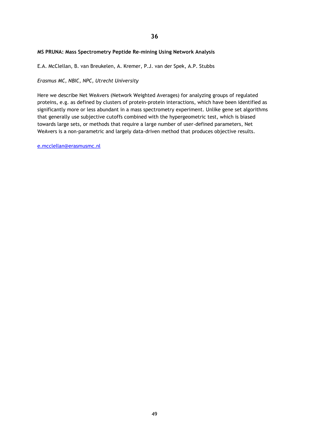# **MS PRUNA: Mass Spectrometry Peptide Re-mining Using Network Analysis**

E.A. McClellan, B. van Breukelen, A. Kremer, P.J. van der Spek, A.P. Stubbs

*Erasmus MC, NBIC, NPC, Utrecht University*

Here we describe Net WeAvers (Network Weighted Averages) for analyzing groups of regulated proteins, e.g. as defined by clusters of protein-protein interactions, which have been identified as significantly more or less abundant in a mass spectrometry experiment. Unlike gene set algorithms that generally use subjective cutoffs combined with the hypergeometric test, which is biased towards large sets, or methods that require a large number of user-defined parameters, Net WeAvers is a non-parametric and largely data-driven method that produces objective results.

[e.mcclellan@erasmusmc.nl](mailto:e.mcclellan@erasmusmc.nl)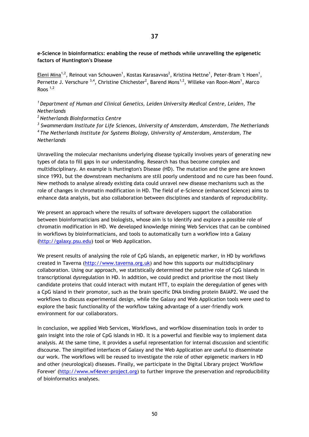**e-Science in bioinformatics: enabling the reuse of methods while unravelling the epigenetic factors of Huntington's Disease**

Eleni Mina<sup>1,2</sup>, Reinout van Schouwen<sup>1</sup>, Kostas Karasavvas<sup>2</sup>, Kristina Hettne<sup>1</sup>, Peter-Bram 't Hoen<sup>1</sup>, Pernette J. Verschure  $^{3,4}$ , Christine Chichester<sup>2</sup>, Barend Mons<sup>1,2</sup>, Willeke van Roon-Mom<sup>1</sup>, Marco Roos  $1,2$ 

*<sup>1</sup>Department of Human and Clinical Genetics, Leiden University Medical Centre, Leiden, The Netherlands*

*<sup>2</sup>Netherlands BioInformatics Centre*

*3 Swammerdam Institute for Life Sciences, University of Amsterdam, Amsterdam, The Netherlands <sup>4</sup>The Netherlands Institute for Systems Biology, University of Amsterdam, Amsterdam, The Netherlands*

Unravelling the molecular mechanisms underlying disease typically involves years of generating new types of data to fill gaps in our understanding. Research has thus become complex and multidisciplinary. An example is Huntington's Disease (HD). The mutation and the gene are known since 1993, but the downstream mechanisms are still poorly understood and no cure has been found. New methods to analyse already existing data could unravel new disease mechanisms such as the role of changes in chromatin modification in HD. The field of e-Science (enhanced Science) aims to enhance data analysis, but also collaboration between disciplines and standards of reproducibility.

We present an approach where the results of software developers support the collaboration between bioinformaticians and biologists, whose aim is to identify and explore a possible role of chromatin modification in HD. We developed knowledge mining Web Services that can be combined in workflows by bioinformaticians, and tools to automatically turn a workflow into a Galaxy [\(http://galaxy.psu.edu\)](http://galaxy.psu.edu/) tool or Web Application.

We present results of analysing the role of CpG islands, an epigenetic marker, in HD by workflows created in Taverna [\(http://www.taverna.org.uk\)](http://www.taverna.org.uk/) and how this supports our multidisciplinary collaboration. Using our approach, we statistically determined the putative role of CpG islands in transcriptional dysregulation in HD. In addition, we could predict and prioritise the most likely candidate proteins that could interact with mutant HTT, to explain the deregulation of genes with a CpG island in their promotor, such as the brain specific DNA binding protein BAIAP2. We used the workflows to discuss experimental design, while the Galaxy and Web Application tools were used to explore the basic functionality of the workflow taking advantage of a user-friendly work environment for our collaborators.

In conclusion, we applied Web Services, Workflows, and worfklow dissemination tools in order to gain insight into the role of CpG islands in HD. It is a powerful and flexible way to implement data analysis. At the same time, it provides a useful representation for internal discussion and scientific discourse. The simplified interfaces of Galaxy and the Web Application are useful to disseminate our work. The workflows will be reused to investigate the role of other epigenetic markers in HD and other (neurological) diseases. Finally, we participate in the Digital Library project 'Workflow Forever' [\(http://www.wf4ever-project.org\)](http://www.wf4ever-project.org/) to further improve the preservation and reproducibility of bioinformatics analyses.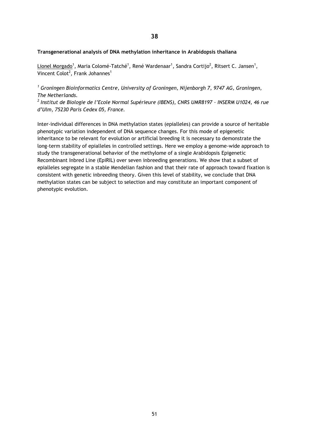# **Transgenerational analysis of DNA methylation inheritance in Arabidopsis thaliana**

Lionel Morgado<sup>1</sup>, Maria Colomé-Tatché<sup>1</sup>, René Wardenaar<sup>1</sup>, Sandra Cortijo<sup>2</sup>, Ritsert C. Jansen<sup>1</sup>, Vincent Colot<sup>2</sup>, Frank Johannes<sup>1</sup>

*<sup>1</sup> Groningen Bioinformatics Centre, University of Groningen, Nijenborgh 7, 9747 AG, Groningen, The Netherlands.*

*2 Institut de Biologie de l'Ecole Normal Supérieure (IBENS), CNRS UMR8197 – INSERM U1024, 46 rue d'Ulm, 75230 Paris Cedex 05, France.*

Inter-individual differences in DNA methylation states (epialleles) can provide a source of heritable phenotypic variation independent of DNA sequence changes. For this mode of epigenetic inheritance to be relevant for evolution or artificial breeding it is necessary to demonstrate the long-term stability of epialleles in controlled settings. Here we employ a genome-wide approach to study the transgenerational behavior of the methylome of a single Arabidopsis Epigenetic Recombinant Inbred Line (EpiRIL) over seven inbreeding generations. We show that a subset of epialleles segregate in a stable Mendelian fashion and that their rate of approach toward fixation is consistent with genetic inbreeding theory. Given this level of stability, we conclude that DNA methylation states can be subject to selection and may constitute an important component of phenotypic evolution.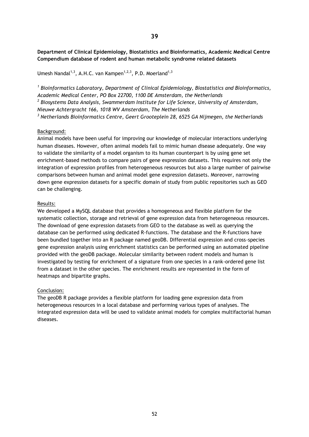**Department of Clinical Epidemiology, Biostatistics and Bioinformatics, Academic Medical Centre Compendium database of rodent and human metabolic syndrome related datasets**

Umesh Nandal<sup>1,3</sup>, A.H.C. van Kampen<sup>1,2,3</sup>, P.D. Moerland<sup>1,3</sup>

*1 Bioinformatics Laboratory, Department of Clinical Epidemiology, Biostatistics and Bioinformatics, Academic Medical Center, PO Box 22700, 1100 DE Amsterdam, the Netherlands 2 Biosystems Data Analysis, Swammerdam Institute for Life Science, University of Amsterdam, Nieuwe Achtergracht 166, 1018 WV Amsterdam, The Netherlands <sup>3</sup> Netherlands Bioinformatics Centre, Geert Grooteplein 28, 6525 GA Nijmegen, the Netherlands*

#### Background:

Animal models have been useful for improving our knowledge of molecular interactions underlying human diseases. However, often animal models fail to mimic human disease adequately. One way to validate the similarity of a model organism to its human counterpart is by using gene set enrichment-based methods to compare pairs of gene expression datasets. This requires not only the integration of expression profiles from heterogeneous resources but also a large number of pairwise comparisons between human and animal model gene expression datasets. Moreover, narrowing down gene expression datasets for a specific domain of study from public repositories such as GEO can be challenging.

#### Results:

We developed a MySQL database that provides a homogeneous and flexible platform for the systematic collection, storage and retrieval of gene expression data from heterogeneous resources. The download of gene expression datasets from GEO to the database as well as querying the database can be performed using dedicated R-functions. The database and the R-functions have been bundled together into an R package named geoDB. Differential expression and cross-species gene expression analysis using enrichment statistics can be performed using an automated pipeline provided with the geoDB package. Molecular similarity between rodent models and human is investigated by testing for enrichment of a signature from one species in a rank-ordered gene list from a dataset in the other species. The enrichment results are represented in the form of heatmaps and bipartite graphs.

# Conclusion:

The geoDB R package provides a flexible platform for loading gene expression data from heterogeneous resources in a local database and performing various types of analyses. The integrated expression data will be used to validate animal models for complex multifactorial human diseases.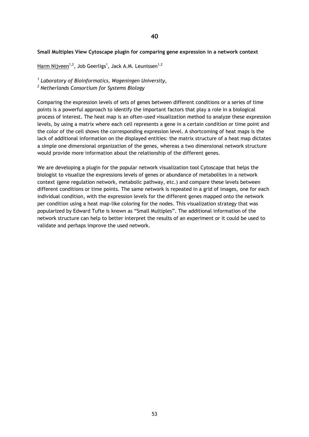### **Small Multiples View Cytoscape plugin for comparing gene expression in a network context**

Harm Nijveen<sup>1,2</sup>, Job Geerligs<sup>1</sup>, Jack A.M. Leunissen<sup>1,2</sup>

*1 Laboratory of Bioinformatics, Wageningen University,* 

*<sup>2</sup> Netherlands Consortium for Systems Biology*

Comparing the expression levels of sets of genes between different conditions or a series of time points is a powerful approach to identify the important factors that play a role in a biological process of interest. The heat map is an often-used visualization method to analyze these expression levels, by using a matrix where each cell represents a gene in a certain condition or time point and the color of the cell shows the corresponding expression level. A shortcoming of heat maps is the lack of additional information on the displayed entities: the matrix structure of a heat map dictates a simple one dimensional organization of the genes, whereas a two dimensional network structure would provide more information about the relationship of the different genes.

We are developing a plugin for the popular network visualization tool Cytoscape that helps the biologist to visualize the expressions levels of genes or abundance of metabolites in a network context (gene regulation network, metabolic pathway, etc.) and compare these levels between different conditions or time points. The same network is repeated in a grid of images, one for each individual condition, with the expression levels for the different genes mapped onto the network per condition using a heat map-like coloring for the nodes. This visualization strategy that was popularized by Edward Tufte is known as "Small Multiples". The additional information of the network structure can help to better interpret the results of an experiment or it could be used to validate and perhaps improve the used network.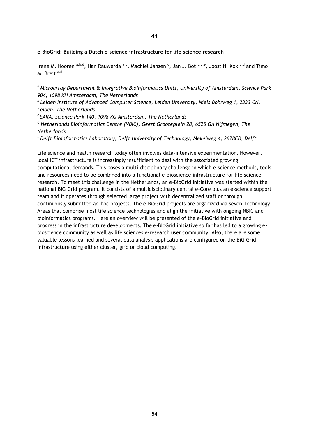### **e-BioGrid: Building a Dutch e-science infrastructure for life science research**

Irene M. Nooren <sup>a,b,d</sup>, Han Rauwerda <sup>a,d</sup>, Machiel Jansen <sup>c</sup>, Jan J. Bot <sup>b,d,e</sup>, Joost N. Kok <sup>b,d</sup> and Timo M. Breit<sup>a,d</sup>

*<sup>a</sup>Microarray Department & Integrative Bioinformatics Units, University of Amsterdam, Science Park 904, 1098 XH Amsterdam, The Netherlands*

*<sup>b</sup>Leiden Institute of Advanced Computer Science, Leiden University, Niels Bohrweg 1, 2333 CN, Leiden, The Netherlands*

*<sup>c</sup>SARA, Science Park 140, 1098 XG Amsterdam, The Netherlands*

*<sup>d</sup> Netherlands Bioinformatics Centre (NBIC), Geert Grooteplein 28, 6525 GA Nijmegen, The Netherlands*

*<sup>e</sup>Delft Bioinformatics Laboratory, Delft University of Technology, Mekelweg 4, 2628CD, Delft*

Life science and health research today often involves data-intensive experimentation. However, local ICT infrastructure is increasingly insufficient to deal with the associated growing computational demands. This poses a multi-disciplinary challenge in which e-science methods, tools and resources need to be combined into a functional e-bioscience infrastructure for life science research. To meet this challenge in the Netherlands, an e-BioGrid initiative was started within the national BiG Grid program. It consists of a multidisciplinary central e-Core plus an e-science support team and it operates through selected large project with decentralized staff or through continuously submitted ad-hoc projects. The e-BioGrid projects are organized via seven Technology Areas that comprise most life science technologies and align the initiative with ongoing NBIC and bioinformatics programs. Here an overview will be presented of the e-BioGrid initiative and progress in the infrastructure developments. The e-BioGrid initiative so far has led to a growing ebioscience community as well as life sciences e-research user community. Also, there are some valuable lessons learned and several data analysis applications are configured on the BiG Grid infrastructure using either cluster, grid or cloud computing.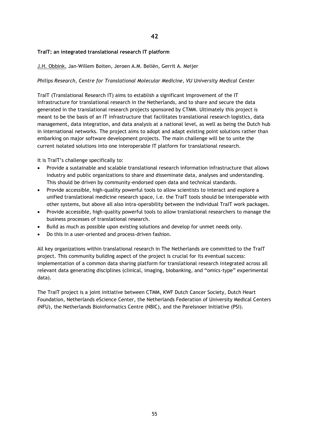# **TraIT: an integrated translational research IT platform**

J.H. Obbink, Jan-Willem Boiten, Jeroen A.M. Beliën, Gerrit A. Meijer

# *Philips Research, Centre for Translational Molecular Medicine, VU University Medical Center*

TraIT (Translational Research IT) aims to establish a significant improvement of the IT infrastructure for translational research in the Netherlands, and to share and secure the data generated in the translational research projects sponsored by CTMM. Ultimately this project is meant to be the basis of an IT infrastructure that facilitates translational research logistics, data management, data integration, and data analysis at a national level, as well as being the Dutch hub in international networks. The project aims to adopt and adapt existing point solutions rather than embarking on major software development projects. The main challenge will be to unite the current isolated solutions into one interoperable IT platform for translational research.

It is TraIT's challenge specifically to:

- Provide a sustainable and scalable translational research information infrastructure that allows industry and public organizations to share and disseminate data, analyses and understanding. This should be driven by community-endorsed open data and technical standards.
- Provide accessible, high-quality powerful tools to allow scientists to interact and explore a unified translational medicine research space, i.e. the TraIT tools should be interoperable with other systems, but above all also intra-operability between the individual TraIT work packages.
- Provide accessible, high-quality powerful tools to allow translational researchers to manage the business processes of translational research.
- Build as much as possible upon existing solutions and develop for unmet needs only.
- Do this in a user-oriented and process-driven fashion.

All key organizations within translational research in The Netherlands are committed to the TraIT project. This community building aspect of the project is crucial for its eventual success: implementation of a common data sharing platform for translational research integrated across all relevant data generating disciplines (clinical, imaging, biobanking, and "omics-type" experimental data).

The TraIT project is a joint initiative between CTMM, KWF Dutch Cancer Society, Dutch Heart Foundation, Netherlands eScience Center, the Netherlands Federation of University Medical Centers (NFU), the Netherlands Bioinformatics Centre (NBIC), and the Parelsnoer Initiative (PSI).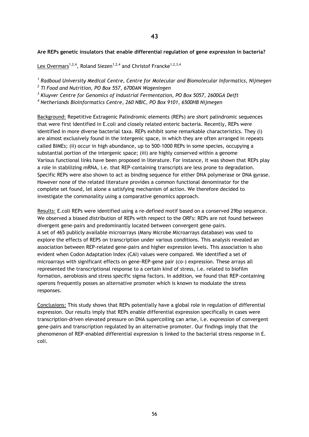# **Are REPs genetic insulators that enable differential regulation of gene expression in bacteria?**

Lex Overmars<sup>1,2,4</sup>, Roland Siezen<sup>1,2,4</sup> and Christof Francke<sup>1,2,3,4</sup>

*1 Radboud University Medical Centre, Centre for Molecular and Biomolecular Informatics, Nijmegen* 

*2 TI Food and Nutrition, PO Box 557, 6700AN Wageningen* 

*3 Kluyver Centre for Genomics of Industrial Fermentation, PO Box 5057, 2600GA Delft* 

*<sup>4</sup> Netherlands Bioinformatics Centre, 260 NBIC, PO Box 9101, 6500HB Nijmegen*

Background: Repetitive Extragenic Palindromic elements (REPs) are short palindromic sequences that were first identified in E.coli and closely related enteric bacteria. Recently, REPs were identified in more diverse bacterial taxa. REPs exhibit some remarkable characteristics. They (i) are almost exclusively found in the intergenic space, in which they are often arranged in repeats called BIMEs; (ii) occur in high abundance, up to 500-1000 REPs in some species, occupying a substantial portion of the intergenic space; (iii) are highly conserved within a genome Various functional links have been proposed in literature. For instance, it was shown that REPs play a role in stabilizing mRNA, i.e. that REP-containing transcripts are less prone to degradation. Specific REPs were also shown to act as binding sequence for either DNA polymerase or DNA gyrase. However none of the related literature provides a common functional denominator for the complete set found, let alone a satisfying mechanism of action. We therefore decided to investigate the commonality using a comparative genomics approach.

Results: E.coli REPs were identified using a re-defined motif based on a conserved 29bp sequence. We observed a biased distribution of REPs with respect to the ORFs: REPs are not found between divergent gene-pairs and predominantly located between convergent gene-pairs. A set of 465 publicly available microarrays (Many Microbe Microarrays database) was used to explore the effects of REPS on transcription under various conditions. This analysis revealed an association between REP-related gene-pairs and higher expression levels. This association is also evident when Codon Adaptation Index (CAI) values were compared. We identified a set of microarrays with significant effects on gene-REP-gene pair (co-) expression. These arrays all represented the transcriptional response to a certain kind of stress, i.e. related to biofilm formation, aerobiosis and stress specific sigma factors. In addition, we found that REP-containing operons frequently posses an alternative promoter which is known to modulate the stress responses.

Conclusions: This study shows that REPs potentially have a global role in regulation of differential expression. Our results imply that REPs enable differential expression specifically in cases were transcription-driven elevated pressure on DNA supercoiling can arise, i.e. expression of convergent gene-pairs and transcription regulated by an alternative promoter. Our findings imply that the phenomenon of REP-enabled differential expression is linked to the bacterial stress response in E. coli.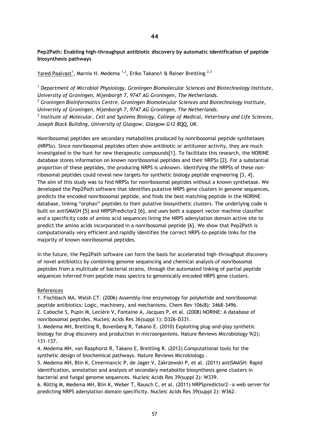# **Pep2Path: Enabling high-throughput antibiotic discovery by automatic identification of peptide biosynthesis pathways**

<u>Yared Paalvast<sup>1</sup>,</u> Marnix H. Medema <sup>1,2</sup>, Eriko Takano1 & Rainer Breitling <sup>2,3</sup>

*<sup>1</sup> Department of Microbial Physiology, Groningen Biomolecular Sciences and Biotechnology Institute, University of Groningen, Nijenborgh 7, 9747 AG Groningen, The Netherlands. <sup>2</sup> Groningen Bioinformatics Centre, Groningen Biomolecular Sciences and Biotechnology Institute,* 

*University of Groningen, Nijenborgh 7, 9747 AG Groningen, The Netherlands.*

*3 Institute of Molecular, Cell and Systems Biology, College of Medical, Veterinary and Life Sciences, Joseph Black Building, University of Glasgow, Glasgow G12 8QQ, UK.*

Nonribosomal peptides are secondary metabolites produced by nonribosomal peptide synthetases (NRPSs). Since nonribosomal peptides often show antibiotic or antitumor activity, they are much investigated in the hunt for new therapeutic compounds[1]. To facilitate this research, the NORINE database stores information on known nonribosomal peptides and their NRPSs [2]. For a substantial proportion of these peptides, the producing NRPS is unknown. Identifying the NRPSs of these nonribosomal peptides could reveal new targets for synthetic biology peptide engineering [3, 4]. The aim of this study was to find NRPSs for nonribosomal peptides without a known synthetase. We developed the Pep2Path software that identifies putative NRPS gene clusters in genome sequences, predicts the encoded nonribosomal peptide, and finds the best matching peptide in the NORINE database, linking "orphan" peptides to their putative biosynthetic clusters. The underlying code is built on antiSMASH [5] and NRPSPredictor2 [6], and uses both a support vector machine classifier and a specificity code of amino acid sequences lining the NRPS adenylation domain active site to predict the amino acids incorporated in a nonribosomal peptide [6]. We show that Pep2Path is computationally very efficient and rapidly identifies the correct NRPS-to-peptide links for the majority of known nonribosomal peptides.

In the future, the Pep2Path software can form the basis for accelerated high-throughput discovery of novel antibiotics by combining genome sequencing and chemical analysis of nonribosomal peptides from a multitude of bacterial strains, through the automated linking of partial peptide sequences inferred from peptide mass spectra to genomically encoded NRPS gene clusters.

# References

1. Fischbach MA, Walsh CT. (2006) Assembly-line enzymology for polyketide and nonribosomal peptide antibiotics: Logic, machinery, and mechanisms. Chem Rev 106(8): 3468-3496.

2. Caboche S, Pupin M, Leclère V, Fontaine A, Jacques P, et al. (2008) NORINE: A database of nonribosomal peptides. Nucleic Acids Res 36(suppl 1): D326-D331.

3. Medema MH, Breitling R, Bovenberg R, Takano E. (2010) Exploiting plug-and-play synthetic biology for drug discovery and production in microorganisms. Nature Reviews Microbiology 9(2): 131-137.

4. Medema MH, van Raaphorst R, Takano E, Breitling R. (2012) Computational tools for the synthetic design of biochemical pathways. Nature Reviews Microbiology .

5. Medema MH, Blin K, Cimermancic P, de Jager V, Zakrzewski P, et al. (2011) antiSMASH: Rapid identification, annotation and analysis of secondary metabolite biosynthesis gene clusters in bacterial and fungal genome sequences. Nucleic Acids Res 39(suppl 2): W339.

6. Röttig M, Medema MH, Blin K, Weber T, Rausch C, et al. (2011) NRPSpredictor2—a web server for predicting NRPS adenylation domain specificity. Nucleic Acids Res 39(suppl 2): W362.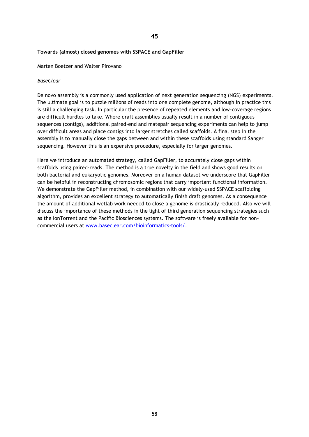# **Towards (almost) closed genomes with SSPACE and GapFiller**

### Marten Boetzer and Walter Pirovano

# *BaseClear*

De novo assembly is a commonly used application of next generation sequencing (NGS) experiments. The ultimate goal is to puzzle millions of reads into one complete genome, although in practice this is still a challenging task. In particular the presence of repeated elements and low-coverage regions are difficult hurdles to take. Where draft assemblies usually result in a number of contiguous sequences (contigs), additional paired-end and matepair sequencing experiments can help to jump over difficult areas and place contigs into larger stretches called scaffolds. A final step in the assembly is to manually close the gaps between and within these scaffolds using standard Sanger sequencing. However this is an expensive procedure, especially for larger genomes.

Here we introduce an automated strategy, called GapFiller, to accurately close gaps within scaffolds using paired-reads. The method is a true novelty in the field and shows good results on both bacterial and eukaryotic genomes. Moreover on a human dataset we underscore that GapFiller can be helpful in reconstructing chromosomic regions that carry important functional information. We demonstrate the GapFiller method, in combination with our widely-used SSPACE scaffolding algorithm, provides an excellent strategy to automatically finish draft genomes. As a consequence the amount of additional wetlab work needed to close a genome is drastically reduced. Also we will discuss the importance of these methods in the light of third generation sequencing strategies such as the IonTorrent and the Pacific Biosciences systems. The software is freely available for noncommercial users at [www.baseclear.com/bioinformatics-tools/.](http://www.baseclear.com/bioinformatics-tools/)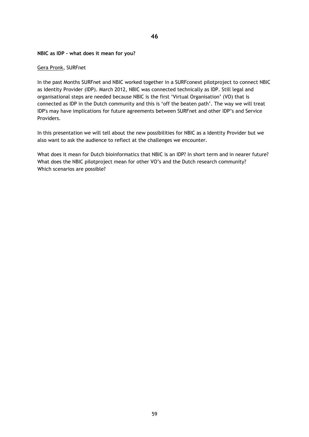#### **NBIC as IDP - what does it mean for you?**

#### Gera Pronk, SURFnet

In the past Months SURFnet and NBIC worked together in a SURFconext pilotproject to connect NBIC as Identity Provider (IDP). March 2012, NBIC was connected technically as IDP. Still legal and organisational steps are needed because NBIC is the first 'Virtual Organisation' (VO) that is connected as IDP in the Dutch community and this is 'off the beaten path'. The way we will treat IDP's may have implications for future agreements between SURFnet and other IDP's and Service Providers.

In this presentation we will tell about the new possibilities for NBIC as a Identity Provider but we also want to ask the audience to reflect at the challenges we encounter.

What does it mean for Dutch bioinformatics that NBIC is an IDP? In short term and in nearer future? What does the NBIC pilotproject mean for other VO's and the Dutch research community? Which scenarios are possible?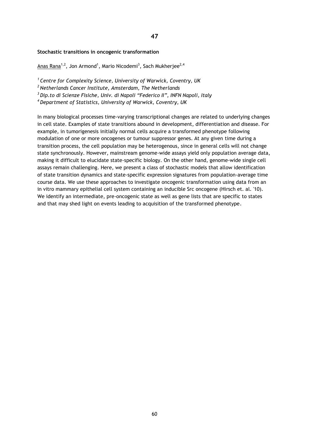#### **Stochastic transitions in oncogenic transformation**

<u>Anas Rana<sup>1,2</sup>,</u> Jon Armond<sup>1</sup>, Mario Nicodemi<sup>3</sup>, Sach Mukherjee<sup>2,4</sup>

*<sup>1</sup>Centre for Complexity Science, University of Warwick, Coventry, UK* 

*<sup>2</sup>Netherlands Cancer Institute, Amsterdam, The Netherlands* 

*<sup>3</sup>Dip.to di Scienze Fisiche, Univ. di Napoli "Federico II", INFN Napoli, Italy* 

*<sup>4</sup>Department of Statistics, University of Warwick, Coventry, UK* 

In many biological processes time-varying transcriptional changes are related to underlying changes in cell state. Examples of state transitions abound in development, differentiation and disease. For example, in tumorigenesis initially normal cells acquire a transformed phenotype following modulation of one or more oncogenes or tumour suppressor genes. At any given time during a transition process, the cell population may be heterogenous, since in general cells will not change state synchronously. However, mainstream genome-wide assays yield only population average data, making it difficult to elucidate state-specific biology. On the other hand, genome-wide single cell assays remain challenging. Here, we present a class of stochastic models that allow identification of state transition dynamics and state-specific expression signatures from population-average time course data. We use these approaches to investigate oncogenic transformation using data from an in vitro mammary epithelial cell system containing an inducible Src oncogene (Hirsch et. al. '10). We identify an intermediate, pre-oncogenic state as well as gene lists that are specific to states and that may shed light on events leading to acquisition of the transformed phenotype.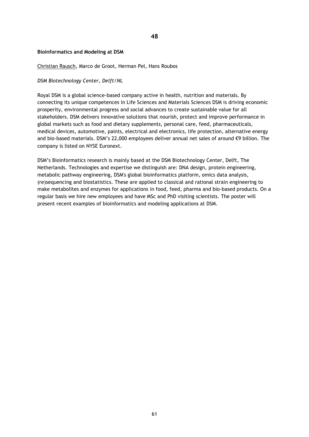### **Bioinformatics and Modeling at DSM**

# Christian Rausch, Marco de Groot, Herman Pel, Hans Roubos

### *DSM Biotechnology Center, Delft/NL*

Royal DSM is a global science-based company active in health, nutrition and materials. By connecting its unique competences in Life Sciences and Materials Sciences DSM is driving economic prosperity, environmental progress and social advances to create sustainable value for all stakeholders. DSM delivers innovative solutions that nourish, protect and improve performance in global markets such as food and dietary supplements, personal care, feed, pharmaceuticals, medical devices, automotive, paints, electrical and electronics, life protection, alternative energy and bio-based materials. DSM's 22,000 employees deliver annual net sales of around €9 billion. The company is listed on NYSE Euronext.

DSM's Bioinformatics research is mainly based at the DSM Biotechnology Center, Delft, The Netherlands. Technologies and expertise we distinguish are: DNA design, protein engineering, metabolic pathway engineering, DSM's global bioinformatics platform, omics data analysis, (re)sequencing and biostatistics. These are applied to classical and rational strain engineering to make metabolites and enzymes for applications in food, feed, pharma and bio-based products. On a regular basis we hire new employees and have MSc and PhD visiting scientists. The poster will present recent examples of bioinformatics and modeling applications at DSM.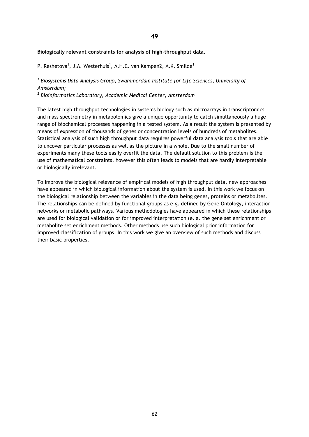**49**

### **Biologically relevant constraints for analysis of high-throughput data.**

P. Reshetova<sup>1</sup>, J.A. Westerhuis<sup>1</sup>, A.H.C. van Kampen2, A.K. Smilde<sup>1</sup>

# *1 Biosystems Data Analysis Group, Swammerdam Institute for Life Sciences, University of Amsterdam;*

*2 Bioinformatics Laboratory, Academic Medical Center, Amsterdam*

The latest high throughput technologies in systems biology such as microarrays in transcriptomics and mass spectrometry in metabolomics give a unique opportunity to catch simultaneously a huge range of biochemical processes happening in a tested system. As a result the system is presented by means of expression of thousands of genes or concentration levels of hundreds of metabolites. Statistical analysis of such high throughput data requires powerful data analysis tools that are able to uncover particular processes as well as the picture in a whole. Due to the small number of experiments many these tools easily overfit the data. The default solution to this problem is the use of mathematical constraints, however this often leads to models that are hardly interpretable or biologically irrelevant.

To improve the biological relevance of empirical models of high throughput data, new approaches have appeared in which biological information about the system is used. In this work we focus on the biological relationship between the variables in the data being genes, proteins or metabolites. The relationships can be defined by functional groups as e.g. defined by Gene Ontology, interaction networks or metabolic pathways. Various methodologies have appeared in which these relationships are used for biological validation or for improved interpretation (e. a. the gene set enrichment or metabolite set enrichment methods. Other methods use such biological prior information for improved classification of groups. In this work we give an overview of such methods and discuss their basic properties.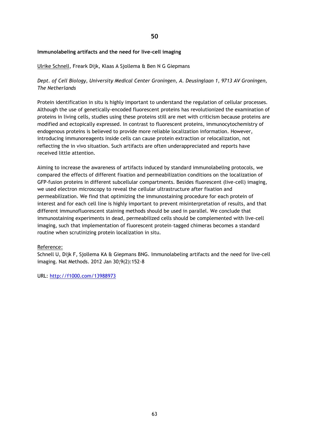# **Immunolabeling artifacts and the need for live-cell imaging**

#### Ulrike Schnell, Freark Dijk, Klaas A Sjollema & Ben N G Giepmans

# *Dept. of Cell Biology, University Medical Center Groningen, A. Deusinglaan 1, 9713 AV Groningen, The Netherlands*

Protein identification in situ is highly important to understand the regulation of cellular processes. Although the use of genetically-encoded fluorescent proteins has revolutionized the examination of proteins in living cells, studies using these proteins still are met with criticism because proteins are modified and ectopically expressed. In contrast to fluorescent proteins, immunocytochemistry of endogenous proteins is believed to provide more reliable localization information. However, introducing immunoreagents inside cells can cause protein extraction or relocalization, not reflecting the in vivo situation. Such artifacts are often underappreciated and reports have received little attention.

Aiming to increase the awareness of artifacts induced by standard immunolabeling protocols, we compared the effects of different fixation and permeabilization conditions on the localization of GFP-fusion proteins in different subcellular compartments. Besides fluorescent (live-cell) imaging, we used electron microscopy to reveal the cellular ultrastructure after fixation and permeabilization. We find that optimizing the immunostaining procedure for each protein of interest and for each cell line is highly important to prevent misinterpretation of results, and that different immunofluorescent staining methods should be used in parallel. We conclude that immunostaining experiments in dead, permeabilized cells should be complemented with live-cell imaging, such that implementation of fluorescent protein–tagged chimeras becomes a standard routine when scrutinizing protein localization in situ.

#### Reference:

Schnell U, Dijk F, Sjollema KA & Giepmans BNG. Immunolabeling artifacts and the need for live-cell imaging. Nat Methods. 2012 Jan 30;9(2):152-8

URL:<http://f1000.com/13988973>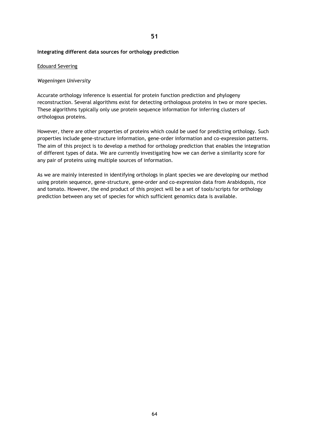# **Integrating different data sources for orthology prediction**

#### Edouard Severing

### *Wageningen University*

Accurate orthology inference is essential for protein function prediction and phylogeny reconstruction. Several algorithms exist for detecting orthologous proteins in two or more species. These algorithms typically only use protein sequence information for inferring clusters of orthologous proteins.

However, there are other properties of proteins which could be used for predicting orthology. Such properties include gene-structure information, gene-order information and co-expression patterns. The aim of this project is to develop a method for orthology prediction that enables the integration of different types of data. We are currently investigating how we can derive a similarity score for any pair of proteins using multiple sources of information.

As we are mainly interested in identifying orthologs in plant species we are developing our method using protein sequence, gene-structure, gene-order and co-expression data from Arabidopsis, rice and tomato. However, the end product of this project will be a set of tools/scripts for orthology prediction between any set of species for which sufficient genomics data is available.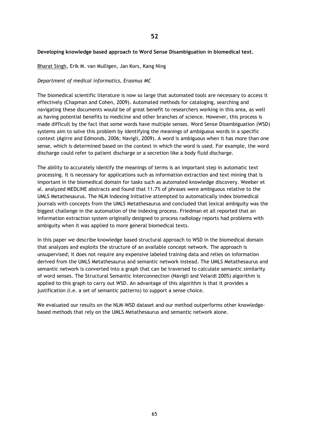### **Developing knowledge based approach to Word Sense Disambiguation in biomedical text.**

Bharat Singh, Erik M. van Mulligen, Jan Kors, Kang Ning

### *Department of medical informatics, Erasmus MC*

The biomedical scientific literature is now so large that automated tools are necessary to access it effectively (Chapman and Cohen, 2009). Automated methods for cataloging, searching and navigating these documents would be of great benefit to researchers working in this area, as well as having potential benefits to medicine and other branches of science. However, this process is made difficult by the fact that some words have multiple senses. Word Sense Disambiguation (WSD) systems aim to solve this problem by identifying the meanings of ambiguous words in a specific context (Agirre and Edmonds, 2006; Navigli, 2009). A word is ambiguous when it has more than one sense, which is determined based on the context in which the word is used. For example, the word discharge could refer to patient discharge or a secretion like a body fluid discharge.

The ability to accurately identify the meanings of terms is an important step in automatic text processing. It is necessary for applications such as information extraction and text mining that is important in the biomedical domain for tasks such as automated knowledge discovery. Weeber et al. analyzed MEDLINE abstracts and found that 11.7% of phrases were ambiguous relative to the UMLS Metathesaurus. The NLM Indexing Initiative attempted to automatically index biomedical journals with concepts from the UMLS Metathesaurus and concluded that lexical ambiguity was the biggest challenge in the automation of the indexing process. Friedman et all reported that an information extraction system originally designed to process radiology reports had problems with ambiguity when it was applied to more general biomedical texts.

In this paper we describe knowledge based structural approach to WSD in the biomedical domain that analyzes and exploits the structure of an available concept network. The approach is unsupervised; it does not require any expensive labeled training data and relies on information derived from the UMLS Metathesaurus and semantic network instead. The UMLS Metathesaurus and semantic network is converted into a graph that can be traversed to calculate semantic similarity of word senses. The Structural Semantic Interconnection (Navigli and Velardi 2005) algorithm is applied to this graph to carry out WSD. An advantage of this algorithm is that it provides a justification (i.e. a set of semantic patterns) to support a sense choice.

We evaluated our results on the NLM-WSD dataset and our method outperforms other knowledgebased methods that rely on the UMLS Metathesaurus and semantic network alone.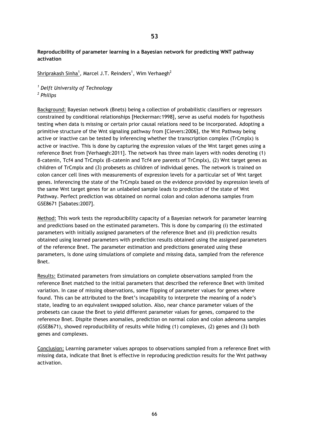**Reproducibility of parameter learning in a Bayesian network for predicting WNT pathway activation**

Shriprakash Sinha<sup>1</sup>, Marcel J.T. Reinders<sup>1</sup>, Wim Verhaegh<sup>2</sup>

*<sup>1</sup> Delft University of Technology 2 Philips*

Background: Bayesian network (Bnets) being a collection of probabilistic classifiers or regressors constrained by conditional relationships [Heckerman:1998], serve as useful models for hypothesis testing when data is missing or certain prior causal relations need to be incorporated. Adopting a primitive structure of the Wnt signaling pathway from [Clevers:2006], the Wnt Pathway being active or inactive can be tested by inferencing whether the transcription complex (TrCmplx) is active or inactive. This is done by capturing the expression values of the Wnt target genes using a reference Bnet from [Verhaegh:2011]. The network has three main layers with nodes denoting (1) β-catenin, Tcf4 and TrCmplx (β-catenin and Tcf4 are parents of TrCmplx), (2) Wnt target genes as children of TrCmplx and (3) probesets as children of individual genes. The network is trained on colon cancer cell lines with measurements of expression levels for a particular set of Wnt target genes. Inferencing the state of the TrCmplx based on the evidence provided by expression levels of the same Wnt target genes for an unlabeled sample leads to prediction of the state of Wnt Pathway. Perfect prediction was obtained on normal colon and colon adenoma samples from GSE8671 [Sabates:2007].

Method: This work tests the reproducibility capacity of a Bayesian network for parameter learning and predictions based on the estimated parameters. This is done by comparing (i) the estimated parameters with initially assigned parameters of the reference Bnet and (ii) prediction results obtained using learned parameters with prediction results obtained using the assigned parameters of the reference Bnet. The parameter estimation and predictions generated using these parameters, is done using simulations of complete and missing data, sampled from the reference Bnet.

Results: Estimated parameters from simulations on complete observations sampled from the reference Bnet matched to the initial parameters that described the reference Bnet with limited variation. In case of missing observations, some flipping of parameter values for genes where found. This can be attributed to the Bnet's incapability to interprete the meaning of a node's state, leading to an equivalent swapped solution. Also, near chance parameter values of the probesets can cause the Bnet to yield different parameter values for genes, compared to the reference Bnet. Dispite theses anomalies, prediction on normal colon and colon adenoma samples (GSE8671), showed reproducibility of results while hiding (1) complexes, (2) genes and (3) both genes and complexes.

Conclusion: Learning parameter values apropos to observations sampled from a reference Bnet with missing data, indicate that Bnet is effective in reproducing prediction results for the Wnt pathway activation.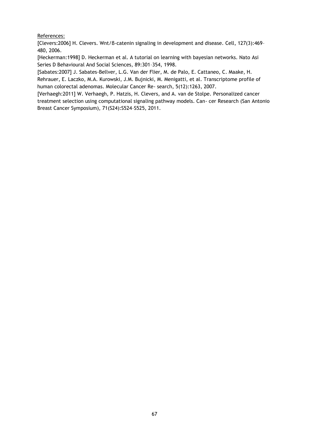# References:

[Clevers:2006] H. Clevers. Wnt/β-catenin signaling in development and disease. Cell, 127(3):469– 480, 2006.

[Heckerman:1998] D. Heckerman et al. A tutorial on learning with bayesian networks. Nato Asi Series D Behavioural And Social Sciences, 89:301–354, 1998.

[Sabates:2007] J. Sabates-Bellver, L.G. Van der Flier, M. de Palo, E. Cattaneo, C. Maake, H. Rehrauer, E. Laczko, M.A. Kurowski, J.M. Bujnicki, M. Menigatti, et al. Transcriptome profile of human colorectal adenomas. Molecular Cancer Re- search, 5(12):1263, 2007.

[Verhaegh:2011] W. Verhaegh, P. Hatzis, H. Clevers, and A. van de Stolpe. Personalized cancer treatment selection using computational signaling pathway models. Can- cer Research (San Antonio Breast Cancer Symposium), 71(S24):S524–S525, 2011.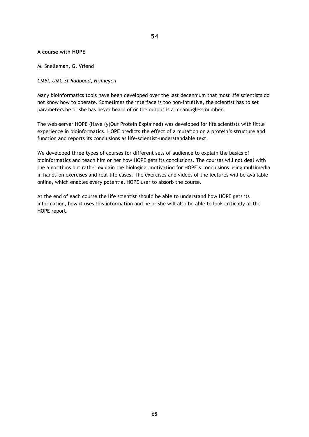# **A course with HOPE**

# M. Snelleman, G. Vriend

# *CMBI, UMC St Radboud, Nijmegen*

Many bioinformatics tools have been developed over the last decennium that most life scientists do not know how to operate. Sometimes the interface is too non-intuitive, the scientist has to set parameters he or she has never heard of or the output is a meaningless number.

The web-server HOPE (Have (y)Our Protein Explained) was developed for life scientists with little experience in bioinformatics. HOPE predicts the effect of a mutation on a protein's structure and function and reports its conclusions as life-scientist-understandable text.

We developed three types of courses for different sets of audience to explain the basics of bioinformatics and teach him or her how HOPE gets its conclusions. The courses will not deal with the algorithms but rather explain the biological motivation for HOPE's conclusions using multimedia in hands-on exercises and real-life cases. The exercises and videos of the lectures will be available online, which enables every potential HOPE user to absorb the course.

At the end of each course the life scientist should be able to understand how HOPE gets its information, how it uses this information and he or she will also be able to look critically at the HOPE report.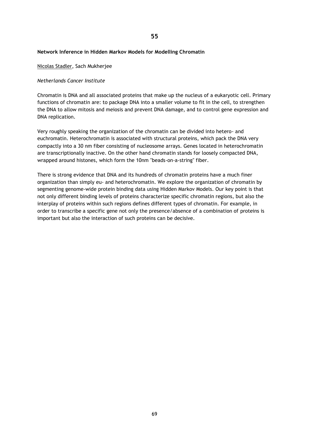# **Network Inference in Hidden Markov Models for Modelling Chromatin**

Nicolas Stadler, Sach Mukherjee

# *Netherlands Cancer Institute*

Chromatin is DNA and all associated proteins that make up the nucleus of a eukaryotic cell. Primary functions of chromatin are: to package DNA into a smaller volume to fit in the cell, to strengthen the DNA to allow mitosis and meiosis and prevent DNA damage, and to control gene expression and DNA replication.

Very roughly speaking the organization of the chromatin can be divided into hetero- and euchromatin. Heterochromatin is associated with structural proteins, which pack the DNA very compactly into a 30 nm fiber consisting of nucleosome arrays. Genes located in heterochromatin are transcriptionally inactive. On the other hand chromatin stands for loosely compacted DNA, wrapped around histones, which form the 10nm "beads-on-a-string" fiber.

There is strong evidence that DNA and its hundreds of chromatin proteins have a much finer organization than simply eu- and heterochromatin. We explore the organization of chromatin by segmenting genome-wide protein binding data using Hidden Markov Models. Our key point is that not only different binding levels of proteins characterize specific chromatin regions, but also the interplay of proteins within such regions defines different types of chromatin. For example, in order to transcribe a specific gene not only the presence/absence of a combination of proteins is important but also the interaction of such proteins can be decisive.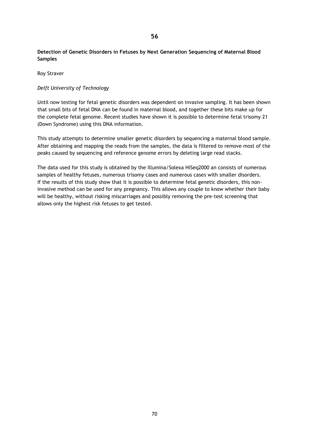# **Detection of Genetic Disorders in Fetuses by Next Generation Sequencing of Maternal Blood Samples**

Roy Straver

# *Delft University of Technology*

Until now testing for fetal genetic disorders was dependent on invasive sampling. It has been shown that small bits of fetal DNA can be found in maternal blood, and together these bits make up for the complete fetal genome. Recent studies have shown it is possible to determine fetal trisomy 21 (Down Syndrome) using this DNA information.

This study attempts to determine smaller genetic disorders by sequencing a maternal blood sample. After obtaining and mapping the reads from the samples, the data is filtered to remove most of the peaks caused by sequencing and reference genome errors by deleting large read stacks.

The data used for this study is obtained by the Illumina/Solexa HiSeq2000 an consists of numerous samples of healthy fetuses, numerous trisomy cases and numerous cases with smaller disorders. If the results of this study show that it is possible to determine fetal genetic disorders, this noninvasive method can be used for any pregnancy. This allows any couple to know whether their baby will be healthy, without risking miscarriages and possibly removing the pre-test screening that allows only the highest risk fetuses to get tested.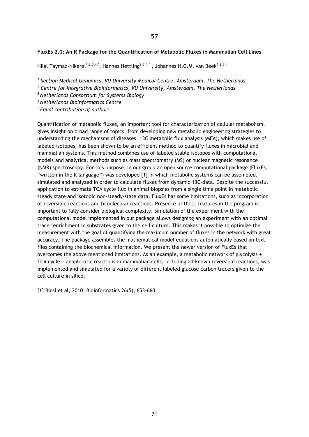### **FluxEs 2.0: An R Package for the Quantification of Metabolic Fluxes in Mammalian Cell Lines**

Hilal Taymaz-Nikerel<sup>1,2,3,4,\*</sup>, Hannes Hettling<sup>2,3,4,\*</sup>, Johannes H.G.M. van Beek<sup>1,2,3,4</sup>

*1 Section Medical Genomics, VU University Medical Centre, Amsterdam, The Netherlands* 

*2 Centre for Integrative Bioinformatics, VU University, Amsterdam, The Netherlands* 

*<sup>3</sup>Netherlands Consortium for Systems Biology* 

*<sup>4</sup>Netherlands Bioinformatics Centre* 

*\* Equal contribution of authors*

Quantification of metabolic fluxes, an important tool for characterization of cellular metabolism, gives insight on broad range of topics, from developing new metabolic engineering strategies to understanding the mechanisms of diseases. 13C metabolic flux analysis (MFA), which makes use of labeled isotopes, has been shown to be an efficient method to quantify fluxes in microbial and mammalian systems. This method combines use of labeled stable isotopes with computational models and analytical methods such as mass spectrometry (MS) or nuclear magnetic resonance (NMR) spectroscopy. For this purpose, in our group an open source computational package (FluxEs, "written in the R language") was developed [1] in which metabolic systems can be assembled, simulated and analyzed in order to calculate fluxes from dynamic 13C-data. Despite the successful application to estimate TCA cycle flux in animal biopsies from a single time point in metabolic steady state and isotopic non-steady-state data, FluxEs has some limitations, such as incorporation of reversible reactions and bimolecular reactions. Presence of these features in the program is important to fully consider biological complexity. Simulation of the experiment with the computational model implemented in our package allows designing an experiment with an optimal tracer enrichment in substrates given to the cell culture. This makes it possible to optimize the measurement with the goal of quantifying the maximum number of fluxes in the network with great accuracy. The package assembles the mathematical model equations automatically based on text files containing the biochemical information. We present the newer version of FluxEs that overcomes the above mentioned limitations. As an example, a metabolic network of glycolysis + TCA cycle + anaplerotic reactions in mammalian cells, including all known reversible reactions, was implemented and simulated for a variety of different labeled glucose carbon tracers given to the cell culture in silico.

[1] Binsl et al, 2010, Bioinformatics 26(5), 653-660.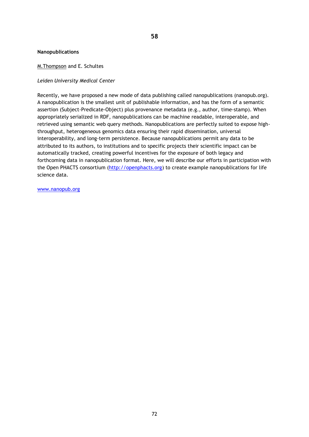#### **Nanopublications**

### M.Thompson and E. Schultes

#### *Leiden University Medical Center*

Recently, we have proposed a new mode of data publishing called nanopublications (nanopub.org). A nanopublication is the smallest unit of publishable information, and has the form of a semantic assertion (Subject-Predicate-Object) plus provenance metadata (e.g., author, time-stamp). When appropriately serialized in RDF, nanopublications can be machine readable, interoperable, and retrieved using semantic web query methods. Nanopublications are perfectly suited to expose highthroughput, heterogeneous genomics data ensuring their rapid dissemination, universal interoperability, and long-term persistence. Because nanopublications permit any data to be attributed to its authors, to institutions and to specific projects their scientific impact can be automatically tracked, creating powerful incentives for the exposure of both legacy and forthcoming data in nanopublication format. Here, we will describe our efforts in participation with the Open PHACTS consortium [\(http://openphacts.org\)](http://openphacts.org/) to create example nanopublications for life science data.

[www.nanopub.org](http://www.nanopub.org/)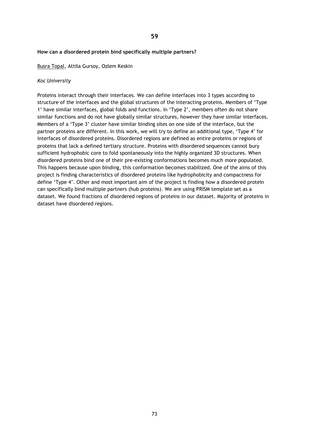#### **How can a disordered protein bind specifically multiple partners?**

Busra Topal, Attila Gursoy, Ozlem Keskin

#### *Koc University*

Proteins interact through their interfaces. We can define interfaces into 3 types according to structure of the interfaces and the global structures of the interacting proteins. Members of 'Type 1' have similar interfaces, global folds and functions. In 'Type 2', members often do not share similar functions and do not have globally similar structures, however they have similar interfaces. Members of a 'Type 3' cluster have similar binding sites on one side of the interface, but the partner proteins are different. In this work, we will try to define an additional type, 'Type 4' for interfaces of disordered proteins. Disordered regions are defined as entire proteins or regions of proteins that lack a defined tertiary structure. Proteins with disordered sequences cannot bury sufficient hydrophobic core to fold spontaneously into the highly organized 3D structures. When disordered proteins bind one of their pre-existing conformations becomes much more populated. This happens because upon binding, this conformation becomes stabilized. One of the aims of this project is finding characteristics of disordered proteins like hydrophobicity and compactness for define 'Type 4'. Other and most important aim of the project is finding how a disordered protein can specifically bind multiple partners (hub proteins). We are using PRISM template set as a dataset. We found fractions of disordered regions of proteins in our dataset. Majority of proteins in dataset have disordered regions.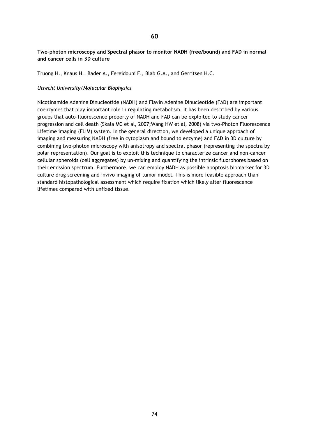# **Two-photon microscopy and Spectral phasor to monitor NADH (free/bound) and FAD in normal and cancer cells in 3D culture**

Truong H., Knaus H., Bader A., Fereidouni F., Blab G.A., and Gerritsen H.C.

# *Utrecht University/Molecular Biophysics*

Nicotinamide Adenine Dinucleotide (NADH) and Flavin Adenine Dinucleotide (FAD) are important coenzymes that play important role in regulating metabolism. It has been described by various groups that auto-fluorescence property of NADH and FAD can be exploited to study cancer progression and cell death (Skala MC et al, 2007;Wang HW et al, 2008) via two-Photon Fluorescence Lifetime imaging (FLIM) system. In the general direction, we developed a unique approach of imaging and measuring NADH (free in cytoplasm and bound to enzyme) and FAD in 3D culture by combining two-photon microscopy with anisotropy and spectral phasor (representing the spectra by polar representation). Our goal is to exploit this technique to characterize cancer and non-cancer cellular spheroids (cell aggregates) by un-mixing and quantifying the intrinsic fluorphores based on their emission spectrum. Furthermore, we can employ NADH as possible apoptosis biomarker for 3D culture drug screening and invivo imaging of tumor model. This is more feasible approach than standard histopathological assessment which require fixation which likely alter fluorescence lifetimes compared with unfixed tissue.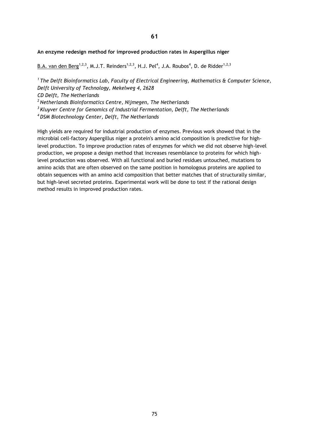# **61**

### **An enzyme redesign method for improved production rates in Aspergillus niger**

B.A. van den Berg<sup>1,2,3</sup>, M.J.T. Reinders<sup>1,2,3</sup>, H.J. Pel<sup>4</sup>, J.A. Roubos<sup>4</sup>, D. de Ridder<sup>1,2,3</sup>

*<sup>1</sup>The Delft Bioinformatics Lab, Faculty of Electrical Engineering, Mathematics & Computer Science, Delft University of Technology, Mekelweg 4, 2628*

*CD Delft, The Netherlands*

*<sup>2</sup>Netherlands Bioinformatics Centre, Nijmegen, The Netherlands*

*<sup>3</sup>Kluyver Centre for Genomics of Industrial Fermentation, Delft, The Netherlands*

*<sup>4</sup>DSM Biotechnology Center, Delft, The Netherlands*

High yields are required for industrial production of enzymes. Previous work showed that in the microbial cell-factory Aspergillus niger a protein's amino acid composition is predictive for highlevel production. To improve production rates of enzymes for which we did not observe high-level production, we propose a design method that increases resemblance to proteins for which highlevel production was observed. With all functional and buried residues untouched, mutations to amino acids that are often observed on the same position in homologous proteins are applied to obtain sequences with an amino acid composition that better matches that of structurally similar, but high-level secreted proteins. Experimental work will be done to test if the rational design method results in improved production rates.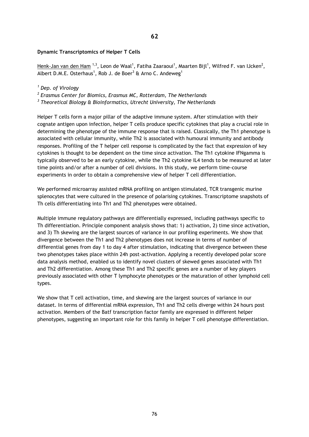# **Dynamic Transcriptomics of Helper T Cells**

<u>Henk-Jan van den Ham  $^{1,3}$ ,</u> Leon de Waal $^1$ , Fatiha Zaaraoui $^1$ , Maarten Bijl $^1$ , Wilfred F. van IJcken $^2$ , Albert D.M.E. Osterhaus<sup>1</sup>, Rob J. de Boer<sup>3</sup> & Arno C. Andeweg<sup>1</sup>

### *<sup>1</sup> Dep. of Virology*

*2 Erasmus Center for Biomics, Erasmus MC, Rotterdam, The Netherlands*

*3 Theoretical Biology & Bioinformatics, Utrecht University, The Netherlands*

Helper T cells form a major pillar of the adaptive immune system. After stimulation with their cognate antigen upon infection, helper T cells produce specific cytokines that play a crucial role in determining the phenotype of the immune response that is raised. Classically, the Th1 phenotype is associated with cellular immunity, while Th2 is associated with humoural immunity and antibody responses. Profiling of the T helper cell response is complicated by the fact that expression of key cytokines is thought to be dependent on the time since activation. The Th1 cytokine IFNgamma is typically observed to be an early cytokine, while the Th2 cytokine IL4 tends to be measured at later time points and/or after a number of cell divisions. In this study, we perform time-course experiments in order to obtain a comprehensive view of helper T cell differentiation.

We performed microarray assisted mRNA profiling on antigen stimulated, TCR transgenic murine splenocytes that were cultured in the presence of polarising cytokines. Transcriptome snapshots of Th cells differentiating into Th1 and Th2 phenotypes were obtained.

Multiple immune regulatory pathways are differentially expressed, including pathways specific to Th differentiation. Principle component analysis shows that: 1) activation, 2) time since activation, and 3) Th skewing are the largest sources of variance in our profiling experiments. We show that divergence between the Th1 and Th2 phenotypes does not increase in terms of number of differential genes from day 1 to day 4 after stimulation, indicating that divergence between these two phenotypes takes place within 24h post-activation. Applying a recently developed polar score data analysis method, enabled us to identify novel clusters of skewed genes associated with Th1 and Th2 differentiation. Among these Th1 and Th2 specific genes are a number of key players previously associated with other T lymphocyte phenotypes or the maturation of other lymphoid cell types.

We show that T cell activation, time, and skewing are the largest sources of variance in our dataset. In terms of differential mRNA expression, Th1 and Th2 cells diverge within 24 hours post activation. Members of the Batf transcription factor family are expressed in different helper phenotypes, suggesting an important role for this family in helper T cell phenotype differentiation.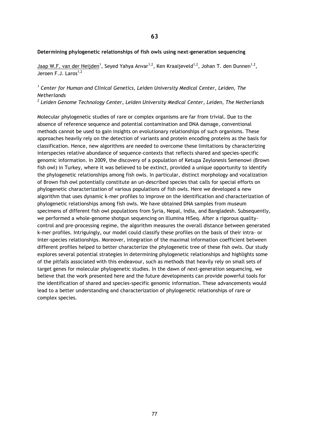#### **Determining phylogenetic relationships of fish owls using next-generation sequencing**

Jaap W.F. van der Heijden<sup>1</sup>, Seyed Yahya Anvar<sup>1,2</sup>, Ken Kraaijeveld<sup>1,2</sup>, Johan T. den Dunnen<sup>1,2</sup>, Jeroen F.J. Laros<sup>1,2</sup>

# <sup>1</sup> Center for Human and Clinical Genetics, Leiden University Medical Center, Leiden, The *Netherlands*

*2 Leiden Genome Technology Center, Leiden University Medical Center, Leiden, The Netherlands*

Molecular phylogenetic studies of rare or complex organisms are far from trivial. Due to the absence of reference sequence and potential contamination and DNA damage, conventional methods cannot be used to gain insights on evolutionary relationships of such organisms. These approaches heavily rely on the detection of variants and protein encoding proteins as the basis for classification. Hence, new algorithms are needed to overcome these limitations by characterizing interspecies relative abundance of sequence-contexts that reflects shared and species-specific genomic information. In 2009, the discovery of a population of Ketupa Zeylonesis Semenowi (Brown fish owl) in Turkey, where it was believed to be extinct, provided a unique opportunity to identify the phylogenetic relationships among fish owls. In particular, distinct morphology and vocalization of Brown fish owl potentially constitute an un-described species that calls for special efforts on phylogenetic characterization of various populations of fish owls. Here we developed a new algorithm that uses dynamic k-mer profiles to improve on the identification and characterization of phylogenetic relationships among fish owls. We have obtained DNA samples from museum specimens of different fish owl populations from Syria, Nepal, India, and Bangladesh. Subsequently, we performed a whole-genome shotgun sequencing on Illumina HiSeq. After a rigorous qualitycontrol and pre-processing regime, the algorithm measures the overall distance between generated k-mer profiles. Intriguingly, our model could classify these profiles on the basis of their intra- or inter-species relationships. Moreover, integration of the maximal information coefficient between different profiles helped to better characterize the phylogenetic tree of these fish owls. Our study explores several potential strategies in determining phylogenetic relationships and highlights some of the pitfalls associated with this endeavour, such as methods that heavily rely on small sets of target genes for molecular phylogenetic studies. In the dawn of next-generation sequencing, we believe that the work presented here and the future developments can provide powerful tools for the identification of shared and species-specific genomic information. These advancements would lead to a better understanding and characterization of phylogenetic relationships of rare or complex species.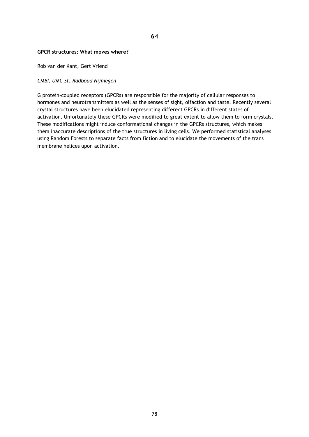# **64**

#### **GPCR structures: What moves where?**

#### Rob van der Kant, Gert Vriend

### *CMBI, UMC St. Radboud Nijmegen*

G protein-coupled receptors (GPCRs) are responsible for the majority of cellular responses to hormones and neurotransmitters as well as the senses of sight, olfaction and taste. Recently several crystal structures have been elucidated representing different GPCRs in different states of activation. Unfortunately these GPCRs were modified to great extent to allow them to form crystals. These modifications might induce conformational changes in the GPCRs structures, which makes them inaccurate descriptions of the true structures in living cells. We performed statistical analyses using Random Forests to separate facts from fiction and to elucidate the movements of the trans membrane helices upon activation.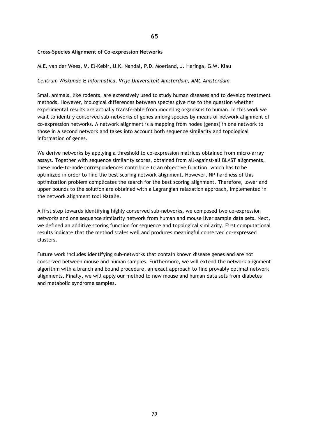# **Cross-Species Alignment of Co-expression Networks**

#### M.E. van der Wees, M. El-Kebir, U.K. Nandal, P.D. Moerland, J. Heringa, G.W. Klau

#### *Centrum Wiskunde & Informatica, Vrije Universiteit Amsterdam, AMC Amsterdam*

Small animals, like rodents, are extensively used to study human diseases and to develop treatment methods. However, biological differences between species give rise to the question whether experimental results are actually transferable from modeling organisms to human. In this work we want to identify conserved sub-networks of genes among species by means of network alignment of co-expression networks. A network alignment is a mapping from nodes (genes) in one network to those in a second network and takes into account both sequence similarity and topological information of genes.

We derive networks by applying a threshold to co-expression matrices obtained from micro-array assays. Together with sequence similarity scores, obtained from all-against-all BLAST alignments, these node-to-node correspondences contribute to an objective function, which has to be optimized in order to find the best scoring network alignment. However, NP-hardness of this optimization problem complicates the search for the best scoring alignment. Therefore, lower and upper bounds to the solution are obtained with a Lagrangian relaxation approach, implemented in the network alignment tool Natalie.

A first step towards identifying highly conserved sub-networks, we composed two co-expression networks and one sequence similarity network from human and mouse liver sample data sets. Next, we defined an additive scoring function for sequence and topological similarity. First computational results indicate that the method scales well and produces meaningful conserved co-expressed clusters.

Future work includes identifying sub-networks that contain known disease genes and are not conserved between mouse and human samples. Furthermore, we will extend the network alignment algorithm with a branch and bound procedure, an exact approach to find provably optimal network alignments. Finally, we will apply our method to new mouse and human data sets from diabetes and metabolic syndrome samples.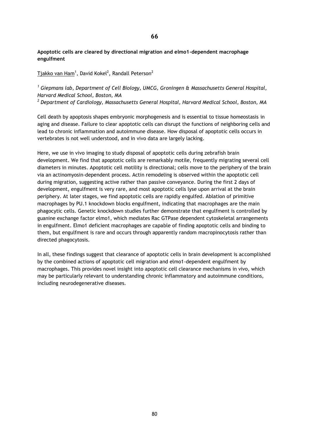**Apoptotic cells are cleared by directional migration and elmo1-dependent macrophage engulfment**

 $\overline{\text{T}}$ jakko van Ham $^1$ , David Kokel $^2$ , Randall Peterson $^2$ 

*<sup>1</sup> Giepmans lab, Department of Cell Biology, UMCG, Groningen & Massachusetts General Hospital, Harvard Medical School, Boston, MA*

*<sup>2</sup> Department of Cardiology, Massachusetts General Hospital, Harvard Medical School, Boston, MA*

Cell death by apoptosis shapes embryonic morphogenesis and is essential to tissue homeostasis in aging and disease. Failure to clear apoptotic cells can disrupt the functions of neighboring cells and lead to chronic inflammation and autoimmune disease. How disposal of apoptotic cells occurs in vertebrates is not well understood, and in vivo data are largely lacking.

Here, we use in vivo imaging to study disposal of apoptotic cells during zebrafish brain development. We find that apoptotic cells are remarkably motile, frequently migrating several cell diameters in minutes. Apoptotic cell motility is directional; cells move to the periphery of the brain via an actinomyosin-dependent process. Actin remodeling is observed within the apoptotic cell during migration, suggesting active rather than passive conveyance. During the first 2 days of development, engulfment is very rare, and most apoptotic cells lyse upon arrival at the brain periphery. At later stages, we find apoptotic cells are rapidly engulfed. Ablation of primitive macrophages by PU.1 knockdown blocks engulfment, indicating that macrophages are the main phagocytic cells. Genetic knockdown studies further demonstrate that engulfment is controlled by guanine exchange factor elmo1, which mediates Rac GTPase dependent cytoskeletal arrangements in engulfment. Elmo1 deficient macrophages are capable of finding apoptotic cells and binding to them, but engulfment is rare and occurs through apparently random macropinocytosis rather than directed phagocytosis.

In all, these findings suggest that clearance of apoptotic cells in brain development is accomplished by the combined actions of apoptotic cell migration and elmo1-dependent engulfment by macrophages. This provides novel insight into apoptotic cell clearance mechanisms in vivo, which may be particularly relevant to understanding chronic inflammatory and autoimmune conditions, including neurodegenerative diseases.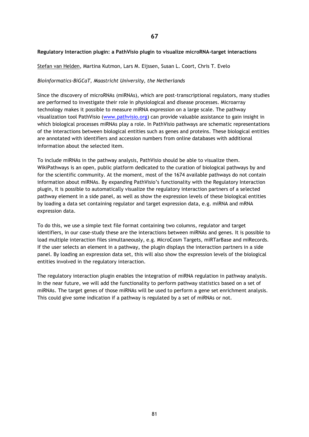# **Regulatory Interaction plugin: a PathVisio plugin to visualize microRNA-target interactions**

# Stefan van Helden, Martina Kutmon, Lars M. Eijssen, Susan L. Coort, Chris T. Evelo

# *Bioinformatics-BiGCaT, Maastricht University, the Netherlands*

Since the discovery of microRNAs (miRNAs), which are post-transcriptional regulators, many studies are performed to investigate their role in physiological and disease processes. Microarray technology makes it possible to measure miRNA expression on a large scale. The pathway visualization tool PathVisio [\(www.pathvisio.org\)](http://www.pathvisio.org/) can provide valuable assistance to gain insight in which biological processes miRNAs play a role. In PathVisio pathways are schematic representations of the interactions between biological entities such as genes and proteins. These biological entities are annotated with identifiers and accession numbers from online databases with additional information about the selected item.

To include miRNAs in the pathway analysis, PathVisio should be able to visualize them. WikiPathways is an open, public platform dedicated to the curation of biological pathways by and for the scientific community. At the moment, most of the 1674 available pathways do not contain information about miRNAs. By expanding PathVisio's functionality with the Regulatory Interaction plugin, it is possible to automatically visualize the regulatory interaction partners of a selected pathway element in a side panel, as well as show the expression levels of these biological entities by loading a data set containing regulator and target expression data, e.g. miRNA and mRNA expression data.

To do this, we use a simple text file format containing two columns, regulator and target identifiers, in our case-study these are the interactions between miRNAs and genes. It is possible to load multiple interaction files simultaneously, e.g. MicroCosm Targets, miRTarBase and miRecords. If the user selects an element in a pathway, the plugin displays the interaction partners in a side panel. By loading an expression data set, this will also show the expression levels of the biological entities involved in the regulatory interaction.

The regulatory interaction plugin enables the integration of miRNA regulation in pathway analysis. In the near future, we will add the functionality to perform pathway statistics based on a set of miRNAs. The target genes of those miRNAs will be used to perform a gene set enrichment analysis. This could give some indication if a pathway is regulated by a set of miRNAs or not.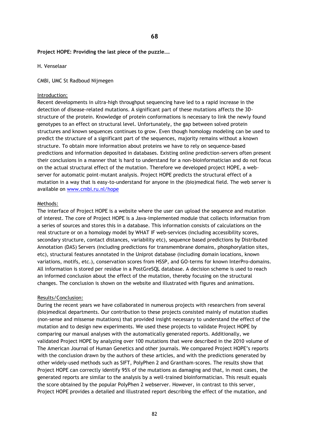### **Project HOPE: Providing the last piece of the puzzle….**

### H. Venselaar

CMBI, UMC St Radboud Nijmegen

#### Introduction:

Recent developments in ultra-high throughput sequencing have led to a rapid increase in the detection of disease-related mutations. A significant part of these mutations affects the 3Dstructure of the protein. Knowledge of protein conformations is necessary to link the newly found genotypes to an effect on structural level. Unfortunately, the gap between solved protein structures and known sequences continues to grow. Even though homology modeling can be used to predict the structure of a significant part of the sequences, majority remains without a known structure. To obtain more information about proteins we have to rely on sequence-based predictions and information deposited in databases. Existing online prediction-servers often present their conclusions in a manner that is hard to understand for a non-bioinformatician and do not focus on the actual structural effect of the mutation. Therefore we developed project HOPE, a webserver for automatic point-mutant analysis. Project HOPE predicts the structural effect of a mutation in a way that is easy-to-understand for anyone in the (bio)medical field. The web server is available on [www.cmbi.ru.nl/hope](http://www.cmbi.ru.nl/hope)

### Methods:

The interface of Project HOPE is a website where the user can upload the sequence and mutation of interest. The core of Project HOPE is a Java-implemented module that collects information from a series of sources and stores this in a database. This information consists of calculations on the real structure or on a homology model by WHAT IF web-services (including accessibility scores, secondary structure, contact distances, variability etc), sequence based predictions by Distributed Annotation (DAS) Servers (including predictions for transmembrane domains, phosphorylation sites, etc), structural features annotated in the Uniprot database (including domain locations, known variations, motifs, etc.), conservation scores from HSSP, and GO-terms for known InterPro-domains. All information is stored per residue in a PostGreSQL database. A decision scheme is used to reach an informed conclusion about the effect of the mutation, thereby focusing on the structural changes. The conclusion is shown on the website and illustrated with figures and animations.

#### Results/Conclusion:

During the recent years we have collaborated in numerous projects with researchers from several (bio)medical departments. Our contribution to these projects consisted mainly of mutation studies (non-sense and missense mutations) that provided insight necessary to understand the effect of the mutation and to design new experiments. We used these projects to validate Project HOPE by comparing our manual analyses with the automatically generated reports. Additionally, we validated Project HOPE by analyzing over 100 mutations that were described in the 2010 volume of The American Journal of Human Genetics and other journals. We compared Project HOPE's reports with the conclusion drawn by the authors of these articles, and with the predictions generated by other widely-used methods such as SIFT, PolyPhen 2 and Grantham-scores. The results show that Project HOPE can correctly identify 95% of the mutations as damaging and that, in most cases, the generated reports are similar to the analysis by a well-trained bioinformatician. This result equals the score obtained by the popular PolyPhen 2 webserver. However, in contrast to this server, Project HOPE provides a detailed and illustrated report describing the effect of the mutation, and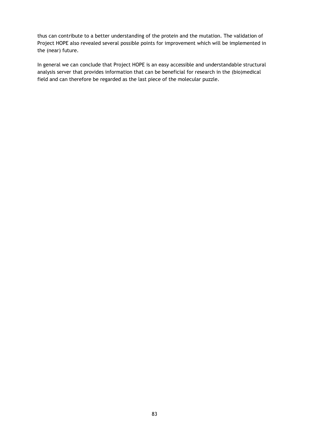thus can contribute to a better understanding of the protein and the mutation. The validation of Project HOPE also revealed several possible points for improvement which will be implemented in the (near) future.

In general we can conclude that Project HOPE is an easy accessible and understandable structural analysis server that provides information that can be beneficial for research in the (bio)medical field and can therefore be regarded as the last piece of the molecular puzzle.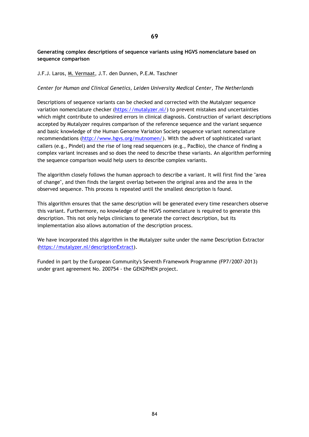# **Generating complex descriptions of sequence variants using HGVS nomenclature based on sequence comparison**

# J.F.J. Laros, M. Vermaat, J.T. den Dunnen, P.E.M. Taschner

*Center for Human and Clinical Genetics, Leiden University Medical Center, The Netherlands*

Descriptions of sequence variants can be checked and corrected with the Mutalyzer sequence variation nomenclature checker [\(https://mutalyzer.nl/\)](https://mutalyzer.nl/) to prevent mistakes and uncertainties which might contribute to undesired errors in clinical diagnosis. Construction of variant descriptions accepted by Mutalyzer requires comparison of the reference sequence and the variant sequence and basic knowledge of the Human Genome Variation Society sequence variant nomenclature recommendations [\(http://www.hgvs.org/mutnomen/\)](http://www.hgvs.org/mutnomen/). With the advert of sophisticated variant callers (e.g., Pindel) and the rise of long read sequencers (e.g., PacBio), the chance of finding a complex variant increases and so does the need to describe these variants. An algorithm performing the sequence comparison would help users to describe complex variants.

The algorithm closely follows the human approach to describe a variant. It will first find the "area of change", and then finds the largest overlap between the original area and the area in the observed sequence. This process is repeated until the smallest description is found.

This algorithm ensures that the same description will be generated every time researchers observe this variant. Furthermore, no knowledge of the HGVS nomenclature is required to generate this description. This not only helps clinicians to generate the correct description, but its implementation also allows automation of the description process.

We have incorporated this algorithm in the Mutalyzer suite under the name Description Extractor [\(https://mutalyzer.nl/descriptionExtract\)](https://mutalyzer.nl/descriptionExtract).

Funded in part by the European Community's Seventh Framework Programme (FP7/2007-2013) under grant agreement No. 200754 - the GEN2PHEN project.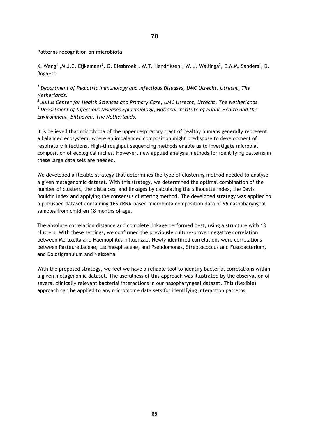### **Patterns recognition on microbiota**

X. Wang<sup>1</sup> ,M.J.C. Eijkemans<sup>2</sup>, G. Biesbroek<sup>1</sup>, W.T. Hendriksen<sup>1</sup>, W. J. Wallinga<sup>3</sup>, E.A.M. Sanders<sup>1</sup>, D. Bogaert<sup>1</sup>

*<sup>1</sup> Department of Pediatric Immunology and Infectious Diseases, UMC Utrecht, Utrecht, The Netherlands.* 

*2 Julius Center for Health Sciences and Primary Care, UMC Utrecht, Utrecht, The Netherlands <sup>3</sup> Department of Infectious Diseases Epidemiology, National Institute of Public Health and the Environment, Bilthoven, The Netherlands.*

It is believed that microbiota of the upper respiratory tract of healthy humans generally represent a balanced ecosystem, where an imbalanced composition might predispose to development of respiratory infections. High-throughput sequencing methods enable us to investigate microbial composition of ecological niches. However, new applied analysis methods for identifying patterns in these large data sets are needed.

We developed a flexible strategy that determines the type of clustering method needed to analyse a given metagenomic dataset. With this strategy, we determined the optimal combination of the number of clusters, the distances, and linkages by calculating the silhouette index, the Davis Bouldin Index and applying the consensus clustering method. The developed strategy was applied to a published dataset containing 16S-rRNA-based microbiota composition data of 96 nasopharyngeal samples from children 18 months of age.

The absolute correlation distance and complete linkage performed best, using a structure with 13 clusters. With these settings, we confirmed the previously culture-proven negative correlation between Moraxella and Haemophilus influenzae. Newly identified correlations were correlations between Pasteurellaceae, Lachnospiraceae, and Pseudomonas, Streptococcus and Fusobacterium, and Dolosigranulum and Neisseria.

With the proposed strategy, we feel we have a reliable tool to identify bacterial correlations within a given metagenomic dataset. The usefulness of this approach was illustrated by the observation of several clinically relevant bacterial interactions in our nasopharyngeal dataset. This (flexible) approach can be applied to any microbiome data sets for identifying interaction patterns.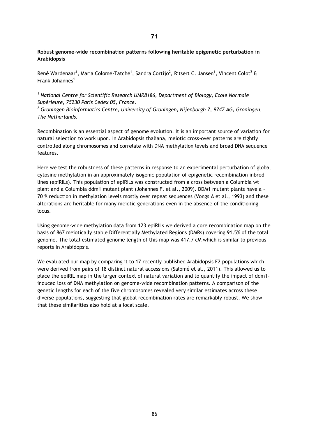# **Robust genome-wide recombination patterns following heritable epigenetic perturbation in Arabidopsis**

<u>René Wardenaar</u><sup>1</sup>, Maria Colomé-Tatché<sup>1</sup>, Sandra Cortijo<sup>2</sup>, Ritsert C. Jansen<sup>1</sup>, Vincent Colot<sup>2</sup> & Frank Johannes<sup>1</sup>

*<sup>1</sup> National Centre for Scientific Research UMR8186, Department of Biology, Ecole Normale Supérieure, 75230 Paris Cedex 05, France.*

*<sup>2</sup> Groningen Bioinformatics Centre, University of Groningen, Nijenborgh 7, 9747 AG, Groningen, The Netherlands.*

Recombination is an essential aspect of genome evolution. It is an important source of variation for natural selection to work upon. In Arabidopsis thaliana, meiotic cross-over patterns are tightly controlled along chromosomes and correlate with DNA methylation levels and broad DNA sequence features.

Here we test the robustness of these patterns in response to an experimental perturbation of global cytosine methylation in an approximately isogenic population of epigenetic recombination inbred lines (epiRILs). This population of epiRILs was constructed from a cross between a Columbia wt plant and a Columbia ddm1 mutant plant (Johannes F. et al., 2009). DDM1 mutant plants have a  $\sim$ 70 % reduction in methylation levels mostly over repeat sequences (Vongs A et al., 1993) and these alterations are heritable for many meiotic generations even in the absence of the conditioning locus.

Using genome-wide methylation data from 123 epiRILs we derived a core recombination map on the basis of 867 meiotically stable Differentially Methylated Regions (DMRs) covering 91.5% of the total genome. The total estimated genome length of this map was 417.7 cM which is similar to previous reports in Arabidopsis.

We evaluated our map by comparing it to 17 recently published Arabidopsis F2 populations which were derived from pairs of 18 distinct natural accessions (Salomé et al., 2011). This allowed us to place the epiRIL map in the larger context of natural variation and to quantify the impact of ddm1 induced loss of DNA methylation on genome-wide recombination patterns. A comparison of the genetic lengths for each of the five chromosomes revealed very similar estimates across these diverse populations, suggesting that global recombination rates are remarkably robust. We show that these similarities also hold at a local scale.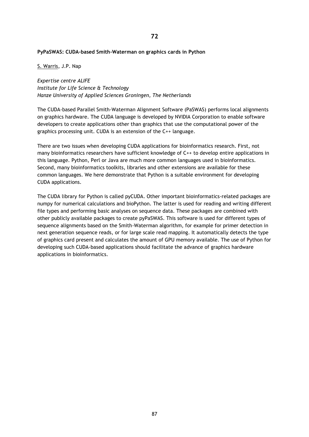# **PyPaSWAS: CUDA-based Smith-Waterman on graphics cards in Python**

S. Warris, J.P. Nap

*Expertise centre ALIFE Institute for Life Science & Technology Hanze University of Applied Sciences Groningen, The Netherlands*

The CUDA-based Parallel Smith-Waterman Alignment Software (PaSWAS) performs local alignments on graphics hardware. The CUDA language is developed by NVIDIA Corporation to enable software developers to create applications other than graphics that use the computational power of the graphics processing unit. CUDA is an extension of the C++ language.

There are two issues when developing CUDA applications for bioinformatics research. First, not many bioinformatics researchers have sufficient knowledge of C++ to develop entire applications in this language. Python, Perl or Java are much more common languages used in bioinformatics. Second, many bioinformatics toolkits, libraries and other extensions are available for these common languages. We here demonstrate that Python is a suitable environment for developing CUDA applications.

The CUDA library for Python is called pyCUDA. Other important bioinformatics-related packages are numpy for numerical calculations and bioPython. The latter is used for reading and writing different file types and performing basic analyses on sequence data. These packages are combined with other publicly available packages to create pyPaSWAS. This software is used for different types of sequence alignments based on the Smith-Waterman algorithm, for example for primer detection in next generation sequence reads, or for large scale read mapping. It automatically detects the type of graphics card present and calculates the amount of GPU memory available. The use of Python for developing such CUDA-based applications should facilitate the advance of graphics hardware applications in bioinformatics.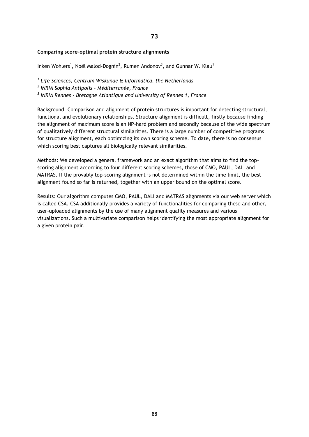**73**

# **Comparing score-optimal protein structure alignments**

 $Inken Wohlers<sup>1</sup>$ , Noël Malod-Dognin<sup>2</sup>, Rumen Andonov<sup>3</sup>, and Gunnar W. Klau<sup>1</sup></u>

*1 Life Sciences, Centrum Wiskunde & Informatica, the Netherlands 2 INRIA Sophia Antipolis - Méditerranée, France*

*3 INRIA Rennes - Bretagne Atlantique and University of Rennes 1, France*

Background: Comparison and alignment of protein structures is important for detecting structural, functional and evolutionary relationships. Structure alignment is difficult, firstly because finding the alignment of maximum score is an NP-hard problem and secondly because of the wide spectrum of qualitatively different structural similarities. There is a large number of competitive programs for structure alignment, each optimizing its own scoring scheme. To date, there is no consensus which scoring best captures all biologically relevant similarities.

Methods: We developed a general framework and an exact algorithm that aims to find the topscoring alignment according to four different scoring schemes, those of CMO, PAUL, DALI and MATRAS. If the provably top-scoring alignment is not determined within the time limit, the best alignment found so far is returned, together with an upper bound on the optimal score.

Results: Our algorithm computes CMO, PAUL, DALI and MATRAS alignments via our web server which is called CSA. CSA additionally provides a variety of functionalities for comparing these and other, user-uploaded alignments by the use of many alignment quality measures and various visualizations. Such a multivariate comparison helps identifying the most appropriate alignment for a given protein pair.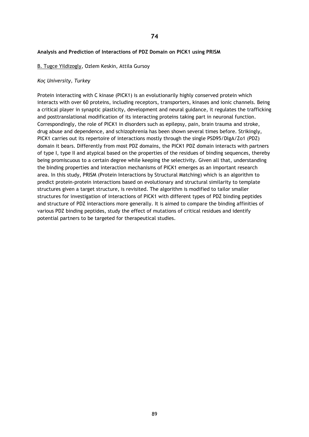### **Analysis and Prediction of Interactions of PDZ Domain on PICK1 using PRISM**

#### B. Tugce Yildizogly, Ozlem Keskin, Attila Gursoy

#### *Koç University, Turkey*

Protein interacting with C kinase (PICK1) is an evolutionarily highly conserved protein which interacts with over 60 proteins, including receptors, transporters, kinases and ionic channels. Being a critical player in synaptic plasticity, development and neural guidance, it regulates the trafficking and posttranslational modification of its interacting proteins taking part in neuronal function. Correspondingly, the role of PICK1 in disorders such as epilepsy, pain, brain trauma and stroke, drug abuse and dependence, and schizophrenia has been shown several times before. Strikingly, PICK1 carries out its repertoire of interactions mostly through the single PSD95/DlgA/Zo1 (PDZ) domain it bears. Differently from most PDZ domains, the PICK1 PDZ domain interacts with partners of type I, type II and atypical based on the properties of the residues of binding sequences, thereby being promiscuous to a certain degree while keeping the selectivity. Given all that, understanding the binding properties and interaction mechanisms of PICK1 emerges as an important research area. In this study, PRISM (Protein Interactions by Structural Matching) which is an algorithm to predict protein-protein interactions based on evolutionary and structural similarity to template structures given a target structure, is revisited. The algorithm is modified to tailor smaller structures for investigation of interactions of PICK1 with different types of PDZ binding peptides and structure of PDZ interactions more generally. It is aimed to compare the binding affinities of various PDZ binding peptides, study the effect of mutations of critical residues and identify potential partners to be targeted for therapeutical studies.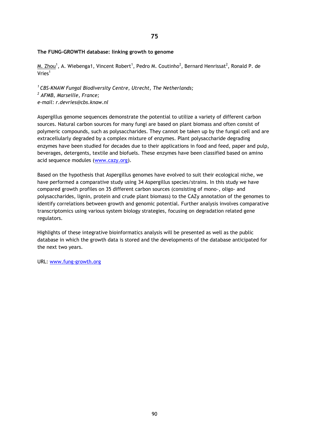# **75**

# **The FUNG-GROWTH database: linking growth to genome**

 $M$ . Zhou $^1$ , A. Wiebenga1, Vincent Robert $^1$ , Pedro M. Coutinho $^2$ , Bernard Henrissat $^2$ , Ronald P. de  $V$ ries<sup>1</sup>

*<sup>1</sup>CBS-KNAW Fungal Biodiversity Centre, Utrecht, The Netherlands; <sup>2</sup> AFMB, Marseille, France; e-mail: r.devries@cbs.knaw.nl*

Aspergillus genome sequences demonstrate the potential to utilize a variety of different carbon sources. Natural carbon sources for many fungi are based on plant biomass and often consist of polymeric compounds, such as polysaccharides. They cannot be taken up by the fungal cell and are extracellularly degraded by a complex mixture of enzymes. Plant polysaccharide degrading enzymes have been studied for decades due to their applications in food and feed, paper and pulp, beverages, detergents, textile and biofuels. These enzymes have been classified based on amino acid sequence modules [\(www.cazy.org\)](http://www.cazy.org/).

Based on the hypothesis that Aspergillus genomes have evolved to suit their ecological niche, we have performed a comparative study using 34 Aspergillus species/strains. In this study we have compared growth profiles on 35 different carbon sources (consisting of mono-, oligo- and polysaccharides, lignin, protein and crude plant biomass) to the CAZy annotation of the genomes to identify correlations between growth and genomic potential. Further analysis involves comparative transcriptomics using various system biology strategies, focusing on degradation related gene regulators.

Highlights of these integrative bioinformatics analysis will be presented as well as the public database in which the growth data is stored and the developments of the database anticipated for the next two years.

URL: [www.fung-growth.org](http://www.fung-growth.org/)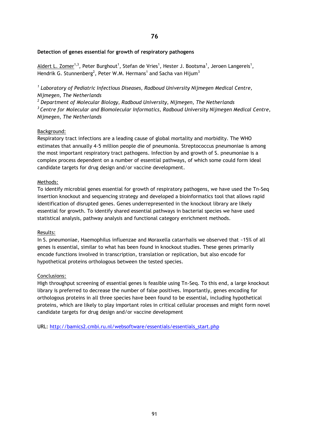# **Detection of genes essential for growth of respiratory pathogens**

Aldert L. Zomer<sup>1,3</sup>, Peter Burghout<sup>1</sup>, Stefan de Vries<sup>1</sup>, Hester J. Bootsma<sup>1</sup>, Jeroen Langereis<sup>1</sup>, Hendrik G. Stunnenberg<sup>2</sup>, Peter W.M. Hermans<sup>1</sup> and Sacha van Hijum<sup>3</sup>

*1 Laboratory of Pediatric Infectious Diseases, Radboud University Nijmegen Medical Centre, Nijmegen, The Netherlands*

*<sup>2</sup> Department of Molecular Biology, Radboud University, Nijmegen, The Netherlands <sup>3</sup>Centre for Molecular and Biomolecular Informatics, Radboud University Nijmegen Medical Centre, Nijmegen, The Netherlands*

# Background:

Respiratory tract infections are a leading cause of global mortality and morbidity. The WHO estimates that annually 4-5 million people die of pneumonia. Streptococcus pneumoniae is among the most important respiratory tract pathogens. Infection by and growth of S. pneumoniae is a complex process dependent on a number of essential pathways, of which some could form ideal candidate targets for drug design and/or vaccine development.

# Methods:

To identify microbial genes essential for growth of respiratory pathogens, we have used the Tn-Seq insertion knockout and sequencing strategy and developed a bioinformatics tool that allows rapid identification of disrupted genes. Genes underrepresented in the knockout library are likely essential for growth. To identify shared essential pathways in bacterial species we have used statistical analysis, pathway analysis and functional category enrichment methods.

# Results:

In S. pneumoniae, Haemophilus influenzae and Moraxella catarrhalis we observed that ~15% of all genes is essential, similar to what has been found in knockout studies. These genes primarily encode functions involved in transcription, translation or replication, but also encode for hypothetical proteins orthologous between the tested species.

# Conclusions:

High throughput screening of essential genes is feasible using Tn-Seq. To this end, a large knockout library is preferred to decrease the number of false positives. Importantly, genes encoding for orthologous proteins in all three species have been found to be essential, including hypothetical proteins, which are likely to play important roles in critical cellular processes and might form novel candidate targets for drug design and/or vaccine development

URL: [http://bamics2.cmbi.ru.nl/websoftware/essentials/essentials\\_start.php](http://bamics2.cmbi.ru.nl/websoftware/essentials/essentials_start.php)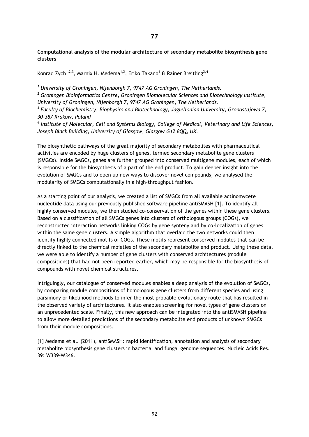# **Computational analysis of the modular architecture of secondary metabolite biosynthesis gene clusters**

Konrad Zych<sup>1,2,3</sup>, Marnix H. Medema<sup>1,2</sup>, Eriko Takano<sup>1</sup> & Rainer Breitling<sup>2,4</sup>

*<sup>1</sup> University of Groningen, Nijenborgh 7, 9747 AG Groningen, The Netherlands.*

*<sup>2</sup> Groningen Bioinformatics Centre, Groningen Biomolecular Sciences and Biotechnology Institute, University of Groningen, Nijenborgh 7, 9747 AG Groningen, The Netherlands.*

*3 Faculty of Biochemistry, Biophysics and Biotechnology, Jagiellonian University, Gronostajowa 7, 30-387 Krakow, Poland*

*4 Institute of Molecular, Cell and Systems Biology, College of Medical, Veterinary and Life Sciences, Joseph Black Building, University of Glasgow, Glasgow G12 8QQ, UK.*

The biosynthetic pathways of the great majority of secondary metabolites with pharmaceutical activities are encoded by huge clusters of genes, termed secondary metabolite gene clusters (SMGCs). Inside SMGCs, genes are further grouped into conserved multigene modules, each of which is responsible for the biosynthesis of a part of the end product. To gain deeper insight into the evolution of SMGCs and to open up new ways to discover novel compounds, we analysed the modularity of SMGCs computationally in a high-throughput fashion.

As a starting point of our analysis, we created a list of SMGCs from all available actinomycete nucleotide data using our previously published software pipeline antiSMASH [1]. To identify all highly conserved modules, we then studied co-conservation of the genes within these gene clusters. Based on a classification of all SMGCs genes into clusters of orthologous groups (COGs), we reconstructed interaction networks linking COGs by gene synteny and by co-localization of genes within the same gene clusters. A simple algorithm that overlaid the two networks could then identify highly connected motifs of COGs. These motifs represent conserved modules that can be directly linked to the chemical moieties of the secondary metabolite end product. Using these data, we were able to identify a number of gene clusters with conserved architectures (module compositions) that had not been reported earlier, which may be responsible for the biosynthesis of compounds with novel chemical structures.

Intriguingly, our catalogue of conserved modules enables a deep analysis of the evolution of SMGCs, by comparing module compositions of homologous gene clusters from different species and using parsimony or likelihood methods to infer the most probable evolutionary route that has resulted in the observed variety of architectures. It also enables screening for novel types of gene clusters on an unprecedented scale. Finally, this new approach can be integrated into the antiSMASH pipeline to allow more detailed predictions of the secondary metabolite end products of unknown SMGCs from their module compositions.

[1] Medema et al. (2011), antiSMASH: rapid identification, annotation and analysis of secondary metabolite biosynthesis gene clusters in bacterial and fungal genome sequences. Nucleic Acids Res. 39: W339-W346.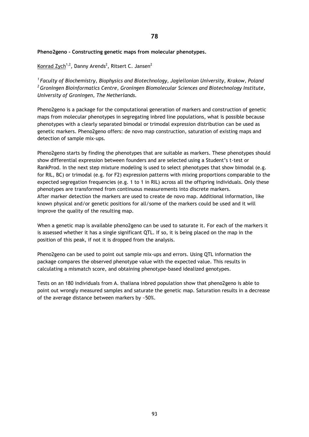**Pheno2geno - Constructing genetic maps from molecular phenotypes.**

Konrad Zych<sup>1,2</sup>, Danny Arends<sup>2</sup>, Ritsert C. Jansen<sup>2</sup>

*<sup>1</sup>Faculty of Biochemistry, Biophysics and Biotechnology, Jagiellonian University, Krakow, Poland <sup>2</sup>Groningen Bioinformatics Centre, Groningen Biomolecular Sciences and Biotechnology Institute, University of Groningen, The Netherlands.*

Pheno2geno is a package for the computational generation of markers and construction of genetic maps from molecular phenotypes in segregating inbred line populations, what is possible because phenotypes with a clearly separated bimodal or trimodal expression distribution can be used as genetic markers. Pheno2geno offers: de novo map construction, saturation of existing maps and detection of sample mix-ups.

Pheno2geno starts by finding the phenotypes that are suitable as markers. These phenotypes should show differential expression between founders and are selected using a Student's t-test or RankProd. In the next step mixture modeling is used to select phenotypes that show bimodal (e.g. for RIL, BC) or trimodal (e.g. for F2) expression patterns with mixing proportions comparable to the expected segregation frequencies (e.g. 1 to 1 in RIL) across all the offspring individuals. Only these phenotypes are transformed from continuous measurements into discrete markers. After marker detection the markers are used to create de novo map. Additional information, like known physical and/or genetic positions for all/some of the markers could be used and it will improve the quality of the resulting map.

When a genetic map is available pheno2geno can be used to saturate it. For each of the markers it is assessed whether it has a single significant QTL. If so, it is being placed on the map in the position of this peak, if not it is dropped from the analysis.

Pheno2geno can be used to point out sample mix-ups and errors. Using QTL information the package compares the observed phenotype value with the expected value. This results in calculating a mismatch score, and obtaining phenotype-based idealized genotypes.

Tests on an 180 individuals from A. thaliana inbred population show that pheno2geno is able to point out wrongly measured samples and saturate the genetic map. Saturation results in a decrease of the average distance between markers by ~50%.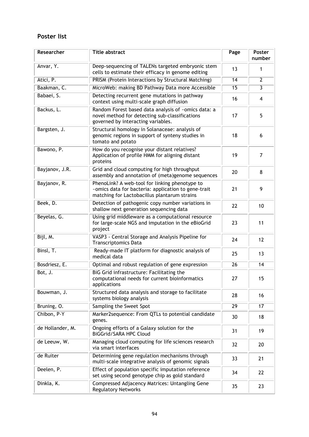# **Poster list**

| Researcher       | <b>Title abstract</b>                                                                                                                                 | Page            | Poster<br>number |
|------------------|-------------------------------------------------------------------------------------------------------------------------------------------------------|-----------------|------------------|
| Anvar, Y.        | Deep-sequencing of TALENs targeted embryonic stem<br>cells to estimate their efficacy in genome editing                                               | 13              | 1                |
| Atici, P.        | PRISM (Protein Interactions by Structural Matching)                                                                                                   | 14              | $\overline{2}$   |
| Baakman, C.      | MicroWeb: making BD Pathway Data more Accessible                                                                                                      | 15              | 3                |
| Babaei, S.       | Detecting recurrent gene mutations in pathway<br>context using multi-scale graph diffusion                                                            | 16              | $\overline{4}$   |
| Backus, L.       | Random Forest based data analysis of ~omics data: a<br>novel method for detecting sub-classifications<br>governed by interacting variables.           | 17              | 5                |
| Bargsten, J.     | Structural homology in Solanaceae: analysis of<br>genomic regions in support of synteny studies in<br>tomato and potato                               | 18              | 6                |
| Bawono, P.       | How do you recognise your distant relatives?<br>Application of profile HMM for aligning distant<br>proteins                                           | 19              | $\overline{7}$   |
| Bayjanov, J.R.   | Grid and cloud computing for high throughput<br>assembly and annotation of (meta)genome sequences                                                     | 20              | 8                |
| Bayjanov, R.     | PhenoLink? A web-tool for linking phenotype to<br>-omics data for bacteria: application to gene-trait<br>matching for Lactobacillus plantarum strains | 21              | 9                |
| Beek, D.         | Detection of pathogenic copy number variations in<br>shallow next generation sequencing data                                                          | 22              | 10               |
| Beyelas, G.      | Using grid middleware as a computational resource<br>for large-scale NGS and imputation in the eBioGrid<br>project                                    | 23              | 11               |
| Bijl, M.         | VASP3 - Central Storage and Analysis Pipeline for<br><b>Transcriptomics Data</b>                                                                      | 24              | 12               |
| Binsl, T.        | Ready-made IT platform for diagnostic analysis of<br>medical data                                                                                     | 25              | 13               |
| Bosdriesz, E.    | Optimal and robust regulation of gene expression                                                                                                      | 26              | 14               |
| Bot, J.          | BiG Grid infrastructure: Facilitating the<br>computational needs for current bioinformatics<br>applications                                           | 27              | 15               |
| Bouwman, J.      | Structured data analysis and storage to facilitate<br>systems biology analysis                                                                        | 28              | 16               |
| Bruning, O.      | Sampling the Sweet Spot                                                                                                                               | $\overline{29}$ | 17               |
| Chibon, P-Y      | Marker2sequence: From QTLs to potential candidate<br>genes.                                                                                           | 30              | 18               |
| de Hollander, M. | Ongoing efforts of a Galaxy solution for the<br>BiGGrid/SARA HPC Cloud                                                                                | 31              | 19               |
| de Leeuw, W.     | Managing cloud computing for life sciences research<br>via smart interfaces                                                                           | 32              | 20               |
| de Ruiter        | Determining gene regulation mechanisms through<br>multi-scale integrative analysis of genomic signals                                                 | 33              | 21               |
| Deelen, P.       | Effect of population specific imputation reference<br>set using second genotype chip as gold standard                                                 | 34              | 22               |
| Dinkla, K.       | Compressed Adjacency Matrices: Untangling Gene<br><b>Regulatory Networks</b>                                                                          | 35              | 23               |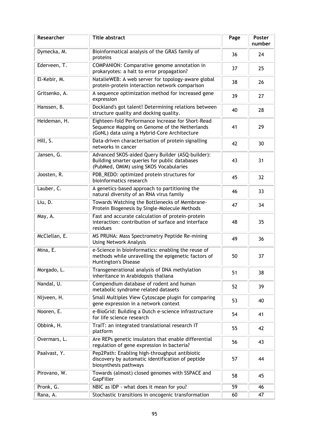| Researcher    | <b>Title abstract</b>                                                                                                                              | Page | Poster<br>number |
|---------------|----------------------------------------------------------------------------------------------------------------------------------------------------|------|------------------|
| Dymecka, M.   | Bioinformatical analysis of the GRAS family of<br>proteins                                                                                         | 36   | 24               |
| Ederveen, T.  | <b>COMPANION: Comparative genome annotation in</b><br>prokaryotes: a halt to error propagation?                                                    | 37   | 25               |
| El-Kebir, M.  | NatalieWEB: A web server for topology-aware global<br>protein-protein interaction network comparison                                               | 38   | 26               |
| Gritsenko, A. | A sequence optimization method for increased gene<br>expression                                                                                    | 39   | 27               |
| Hanssen, B.   | Dockland's got talent! Determining relations between<br>structure quality and docking quality.                                                     | 40   | 28               |
| Heideman, H.  | Eighteen-fold Performance Increase for Short-Read<br>Sequence Mapping on Genome of the Netherlands<br>(GoNL) data using a Hybrid-Core Architecture | 41   | 29               |
| Hill, S.      | Data-driven characterisation of protein signalling<br>networks in cancer                                                                           | 42   | 30               |
| Jansen, G.    | Advanced SKOS-aided Query Builder (ASQ-builder):<br>Building smarter queries for public databases<br>(PubMed, OMIM) using SKOS Vocabularies        | 43   | 31               |
| Joosten, R.   | PDB_REDO: optimized protein structures for<br>bioinformatics research                                                                              | 45   | 32               |
| Lauber, C.    | A genetics-based approach to partitioning the<br>natural diversity of an RNA virus family                                                          | 46   | 33               |
| Liu, D.       | Towards Watching the Bottlenecks of Membrane-<br>Protein Biogenesis by Single-Molecule Methods                                                     | 47   | 34               |
| May, A.       | Fast and accurate calculation of protein-protein<br>interaction: contribution of surface and interface<br>residues                                 | 48   | 35               |
| McClellan, E. | MS PRUNA: Mass Spectrometry Peptide Re-mining<br><b>Using Network Analysis</b>                                                                     | 49   | 36               |
| Mina, E.      | e-Science in bioinformatics: enabling the reuse of<br>methods while unravelling the epigenetic factors of<br>Huntington's Disease                  | 50   | 37               |
| Morgado, L.   | Transgenerational analysis of DNA methylation<br>inheritance in Arabidopsis thaliana                                                               | 51   | 38               |
| Nandal, U.    | Compendium database of rodent and human<br>metabolic syndrome related datasets                                                                     | 52   | 39               |
| Nijveen, H.   | Small Multiples View Cytoscape plugin for comparing<br>gene expression in a network context                                                        | 53   | 40               |
| Nooren, E.    | e-BioGrid: Building a Dutch e-science infrastructure<br>for life science research                                                                  | 54   | 41               |
| Obbink, H.    | TraIT: an integrated translational research IT<br>platform                                                                                         | 55   | 42               |
| Overmars, L.  | Are REPs genetic insulators that enable differential<br>regulation of gene expression in bacteria?                                                 | 56   | 43               |
| Paalvast, Y.  | Pep2Path: Enabling high-throughput antibiotic<br>discovery by automatic identification of peptide<br>biosynthesis pathways                         | 57   | 44               |
| Pirovano, W.  | Towards (almost) closed genomes with SSPACE and<br>GapFiller                                                                                       | 58   | 45               |
| Pronk, G.     | NBIC as IDP - what does it mean for you?                                                                                                           | 59   | 46               |
| Rana, A.      | Stochastic transitions in oncogenic transformation                                                                                                 | 60   | 47               |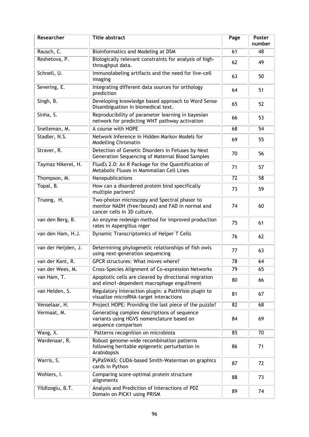| Researcher          | <b>Title abstract</b>                                                                                                          | Page            | Poster<br>number |
|---------------------|--------------------------------------------------------------------------------------------------------------------------------|-----------------|------------------|
| Rausch, C.          | Bioinformatics and Modeling at DSM                                                                                             | 61              | 48               |
| Reshetova, P.       | Biologically relevant constraints for analysis of high-<br>throughput data.                                                    | 62              | 49               |
| Schnell, U.         | Immunolabeling artifacts and the need for live-cell<br>imaging                                                                 | 63              | 50               |
| Severing, E.        | Integrating different data sources for orthology<br>prediction                                                                 | 64              | 51               |
| Singh, B.           | Developing knowledge based approach to Word Sense<br>Disambiguation in biomedical text.                                        | 65              | 52               |
| Sinha, S.           | Reproducibility of parameter learning in bayesian<br>network for predicting WNT pathway activation                             | 66              | 53               |
| Snelleman, M.       | A course with HOPE                                                                                                             | 68              | 54               |
| Stadler, N.S.       | Network Inference in Hidden Markov Models for<br>Modelling Chromatin                                                           | 69              | 55               |
| Straver, R.         | Detection of Genetic Disorders in Fetuses by Next<br>Generation Sequencing of Maternal Blood Samples                           | 70              | 56               |
| Taymaz Nikerel, H.  | FluxEs 2.0: An R Package for the Quantification of<br>Metabolic Fluxes in Mammalian Cell Lines                                 | 71              | 57               |
| Thompson, M.        | Nanopublications                                                                                                               | $\overline{72}$ | 58               |
| Topal, B.           | How can a disordered protein bind specifically<br>multiple partners?                                                           | 73              | 59               |
| Truong, H.          | Two-photon microscopy and Spectral phasor to<br>monitor NADH (free/bound) and FAD in normal and<br>cancer cells in 3D culture. | 74              | 60               |
| van den Berg, B.    | An enzyme redesign method for improved production<br>rates in Aspergillus niger                                                | 75              | 61               |
| van den Ham, H.J.   | Dynamic Transcriptomics of Helper T Cells                                                                                      | 76              | 62               |
| van der Heijden, J. | Determining phylogenetic relationships of fish owls<br>using next-generation sequencing                                        | 77              | 63               |
| van der Kant, R.    | GPCR structures: What moves where?                                                                                             | 78              | 64               |
| van der Wees, M.    | Cross-Species Alignment of Co-expression Networks                                                                              | 79              | 65               |
| van Ham, T.         | Apoptotic cells are cleared by directional migration<br>and elmo1-dependent macrophage engulfment                              | 80              | 66               |
| van Helden, S.      | Regulatory Interaction plugin: a PathVisio plugin to<br>visualize microRNA-target interactions                                 | 81              | 67               |
| Venselaar, H.       | Project HOPE: Providing the last piece of the puzzle?                                                                          | 82              | 68               |
| Vermaat, M.         | Generating complex descriptions of sequence<br>variants using HGVS nomenclature based on<br>sequence comparison                | 84              | 69               |
| Wang, X.            | Patterns recognition on microbiota                                                                                             | 85              | 70               |
| Wardenaar, R.       | Robust genome-wide recombination patterns<br>following heritable epigenetic perturbation in<br>Arabidopsis                     | 86              | 71               |
| Warris, S.          | PyPaSWAS: CUDA-based Smith-Waterman on graphics<br>cards in Python                                                             | 87              | 72               |
| Wohlers, I.         | Comparing score-optimal protein structure<br>alignments                                                                        | 88              | 73               |
| Yildizoglu, B.T.    | Analysis and Prediction of Interactions of PDZ<br>Domain on PICK1 using PRISM                                                  | 89              | 74               |